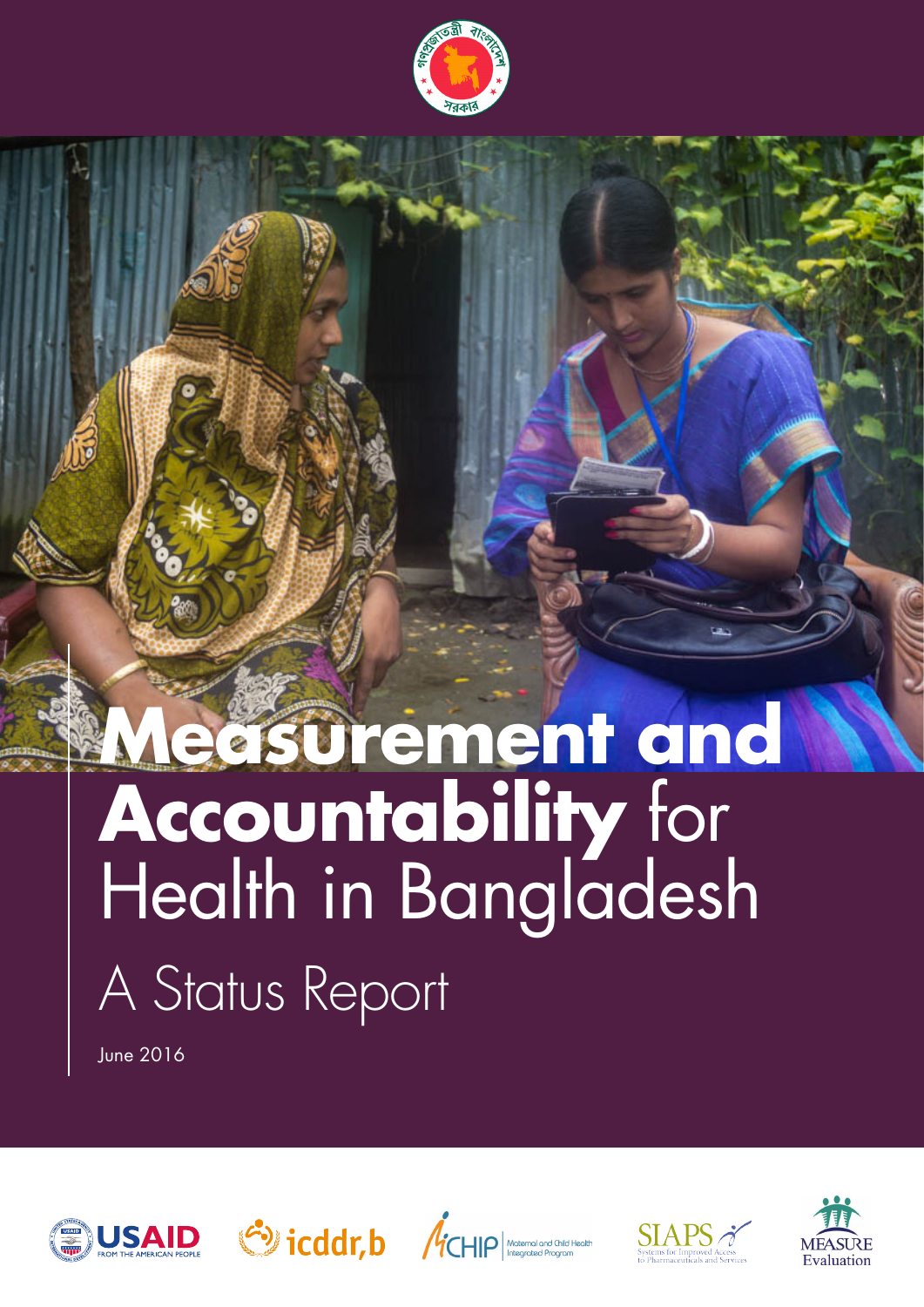

# **Measurement and Measurement and countability** for alth in Bangladesh  $\lambda$ tus Report A Status Report **Accountability** for Health in Bangladesh

June 2016









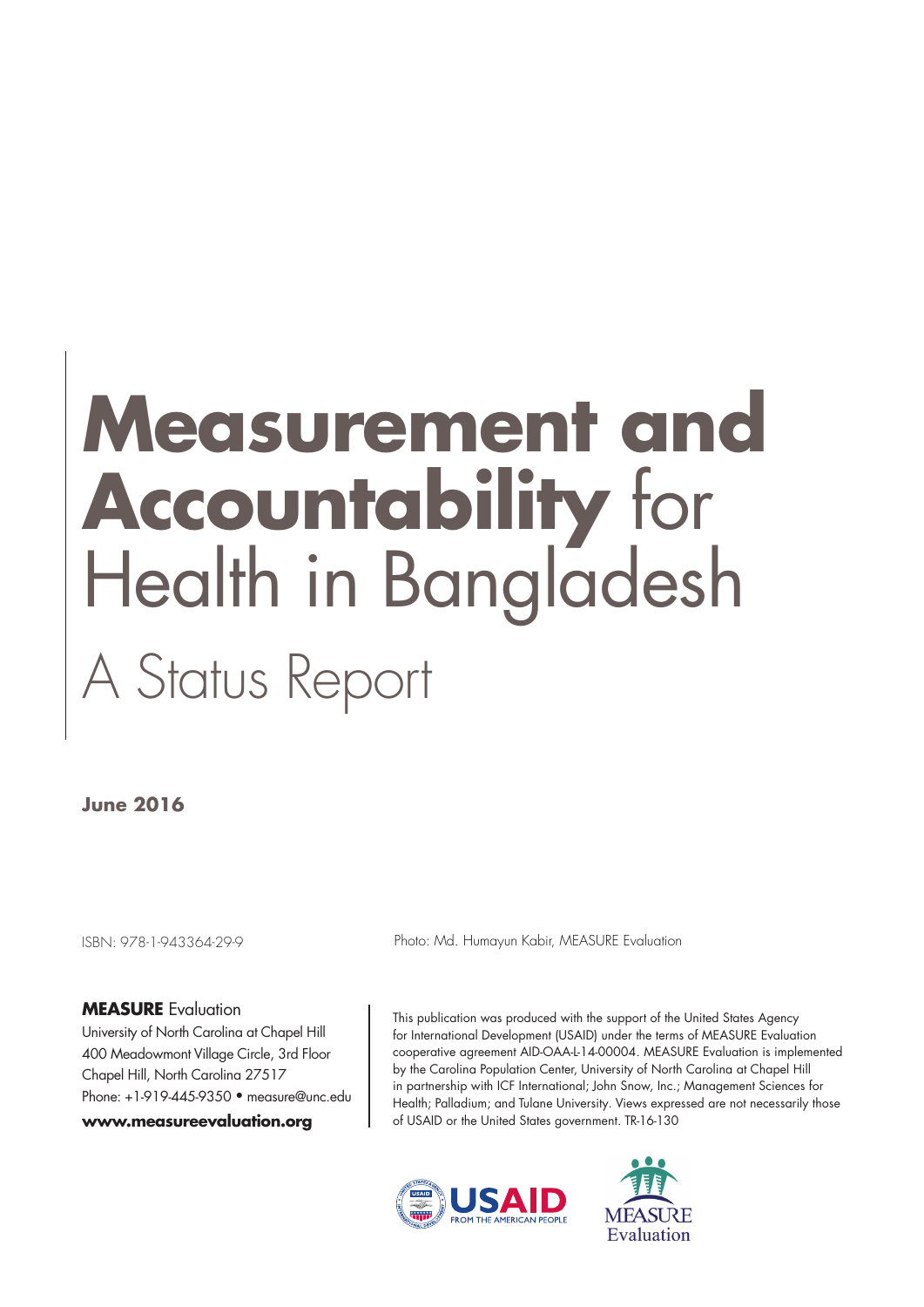# **Measurement and Accountability** for Health in Bangladesh A Status Report

**June 2016**

ISBN: 978-1-943364-29-9

#### **MEASURE** Evaluation

University of North Carolina at Chapel Hill 400 Meadowmont Village Circle, 3rd Floor Chapel Hill, North Carolina 27517 Phone: +1-919-445-9350 • measure@unc.edu

#### **www.measureevaluation.org**

Photo: Md. Humayun Kabir, MEASURE Evaluation

This publication was produced with the support of the United States Agency for International Development (USAID) under the terms of MEASURE Evaluation cooperative agreement AID-OAA-L-14-00004. MEASURE Evaluation is implemented by the Carolina Population Center, University of North Carolina at Chapel Hill in partnership with ICF International; John Snow, Inc.; Management Sciences for Health; Palladium; and Tulane University. Views expressed are not necessarily those of USAID or the United States government. TR-16-130



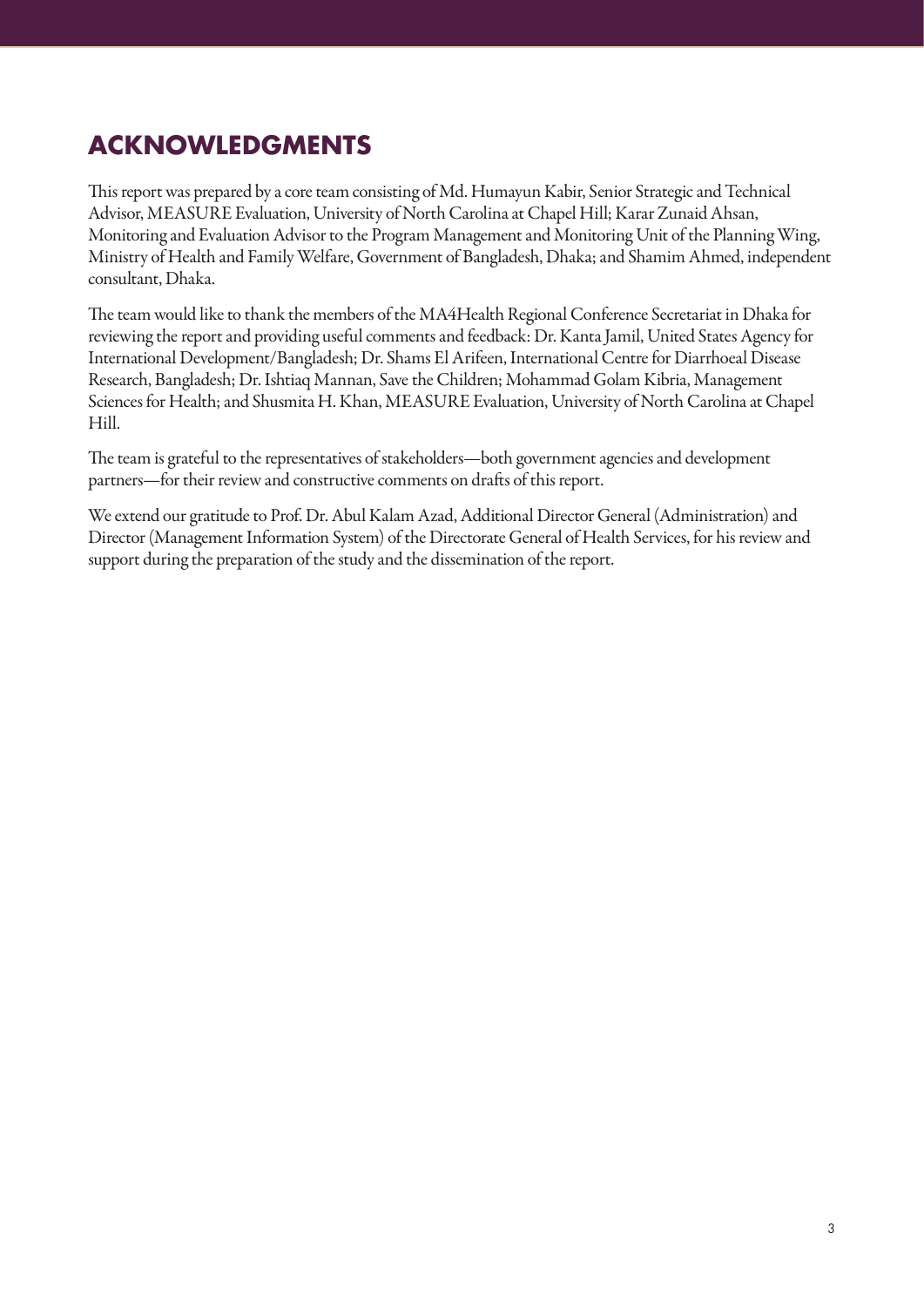# **ACKNOWLEDGMENTS**

This report was prepared by a core team consisting of Md. Humayun Kabir, Senior Strategic and Technical Advisor, MEASURE Evaluation, University of North Carolina at Chapel Hill; Karar Zunaid Ahsan, Monitoring and Evaluation Advisor to the Program Management and Monitoring Unit of the Planning Wing, Ministry of Health and Family Welfare, Government of Bangladesh, Dhaka; and Shamim Ahmed, independent consultant, Dhaka.

The team would like to thank the members of the MA4Health Regional Conference Secretariat in Dhaka for reviewing the report and providing useful comments and feedback: Dr. Kanta Jamil, United States Agency for International Development/Bangladesh; Dr. Shams El Arifeen, International Centre for Diarrhoeal Disease Research, Bangladesh; Dr. Ishtiaq Mannan, Save the Children; Mohammad Golam Kibria, Management Sciences for Health; and Shusmita H. Khan, MEASURE Evaluation, University of North Carolina at Chapel Hill.

The team is grateful to the representatives of stakeholders—both government agencies and development partners—for their review and constructive comments on drafts of this report.

We extend our gratitude to Prof. Dr. Abul Kalam Azad, Additional Director General (Administration) and Director (Management Information System) of the Directorate General of Health Services, for his review and support during the preparation of the study and the dissemination of the report.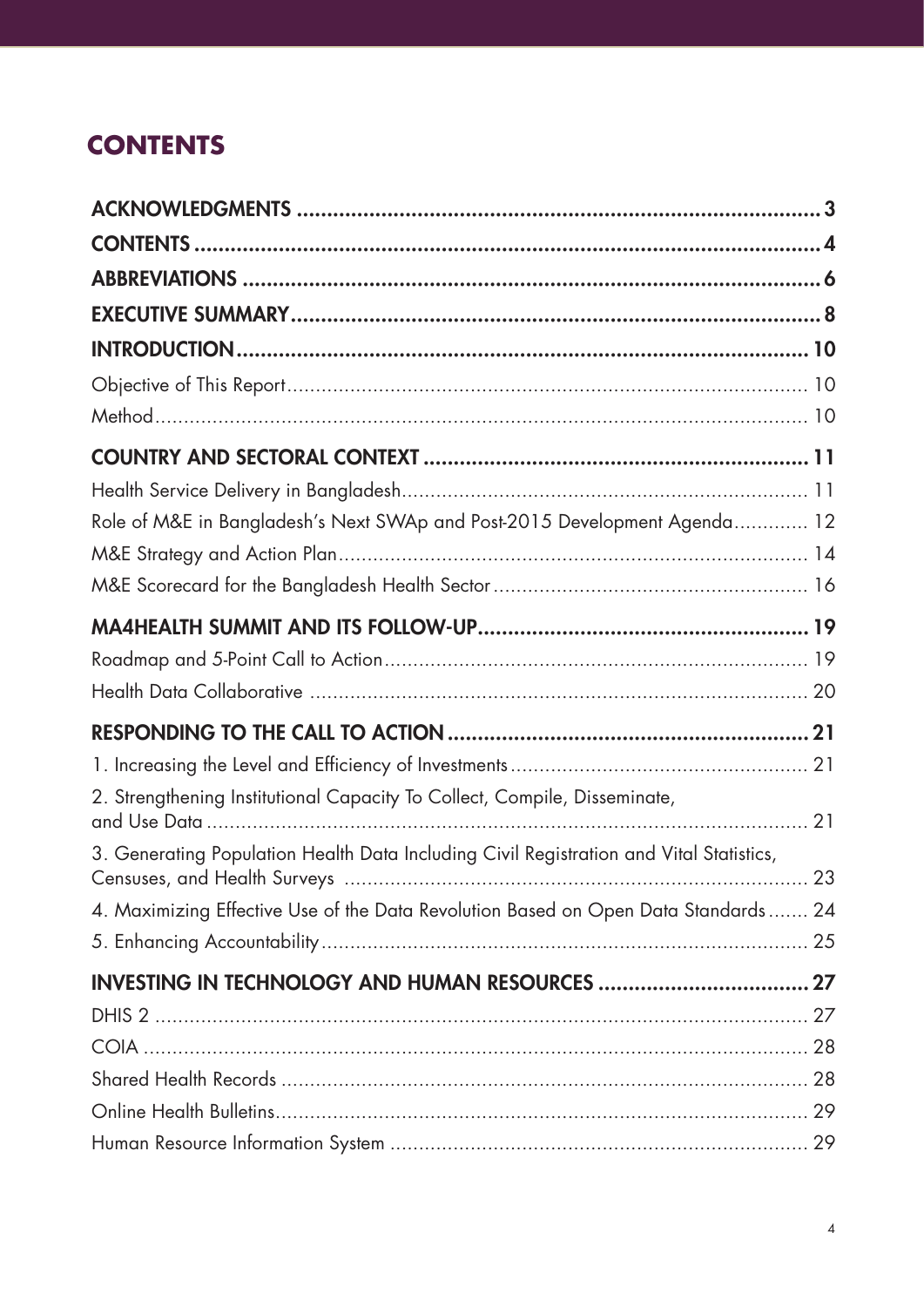# **CONTENTS**

| Role of M&E in Bangladesh's Next SWAp and Post-2015 Development Agenda 12               |  |
|-----------------------------------------------------------------------------------------|--|
|                                                                                         |  |
|                                                                                         |  |
|                                                                                         |  |
|                                                                                         |  |
|                                                                                         |  |
|                                                                                         |  |
|                                                                                         |  |
| 2. Strengthening Institutional Capacity To Collect, Compile, Disseminate,               |  |
| 3. Generating Population Health Data Including Civil Registration and Vital Statistics, |  |
| 4. Maximizing Effective Use of the Data Revolution Based on Open Data Standards 24      |  |
|                                                                                         |  |
|                                                                                         |  |
|                                                                                         |  |
|                                                                                         |  |
|                                                                                         |  |
|                                                                                         |  |
|                                                                                         |  |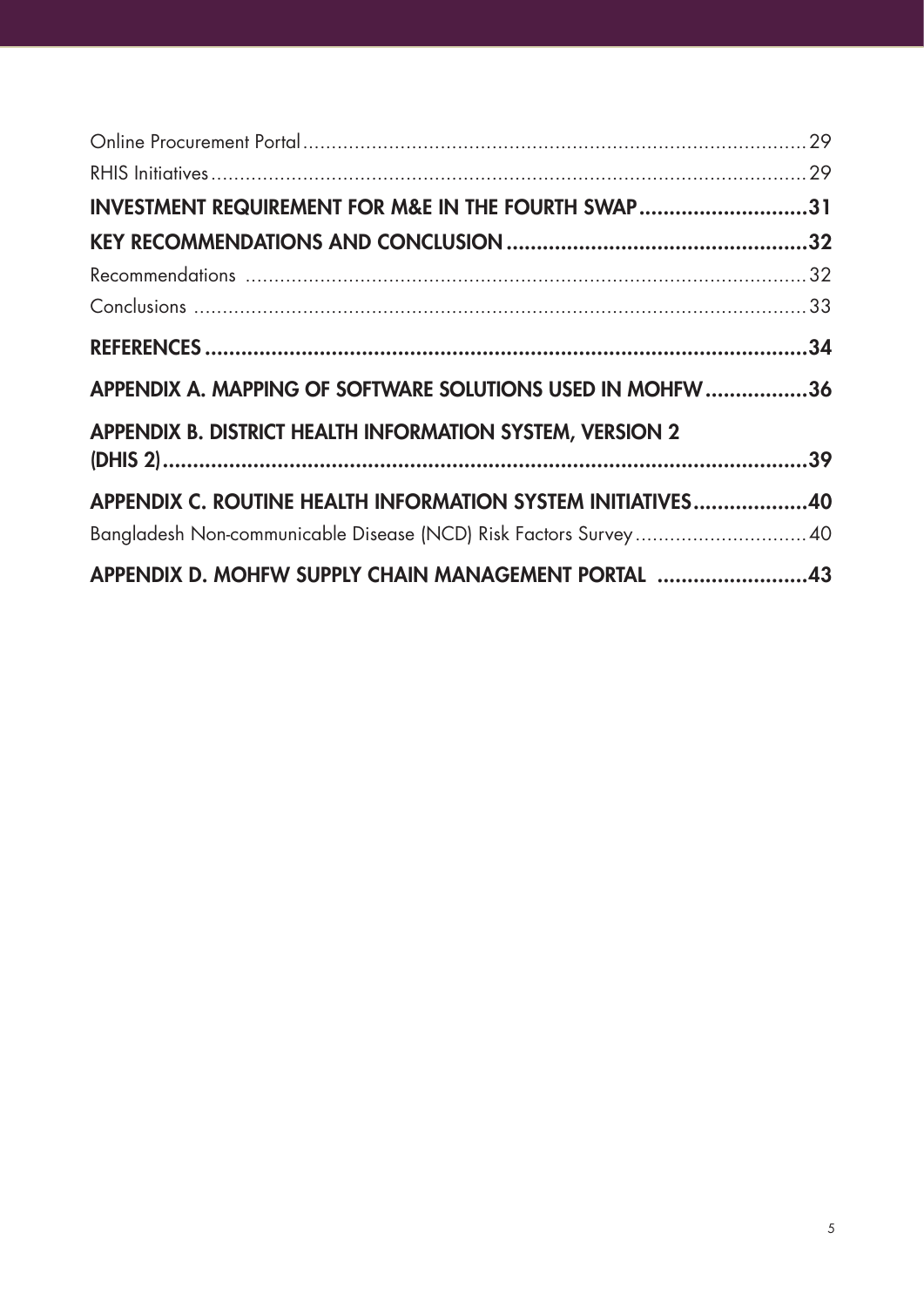| INVESTMENT REQUIREMENT FOR M&E IN THE FOURTH SWAP31              |  |
|------------------------------------------------------------------|--|
|                                                                  |  |
|                                                                  |  |
|                                                                  |  |
|                                                                  |  |
| APPENDIX A. MAPPING OF SOFTWARE SOLUTIONS USED IN MOHFW36        |  |
| <b>APPENDIX B. DISTRICT HEALTH INFORMATION SYSTEM, VERSION 2</b> |  |
|                                                                  |  |
| APPENDIX C. ROUTINE HEALTH INFORMATION SYSTEM INITIATIVES40      |  |
| Bangladesh Non-communicable Disease (NCD) Risk Factors Survey 40 |  |
| APPENDIX D. MOHFW SUPPLY CHAIN MANAGEMENT PORTAL 43              |  |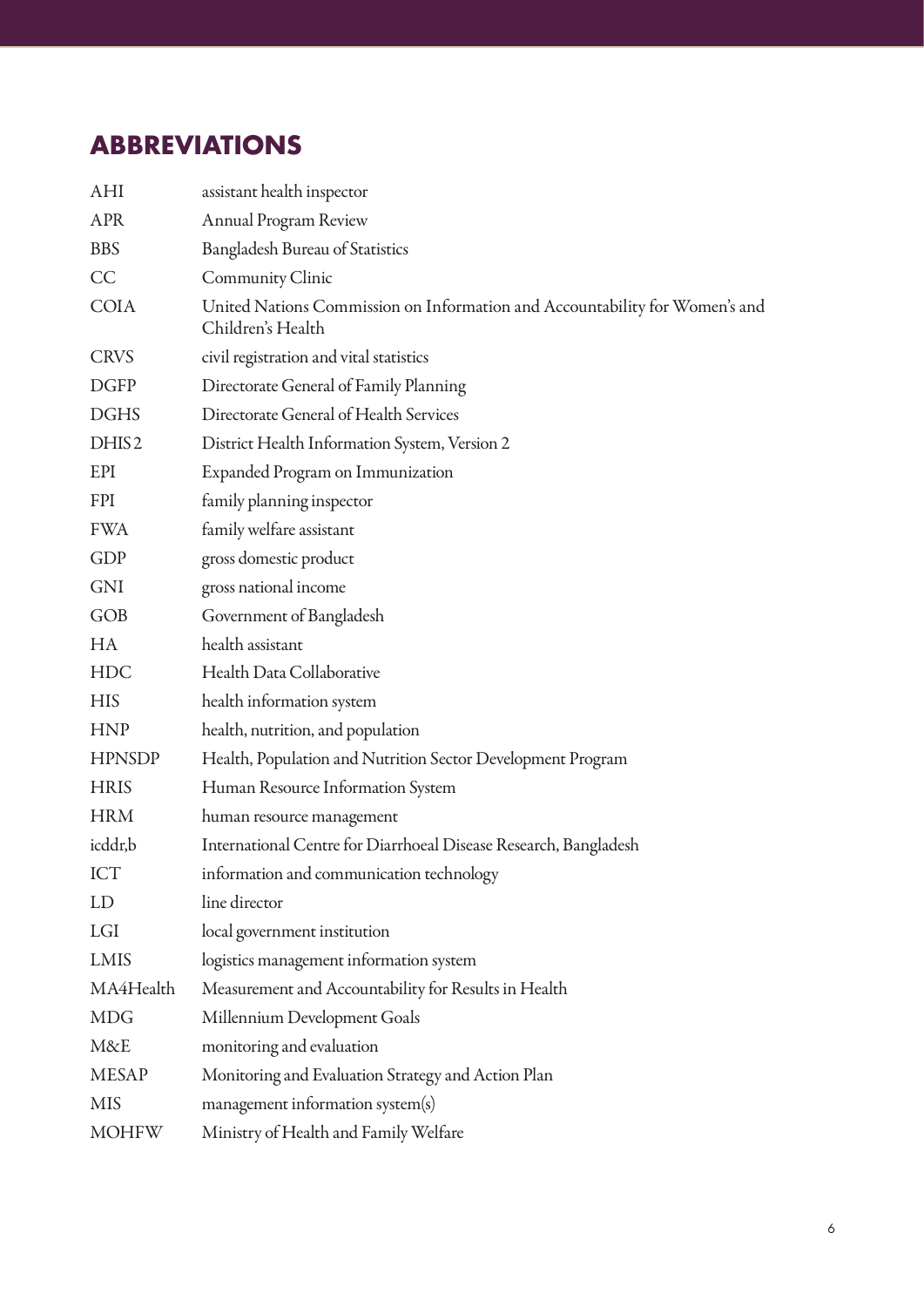# **ABBREVIATIONS**

| AHI               | assistant health inspector                                                                       |
|-------------------|--------------------------------------------------------------------------------------------------|
| <b>APR</b>        | <b>Annual Program Review</b>                                                                     |
| <b>BBS</b>        | <b>Bangladesh Bureau of Statistics</b>                                                           |
| CC                | Community Clinic                                                                                 |
| <b>COIA</b>       | United Nations Commission on Information and Accountability for Women's and<br>Children's Health |
| <b>CRVS</b>       | civil registration and vital statistics                                                          |
| <b>DGFP</b>       | Directorate General of Family Planning                                                           |
| <b>DGHS</b>       | Directorate General of Health Services                                                           |
| DHIS <sub>2</sub> | District Health Information System, Version 2                                                    |
| EPI               | Expanded Program on Immunization                                                                 |
| <b>FPI</b>        | family planning inspector                                                                        |
| <b>FWA</b>        | family welfare assistant                                                                         |
| GDP               | gross domestic product                                                                           |
| GNI               | gross national income                                                                            |
| GOB               | Government of Bangladesh                                                                         |
| <b>HA</b>         | health assistant                                                                                 |
| <b>HDC</b>        | Health Data Collaborative                                                                        |
| <b>HIS</b>        | health information system                                                                        |
| <b>HNP</b>        | health, nutrition, and population                                                                |
| <b>HPNSDP</b>     | Health, Population and Nutrition Sector Development Program                                      |
| <b>HRIS</b>       | Human Resource Information System                                                                |
| <b>HRM</b>        | human resource management                                                                        |
| icddr,b           | International Centre for Diarrhoeal Disease Research, Bangladesh                                 |
| <b>ICT</b>        | information and communication technology                                                         |
| LD                | line director                                                                                    |
| LGI               | local government institution                                                                     |
| LMIS              | logistics management information system                                                          |
| MA4Health         | Measurement and Accountability for Results in Health                                             |
| <b>MDG</b>        | Millennium Development Goals                                                                     |
| M&E               | monitoring and evaluation                                                                        |
| <b>MESAP</b>      | Monitoring and Evaluation Strategy and Action Plan                                               |
| <b>MIS</b>        | management information system(s)                                                                 |
| <b>MOHFW</b>      | Ministry of Health and Family Welfare                                                            |
|                   |                                                                                                  |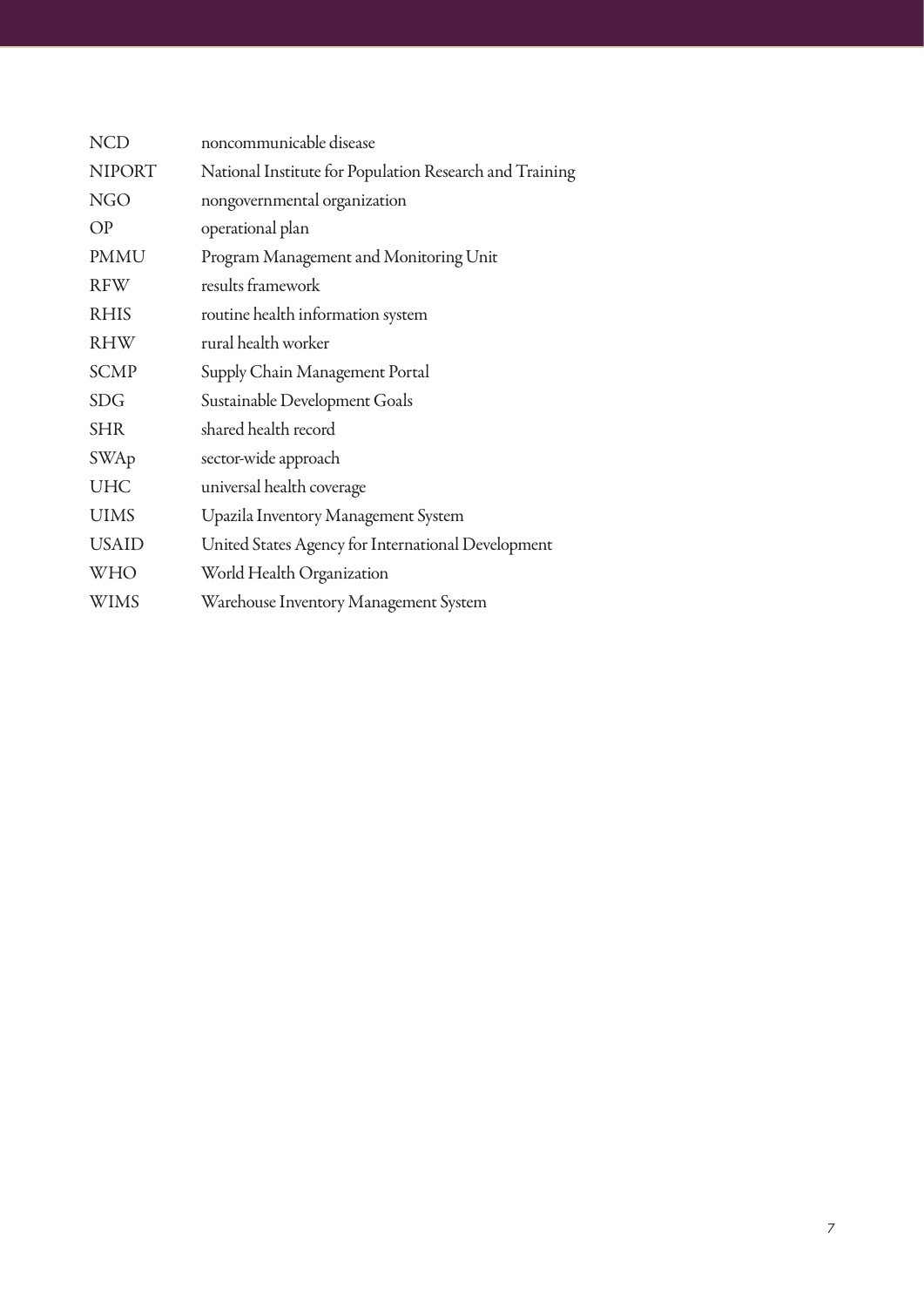| <b>NCD</b>    | noncommunicable disease                                 |
|---------------|---------------------------------------------------------|
| <b>NIPORT</b> | National Institute for Population Research and Training |
| <b>NGO</b>    | nongovernmental organization                            |
| OP            | operational plan                                        |
| <b>PMMU</b>   | Program Management and Monitoring Unit                  |
| <b>RFW</b>    | results framework                                       |
| <b>RHIS</b>   | routine health information system                       |
| <b>RHW</b>    | rural health worker                                     |
| <b>SCMP</b>   | Supply Chain Management Portal                          |
| <b>SDG</b>    | Sustainable Development Goals                           |
| <b>SHR</b>    | shared health record                                    |
| SWAp          | sector-wide approach                                    |
| <b>UHC</b>    | universal health coverage                               |
| <b>UIMS</b>   | Upazila Inventory Management System                     |
| <b>USAID</b>  | United States Agency for International Development      |
| <b>WHO</b>    | World Health Organization                               |
| <b>WIMS</b>   | Warehouse Inventory Management System                   |
|               |                                                         |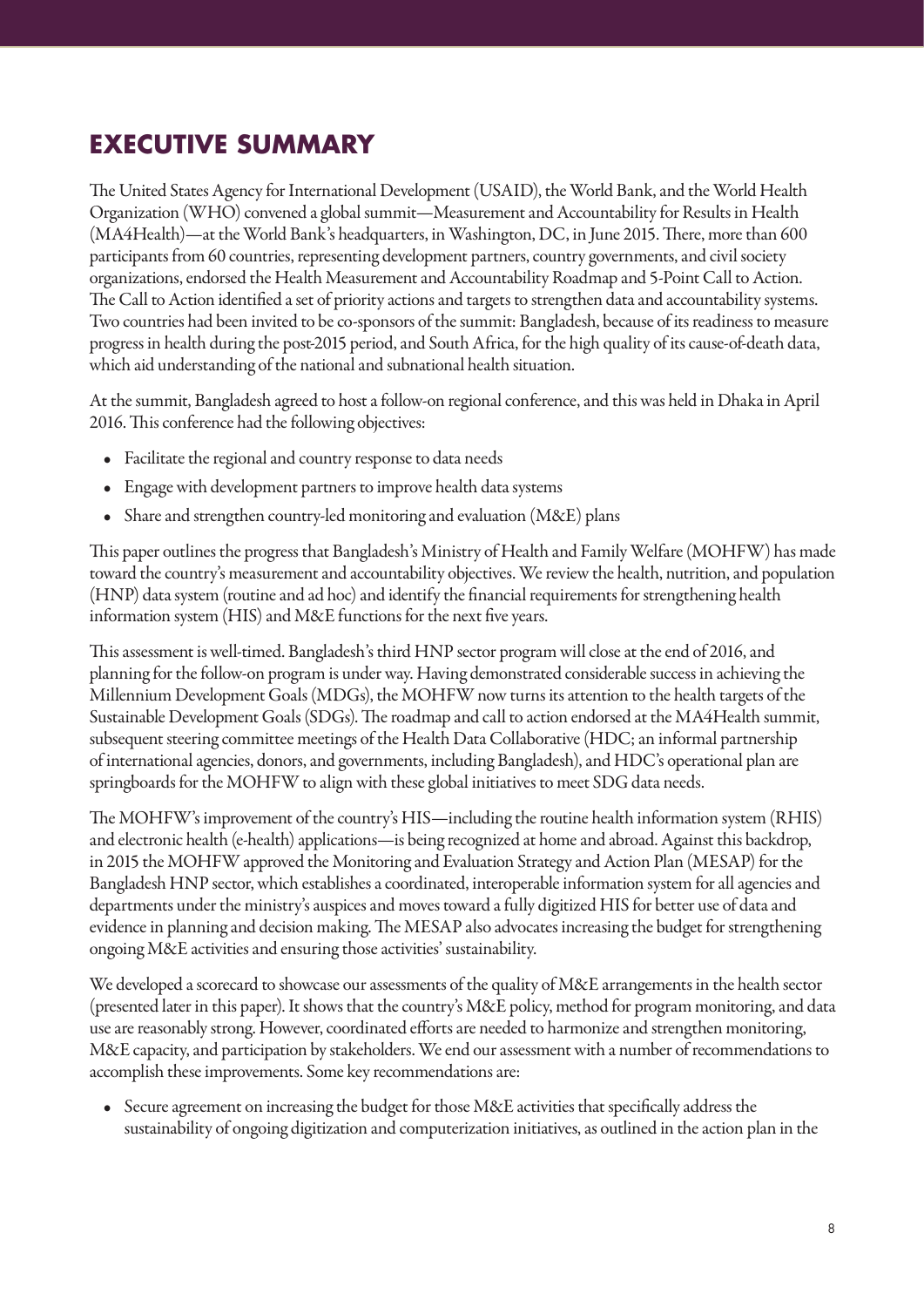# **EXECUTIVE SUMMARY**

The United States Agency for International Development (USAID), the World Bank, and the World Health Organization (WHO) convened a global summit—Measurement and Accountability for Results in Health (MA4Health)—at the World Bank's headquarters, in Washington, DC, in June 2015. There, more than 600 participants from 60 countries, representing development partners, country governments, and civil society organizations, endorsed the Health Measurement and Accountability Roadmap and 5-Point Call to Action. The Call to Action identified a set of priority actions and targets to strengthen data and accountability systems. Two countries had been invited to be co-sponsors of the summit: Bangladesh, because of its readiness to measure progress in health during the post-2015 period, and South Africa, for the high quality of its cause-of-death data, which aid understanding of the national and subnational health situation.

At the summit, Bangladesh agreed to host a follow-on regional conference, and this was held in Dhaka in April 2016. This conference had the following objectives:

- Facilitate the regional and country response to data needs
- Engage with development partners to improve health data systems
- Share and strengthen country-led monitoring and evaluation (M&E) plans

This paper outlines the progress that Bangladesh's Ministry of Health and Family Welfare (MOHFW) has made toward the country's measurement and accountability objectives. We review the health, nutrition, and population (HNP) data system (routine and ad hoc) and identify the financial requirements for strengthening health information system (HIS) and M&E functions for the next five years.

This assessment is well-timed. Bangladesh's third HNP sector program will close at the end of 2016, and planning for the follow-on program is under way. Having demonstrated considerable success in achieving the Millennium Development Goals (MDGs), the MOHFW now turns its attention to the health targets of the Sustainable Development Goals (SDGs). The roadmap and call to action endorsed at the MA4Health summit, subsequent steering committee meetings of the Health Data Collaborative (HDC; an informal partnership of international agencies, donors, and governments, including Bangladesh), and HDC's operational plan are springboards for the MOHFW to align with these global initiatives to meet SDG data needs.

The MOHFW's improvement of the country's HIS—including the routine health information system (RHIS) and electronic health (e-health) applications—is being recognized at home and abroad. Against this backdrop, in 2015 the MOHFW approved the Monitoring and Evaluation Strategy and Action Plan (MESAP) for the Bangladesh HNP sector, which establishes a coordinated, interoperable information system for all agencies and departments under the ministry's auspices and moves toward a fully digitized HIS for better use of data and evidence in planning and decision making. The MESAP also advocates increasing the budget for strengthening ongoing M&E activities and ensuring those activities' sustainability.

We developed a scorecard to showcase our assessments of the quality of M&E arrangements in the health sector (presented later in this paper). It shows that the country's M&E policy, method for program monitoring, and data use are reasonably strong. However, coordinated efforts are needed to harmonize and strengthen monitoring, M&E capacity, and participation by stakeholders. We end our assessment with a number of recommendations to accomplish these improvements. Some key recommendations are:

• Secure agreement on increasing the budget for those M&E activities that specifically address the sustainability of ongoing digitization and computerization initiatives, as outlined in the action plan in the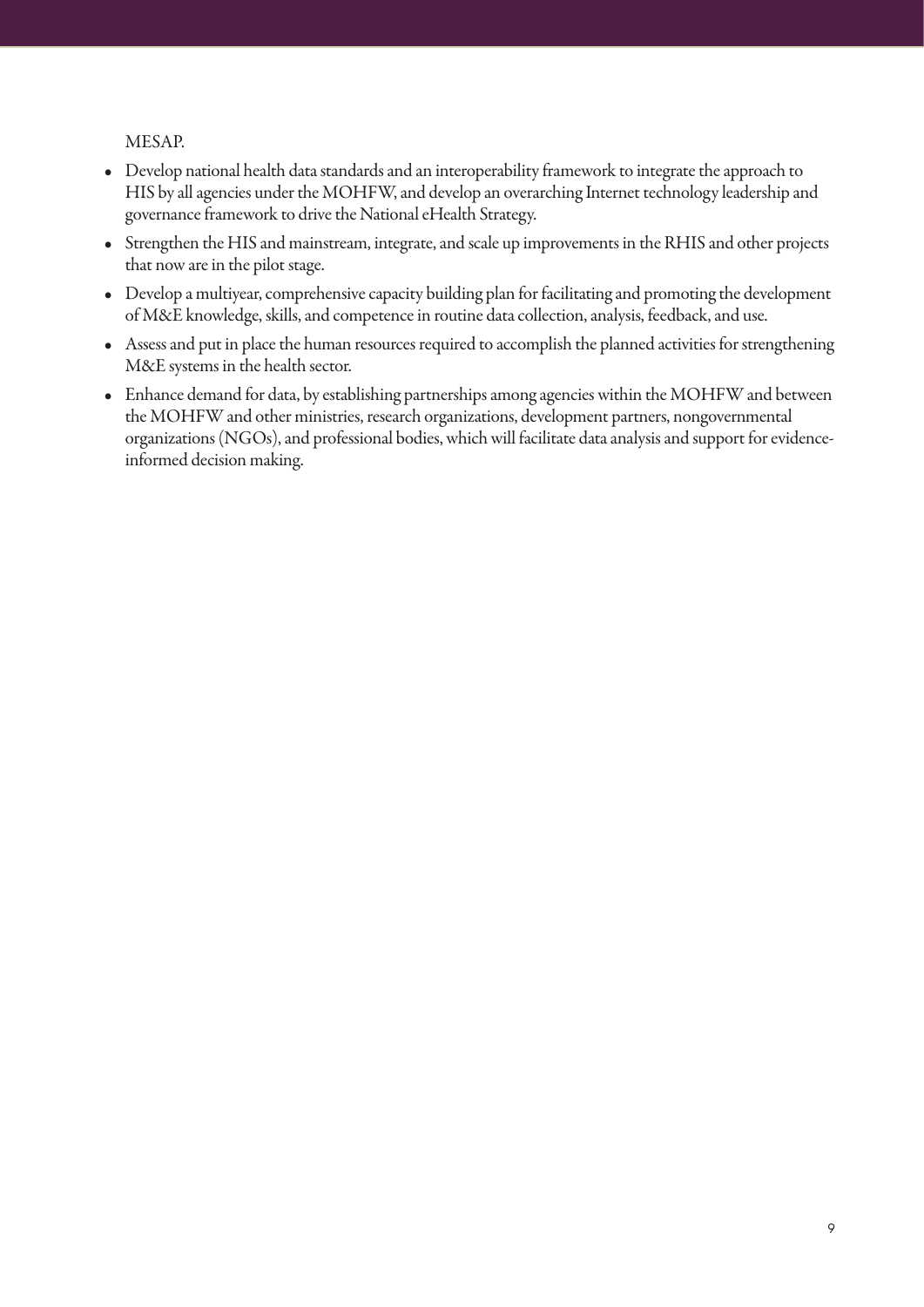MESAP.

- Develop national health data standards and an interoperability framework to integrate the approach to HIS by all agencies under the MOHFW, and develop an overarching Internet technology leadership and governance framework to drive the National eHealth Strategy.
- Strengthen the HIS and mainstream, integrate, and scale up improvements in the RHIS and other projects that now are in the pilot stage.
- Develop a multiyear, comprehensive capacity building plan for facilitating and promoting the development of M&E knowledge, skills, and competence in routine data collection, analysis, feedback, and use.
- Assess and put in place the human resources required to accomplish the planned activities for strengthening M&E systems in the health sector.
- Enhance demand for data, by establishing partnerships among agencies within the MOHFW and between the MOHFW and other ministries, research organizations, development partners, nongovernmental organizations (NGOs), and professional bodies, which will facilitate data analysis and support for evidenceinformed decision making.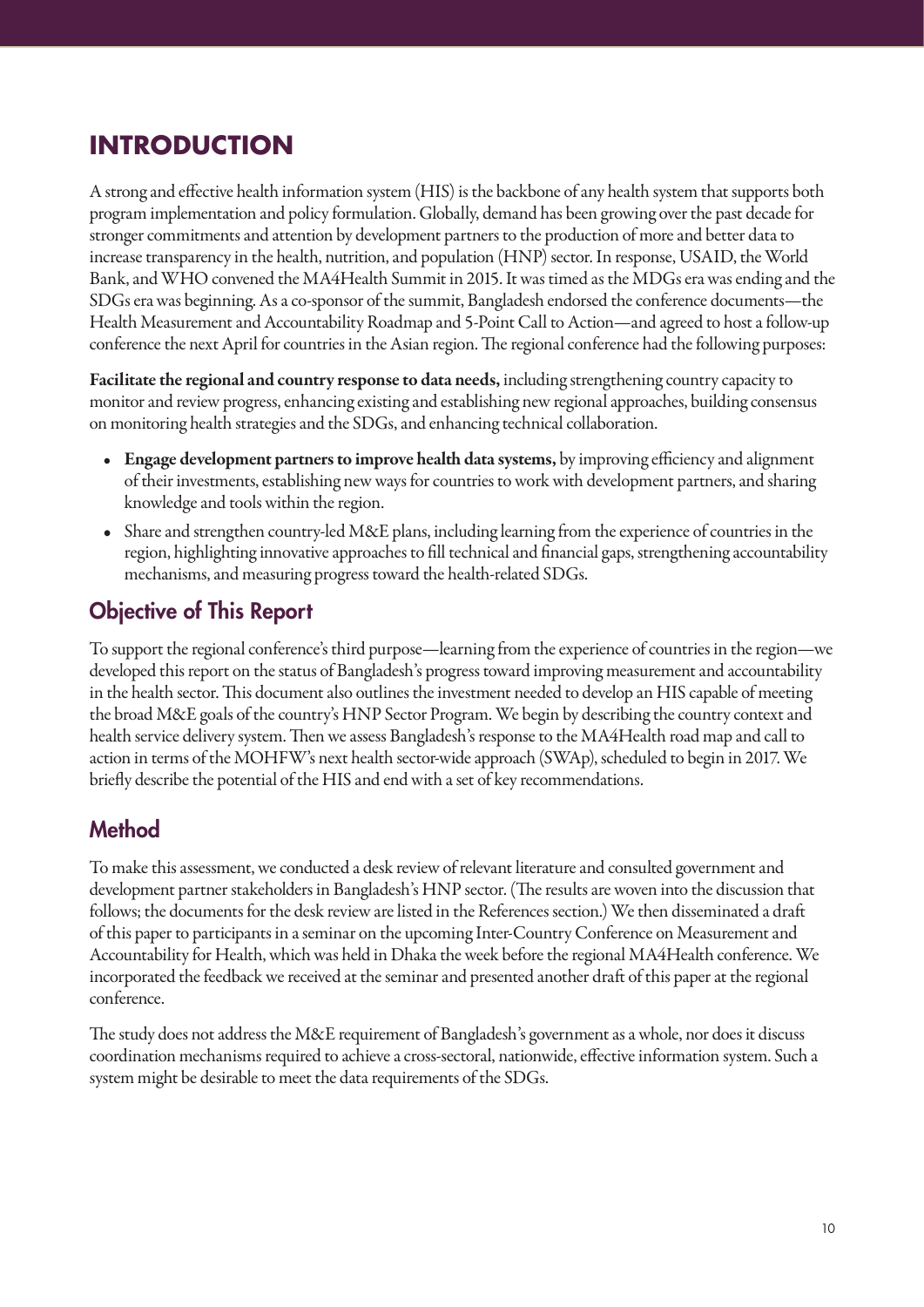# **INTRODUCTION**

A strong and effective health information system (HIS) is the backbone of any health system that supports both program implementation and policy formulation. Globally, demand has been growing over the past decade for stronger commitments and attention by development partners to the production of more and better data to increase transparency in the health, nutrition, and population (HNP) sector. In response, USAID, the World Bank, and WHO convened the MA4Health Summit in 2015. It was timed as the MDGs era was ending and the SDGs era was beginning. As a co-sponsor of the summit, Bangladesh endorsed the conference documents—the Health Measurement and Accountability Roadmap and 5-Point Call to Action—and agreed to host a follow-up conference the next April for countries in the Asian region. The regional conference had the following purposes:

Facilitate the regional and country response to data needs, including strengthening country capacity to monitor and review progress, enhancing existing and establishing new regional approaches, building consensus on monitoring health strategies and the SDGs, and enhancing technical collaboration.

- Engage development partners to improve health data systems, by improving efficiency and alignment of their investments, establishing new ways for countries to work with development partners, and sharing knowledge and tools within the region.
- Share and strengthen country-led M&E plans, including learning from the experience of countries in the region, highlighting innovative approaches to fill technical and financial gaps, strengthening accountability mechanisms, and measuring progress toward the health-related SDGs.

# Objective of This Report

To support the regional conference's third purpose—learning from the experience of countries in the region—we developed this report on the status of Bangladesh's progress toward improving measurement and accountability in the health sector. This document also outlines the investment needed to develop an HIS capable of meeting the broad M&E goals of the country's HNP Sector Program. We begin by describing the country context and health service delivery system. Then we assess Bangladesh's response to the MA4Health road map and call to action in terms of the MOHFW's next health sector-wide approach (SWAp), scheduled to begin in 2017. We briefly describe the potential of the HIS and end with a set of key recommendations.

# **Method**

To make this assessment, we conducted a desk review of relevant literature and consulted government and development partner stakeholders in Bangladesh's HNP sector. (The results are woven into the discussion that follows; the documents for the desk review are listed in the References section.) We then disseminated a draft of this paper to participants in a seminar on the upcoming Inter-Country Conference on Measurement and Accountability for Health, which was held in Dhaka the week before the regional MA4Health conference. We incorporated the feedback we received at the seminar and presented another draft of this paper at the regional conference.

The study does not address the M&E requirement of Bangladesh's government as a whole, nor does it discuss coordination mechanisms required to achieve a cross-sectoral, nationwide, effective information system. Such a system might be desirable to meet the data requirements of the SDGs.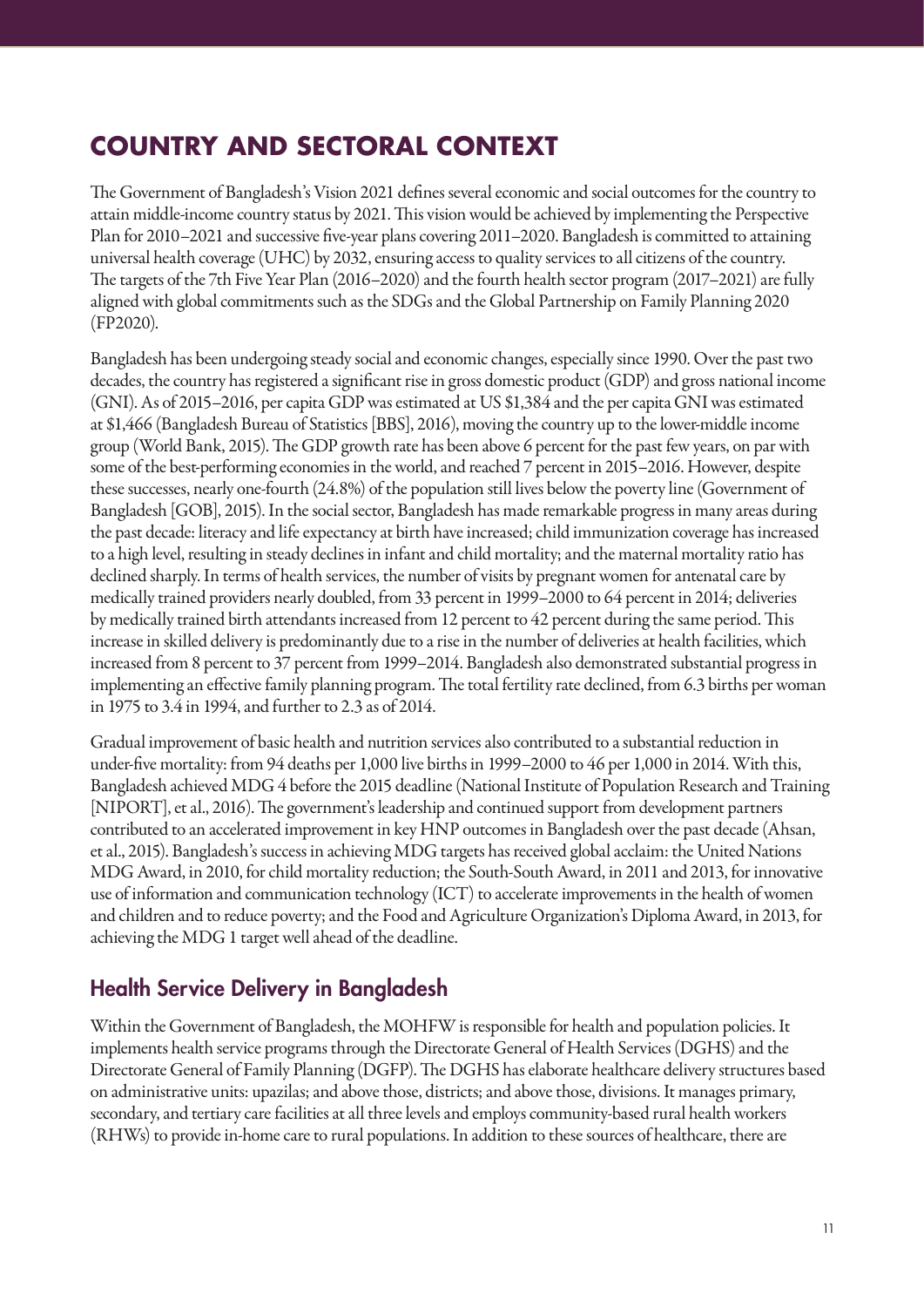# **COUNTRY AND SECTORAL CONTEXT**

The Government of Bangladesh's Vision 2021 defines several economic and social outcomes for the country to attain middle-income country status by 2021. This vision would be achieved by implementing the Perspective Plan for 2010–2021 and successive five-year plans covering 2011–2020. Bangladesh is committed to attaining universal health coverage (UHC) by 2032, ensuring access to quality services to all citizens of the country. The targets of the 7th Five Year Plan (2016–2020) and the fourth health sector program (2017–2021) are fully aligned with global commitments such as the SDGs and the Global Partnership on Family Planning 2020 (FP2020).

Bangladesh has been undergoing steady social and economic changes, especially since 1990. Over the past two decades, the country has registered a significant rise in gross domestic product (GDP) and gross national income (GNI). As of 2015–2016, per capita GDP was estimated at US \$1,384 and the per capita GNI was estimated at \$1,466 (Bangladesh Bureau of Statistics [BBS], 2016), moving the country up to the lower-middle income group (World Bank, 2015). The GDP growth rate has been above 6 percent for the past few years, on par with some of the best-performing economies in the world, and reached 7 percent in 2015–2016. However, despite these successes, nearly one-fourth (24.8%) of the population still lives below the poverty line (Government of Bangladesh [GOB], 2015). In the social sector, Bangladesh has made remarkable progress in many areas during the past decade: literacy and life expectancy at birth have increased; child immunization coverage has increased to a high level, resulting in steady declines in infant and child mortality; and the maternal mortality ratio has declined sharply. In terms of health services, the number of visits by pregnant women for antenatal care by medically trained providers nearly doubled, from 33 percent in 1999–2000 to 64 percent in 2014; deliveries by medically trained birth attendants increased from 12 percent to 42 percent during the same period. This increase in skilled delivery is predominantly due to a rise in the number of deliveries at health facilities, which increased from 8 percent to 37 percent from 1999–2014. Bangladesh also demonstrated substantial progress in implementing an effective family planning program. The total fertility rate declined, from 6.3 births per woman in 1975 to 3.4 in 1994, and further to 2.3 as of 2014.

Gradual improvement of basic health and nutrition services also contributed to a substantial reduction in under-five mortality: from 94 deaths per 1,000 live births in 1999–2000 to 46 per 1,000 in 2014. With this, Bangladesh achieved MDG 4 before the 2015 deadline (National Institute of Population Research and Training [NIPORT], et al., 2016). The government's leadership and continued support from development partners contributed to an accelerated improvement in key HNP outcomes in Bangladesh over the past decade (Ahsan, et al., 2015). Bangladesh's success in achieving MDG targets has received global acclaim: the United Nations MDG Award, in 2010, for child mortality reduction; the South-South Award, in 2011 and 2013, for innovative use of information and communication technology (ICT) to accelerate improvements in the health of women and children and to reduce poverty; and the Food and Agriculture Organization's Diploma Award, in 2013, for achieving the MDG 1 target well ahead of the deadline.

## Health Service Delivery in Bangladesh

Within the Government of Bangladesh, the MOHFW is responsible for health and population policies. It implements health service programs through the Directorate General of Health Services (DGHS) and the Directorate General of Family Planning (DGFP). The DGHS has elaborate healthcare delivery structures based on administrative units: upazilas; and above those, districts; and above those, divisions. It manages primary, secondary, and tertiary care facilities at all three levels and employs community-based rural health workers (RHWs) to provide in-home care to rural populations. In addition to these sources of healthcare, there are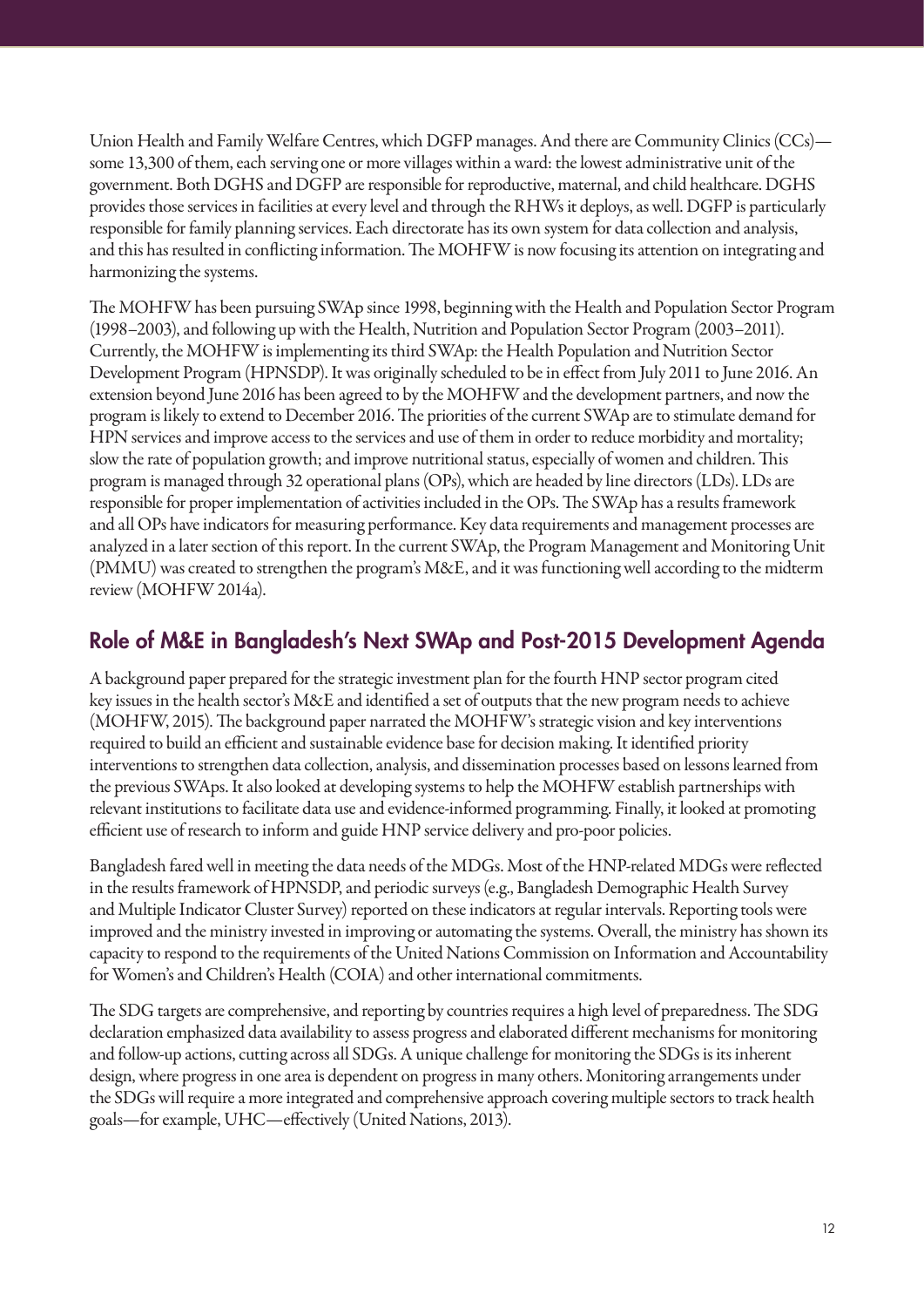Union Health and Family Welfare Centres, which DGFP manages. And there are Community Clinics (CCs) some 13,300 of them, each serving one or more villages within a ward: the lowest administrative unit of the government. Both DGHS and DGFP are responsible for reproductive, maternal, and child healthcare. DGHS provides those services in facilities at every level and through the RHWs it deploys, as well. DGFP is particularly responsible for family planning services. Each directorate has its own system for data collection and analysis, and this has resulted in conflicting information. The MOHFW is now focusing its attention on integrating and harmonizing the systems.

The MOHFW has been pursuing SWAp since 1998, beginning with the Health and Population Sector Program (1998–2003), and following up with the Health, Nutrition and Population Sector Program (2003–2011). Currently, the MOHFW is implementing its third SWAp: the Health Population and Nutrition Sector Development Program (HPNSDP). It was originally scheduled to be in effect from July 2011 to June 2016. An extension beyond June 2016 has been agreed to by the MOHFW and the development partners, and now the program is likely to extend to December 2016. The priorities of the current SWAp are to stimulate demand for HPN services and improve access to the services and use of them in order to reduce morbidity and mortality; slow the rate of population growth; and improve nutritional status, especially of women and children. This program is managed through 32 operational plans (OPs), which are headed by line directors (LDs). LDs are responsible for proper implementation of activities included in the OPs. The SWAp has a results framework and all OPs have indicators for measuring performance. Key data requirements and management processes are analyzed in a later section of this report. In the current SWAp, the Program Management and Monitoring Unit (PMMU) was created to strengthen the program's M&E, and it was functioning well according to the midterm review (MOHFW 2014a).

## Role of M&E in Bangladesh's Next SWAp and Post-2015 Development Agenda

A background paper prepared for the strategic investment plan for the fourth HNP sector program cited key issues in the health sector's M&E and identified a set of outputs that the new program needs to achieve (MOHFW, 2015). The background paper narrated the MOHFW's strategic vision and key interventions required to build an efficient and sustainable evidence base for decision making. It identified priority interventions to strengthen data collection, analysis, and dissemination processes based on lessons learned from the previous SWAps. It also looked at developing systems to help the MOHFW establish partnerships with relevant institutions to facilitate data use and evidence-informed programming. Finally, it looked at promoting efficient use of research to inform and guide HNP service delivery and pro-poor policies.

Bangladesh fared well in meeting the data needs of the MDGs. Most of the HNP-related MDGs were reflected in the results framework of HPNSDP, and periodic surveys (e.g., Bangladesh Demographic Health Survey and Multiple Indicator Cluster Survey) reported on these indicators at regular intervals. Reporting tools were improved and the ministry invested in improving or automating the systems. Overall, the ministry has shown its capacity to respond to the requirements of the United Nations Commission on Information and Accountability for Women's and Children's Health (COIA) and other international commitments.

The SDG targets are comprehensive, and reporting by countries requires a high level of preparedness. The SDG declaration emphasized data availability to assess progress and elaborated different mechanisms for monitoring and follow-up actions, cutting across all SDGs. A unique challenge for monitoring the SDGs is its inherent design, where progress in one area is dependent on progress in many others. Monitoring arrangements under the SDGs will require a more integrated and comprehensive approach covering multiple sectors to track health goals—for example, UHC—effectively (United Nations, 2013).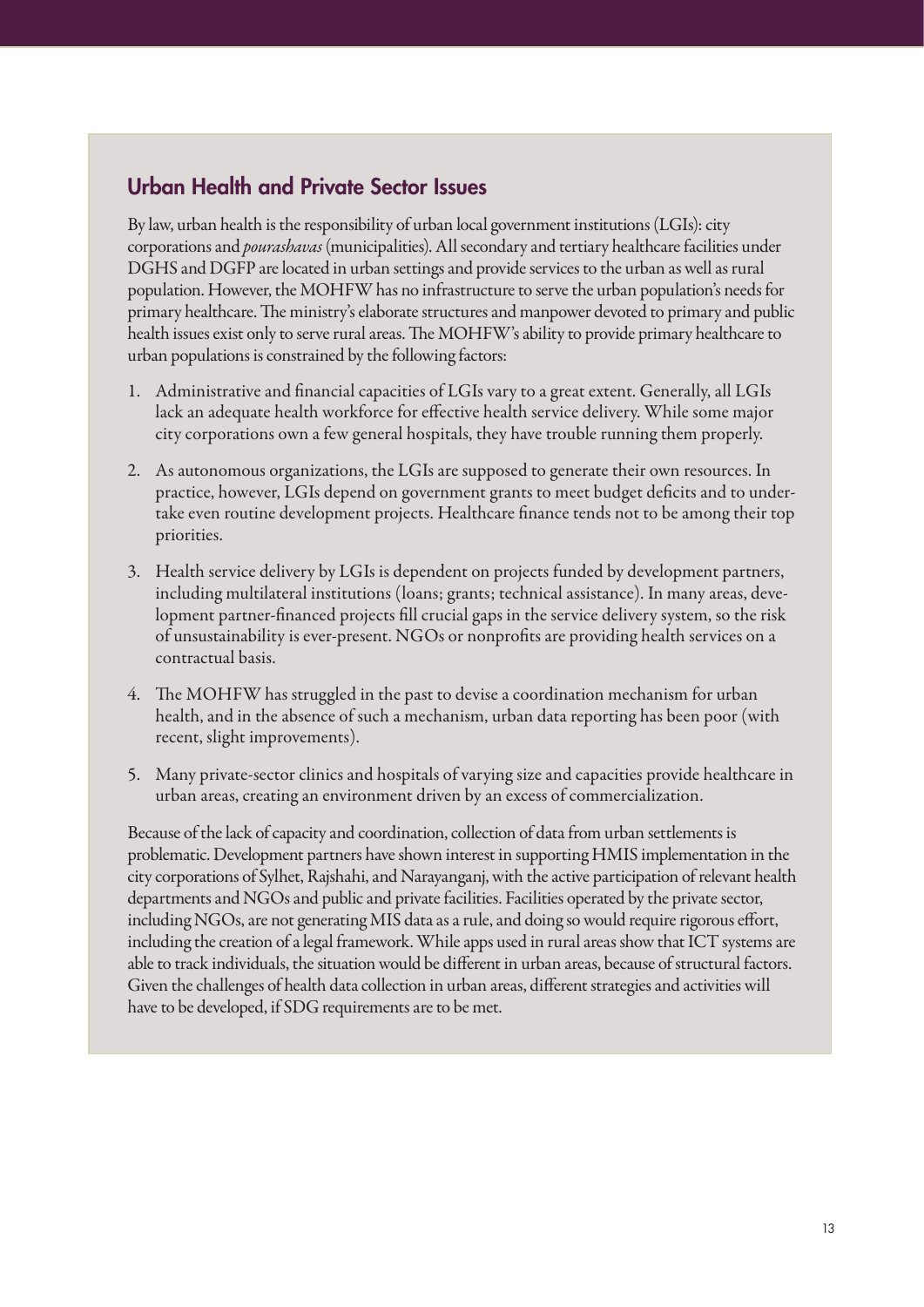### Urban Health and Private Sector Issues

By law, urban health is the responsibility of urban local government institutions (LGIs): city corporations and *pourashavas* (municipalities). All secondary and tertiary healthcare facilities under DGHS and DGFP are located in urban settings and provide services to the urban as well as rural population. However, the MOHFW has no infrastructure to serve the urban population's needs for primary healthcare. The ministry's elaborate structures and manpower devoted to primary and public health issues exist only to serve rural areas. The MOHFW's ability to provide primary healthcare to urban populations is constrained by the following factors:

- 1. Administrative and financial capacities of LGIs vary to a great extent. Generally, all LGIs lack an adequate health workforce for effective health service delivery. While some major city corporations own a few general hospitals, they have trouble running them properly.
- 2. As autonomous organizations, the LGIs are supposed to generate their own resources. In practice, however, LGIs depend on government grants to meet budget deficits and to undertake even routine development projects. Healthcare finance tends not to be among their top priorities.
- 3. Health service delivery by LGIs is dependent on projects funded by development partners, including multilateral institutions (loans; grants; technical assistance). In many areas, development partner-financed projects fill crucial gaps in the service delivery system, so the risk of unsustainability is ever-present. NGOs or nonprofits are providing health services on a contractual basis.
- 4. The MOHFW has struggled in the past to devise a coordination mechanism for urban health, and in the absence of such a mechanism, urban data reporting has been poor (with recent, slight improvements).
- 5. Many private-sector clinics and hospitals of varying size and capacities provide healthcare in urban areas, creating an environment driven by an excess of commercialization.

Because of the lack of capacity and coordination, collection of data from urban settlements is problematic. Development partners have shown interest in supporting HMIS implementation in the city corporations of Sylhet, Rajshahi, and Narayanganj, with the active participation of relevant health departments and NGOs and public and private facilities. Facilities operated by the private sector, including NGOs, are not generating MIS data as a rule, and doing so would require rigorous effort, including the creation of a legal framework. While apps used in rural areas show that ICT systems are able to track individuals, the situation would be different in urban areas, because of structural factors. Given the challenges of health data collection in urban areas, different strategies and activities will have to be developed, if SDG requirements are to be met.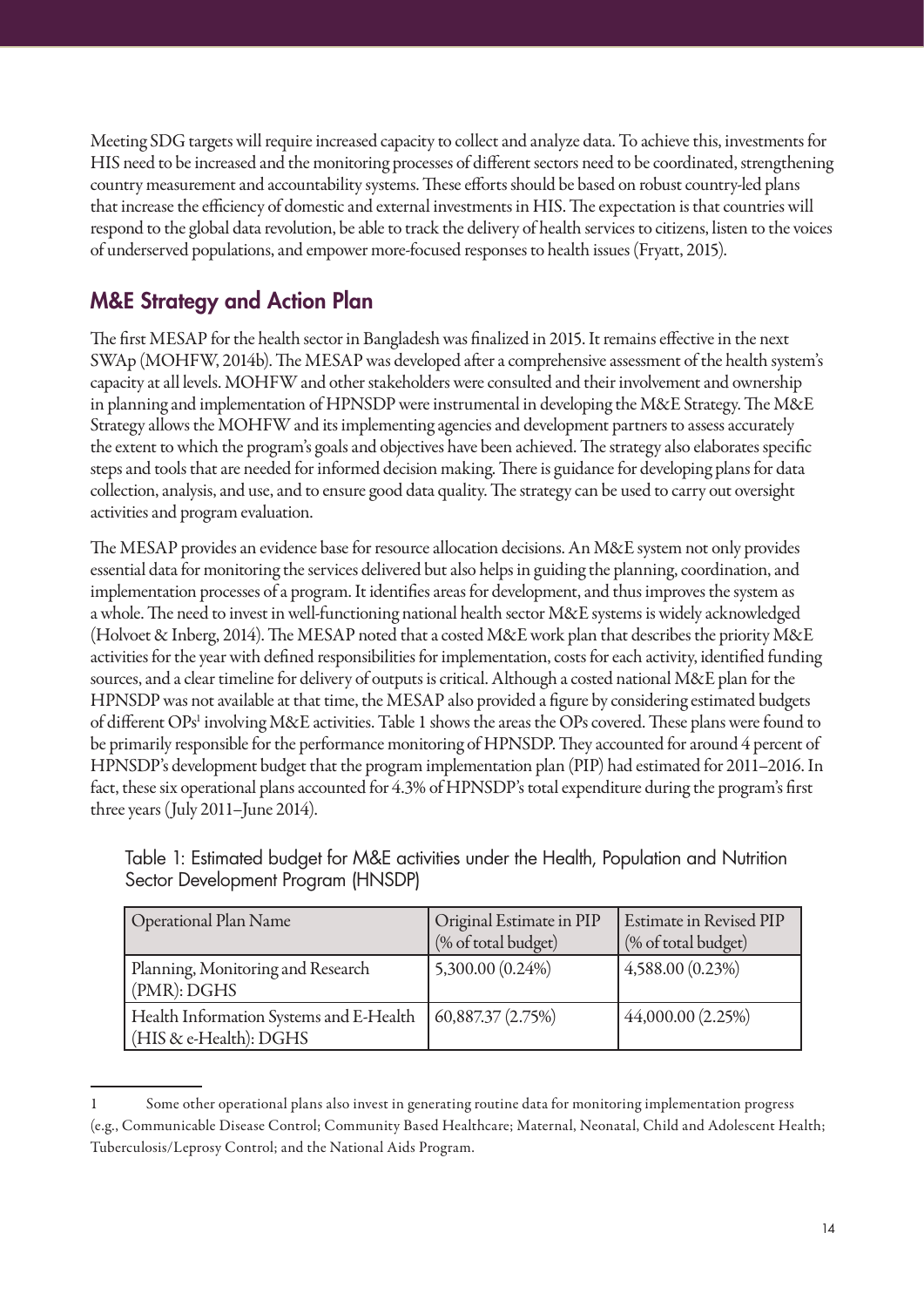Meeting SDG targets will require increased capacity to collect and analyze data. To achieve this, investments for HIS need to be increased and the monitoring processes of different sectors need to be coordinated, strengthening country measurement and accountability systems. These efforts should be based on robust country-led plans that increase the efficiency of domestic and external investments in HIS. The expectation is that countries will respond to the global data revolution, be able to track the delivery of health services to citizens, listen to the voices of underserved populations, and empower more-focused responses to health issues (Fryatt, 2015).

# M&E Strategy and Action Plan

The first MESAP for the health sector in Bangladesh was finalized in 2015. It remains effective in the next SWAp (MOHFW, 2014b). The MESAP was developed after a comprehensive assessment of the health system's capacity at all levels. MOHFW and other stakeholders were consulted and their involvement and ownership in planning and implementation of HPNSDP were instrumental in developing the M&E Strategy. The M&E Strategy allows the MOHFW and its implementing agencies and development partners to assess accurately the extent to which the program's goals and objectives have been achieved. The strategy also elaborates specific steps and tools that are needed for informed decision making. There is guidance for developing plans for data collection, analysis, and use, and to ensure good data quality. The strategy can be used to carry out oversight activities and program evaluation.

The MESAP provides an evidence base for resource allocation decisions. An M&E system not only provides essential data for monitoring the services delivered but also helps in guiding the planning, coordination, and implementation processes of a program. It identifies areas for development, and thus improves the system as a whole. The need to invest in well-functioning national health sector M&E systems is widely acknowledged (Holvoet & Inberg, 2014). The MESAP noted that a costed M&E work plan that describes the priority M&E activities for the year with defined responsibilities for implementation, costs for each activity, identified funding sources, and a clear timeline for delivery of outputs is critical. Although a costed national M&E plan for the HPNSDP was not available at that time, the MESAP also provided a figure by considering estimated budgets of different OPs<sup>1</sup> involving M&E activities. Table 1 shows the areas the OPs covered. These plans were found to be primarily responsible for the performance monitoring of HPNSDP. They accounted for around 4 percent of HPNSDP's development budget that the program implementation plan (PIP) had estimated for 2011–2016. In fact, these six operational plans accounted for 4.3% of HPNSDP's total expenditure during the program's first three years (July 2011–June 2014).

| <b>Operational Plan Name</b>                                      | Original Estimate in PIP<br>(% of total budget) | <b>Estimate in Revised PIP</b><br>(% of total budget) |
|-------------------------------------------------------------------|-------------------------------------------------|-------------------------------------------------------|
| Planning, Monitoring and Research<br>(PMR):DGHS                   | 5,300.00 (0.24%)                                | 4,588.00 (0.23%)                                      |
| Health Information Systems and E-Health<br>(HIS & e-Health): DGHS | 60,887.37 (2.75%)                               | 44,000.00 (2.25%)                                     |

Table 1: Estimated budget for M&E activities under the Health, Population and Nutrition Sector Development Program (HNSDP)

<sup>1</sup> Some other operational plans also invest in generating routine data for monitoring implementation progress (e.g., Communicable Disease Control; Community Based Healthcare; Maternal, Neonatal, Child and Adolescent Health; Tuberculosis/Leprosy Control; and the National Aids Program.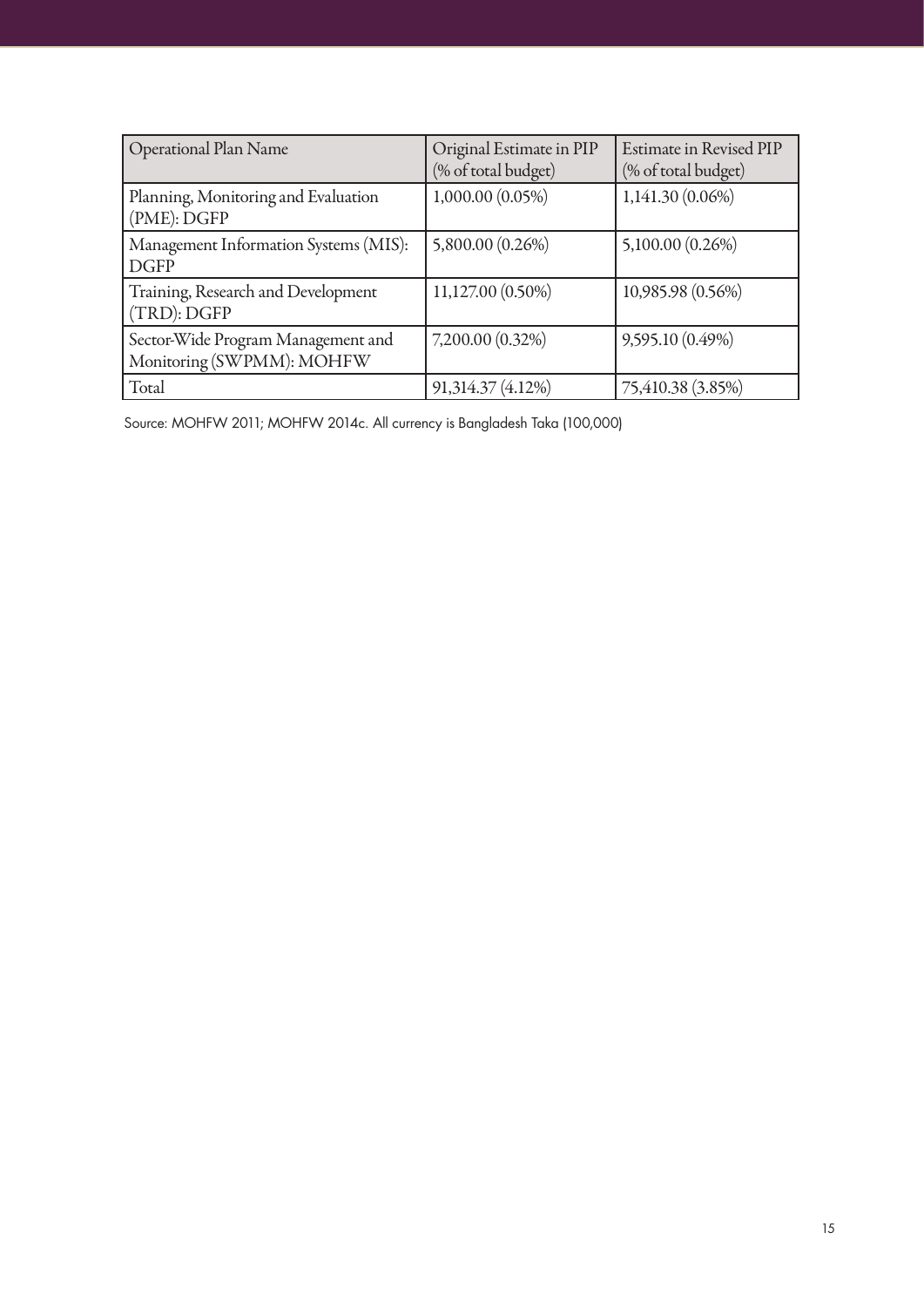| <b>Operational Plan Name</b>                                    | Original Estimate in PIP<br>(% of total budget) | <b>Estimate in Revised PIP</b><br>(% of total budget) |
|-----------------------------------------------------------------|-------------------------------------------------|-------------------------------------------------------|
| Planning, Monitoring and Evaluation<br>(PME): DGFP              | 1,000.00 (0.05%)                                | 1,141.30 (0.06%)                                      |
| Management Information Systems (MIS):<br><b>DGFP</b>            | 5,800.00 (0.26%)                                | 5,100.00 (0.26%)                                      |
| Training, Research and Development<br>(TRD): DGFP               | 11,127.00 (0.50%)                               | 10,985.98 (0.56%)                                     |
| Sector-Wide Program Management and<br>Monitoring (SWPMM): MOHFW | 7,200.00 (0.32%)                                | 9,595.10 (0.49%)                                      |
| Total                                                           | 91,314.37 (4.12%)                               | 75,410.38 (3.85%)                                     |

Source: MOHFW 2011; MOHFW 2014c. All currency is Bangladesh Taka (100,000)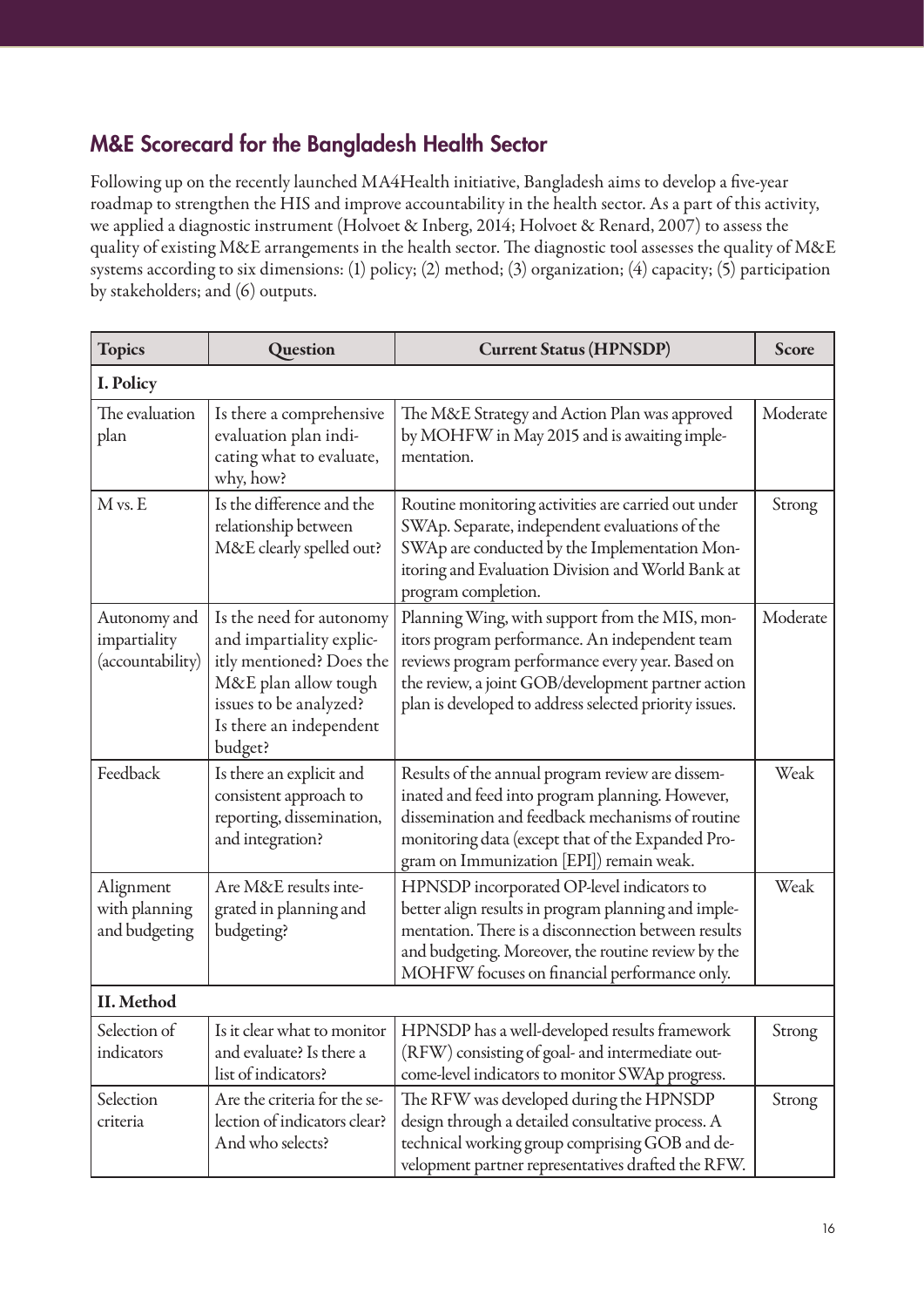# M&E Scorecard for the Bangladesh Health Sector

Following up on the recently launched MA4Health initiative, Bangladesh aims to develop a five-year roadmap to strengthen the HIS and improve accountability in the health sector. As a part of this activity, we applied a diagnostic instrument (Holvoet & Inberg, 2014; Holvoet & Renard, 2007) to assess the quality of existing M&E arrangements in the health sector. The diagnostic tool assesses the quality of M&E systems according to six dimensions: (1) policy; (2) method; (3) organization; (4) capacity; (5) participation by stakeholders; and (6) outputs.

| <b>Topics</b>                                    | Question                                                                                                                                                                 | <b>Current Status (HPNSDP)</b>                                                                                                                                                                                                                                       | <b>Score</b> |
|--------------------------------------------------|--------------------------------------------------------------------------------------------------------------------------------------------------------------------------|----------------------------------------------------------------------------------------------------------------------------------------------------------------------------------------------------------------------------------------------------------------------|--------------|
| I. Policy                                        |                                                                                                                                                                          |                                                                                                                                                                                                                                                                      |              |
| The evaluation<br>plan                           | Is there a comprehensive<br>evaluation plan indi-<br>cating what to evaluate,<br>why, how?                                                                               | The M&E Strategy and Action Plan was approved<br>by MOHFW in May 2015 and is awaiting imple-<br>mentation.                                                                                                                                                           | Moderate     |
| $M$ vs. $E$                                      | Is the difference and the<br>relationship between<br>M&E clearly spelled out?                                                                                            | Routine monitoring activities are carried out under<br>SWAp. Separate, independent evaluations of the<br>SWAp are conducted by the Implementation Mon-<br>itoring and Evaluation Division and World Bank at<br>program completion.                                   | Strong       |
| Autonomy and<br>impartiality<br>(accountability) | Is the need for autonomy<br>and impartiality explic-<br>itly mentioned? Does the<br>M&E plan allow tough<br>issues to be analyzed?<br>Is there an independent<br>budget? | Planning Wing, with support from the MIS, mon-<br>itors program performance. An independent team<br>reviews program performance every year. Based on<br>the review, a joint GOB/development partner action<br>plan is developed to address selected priority issues. | Moderate     |
| Feedback                                         | Is there an explicit and<br>consistent approach to<br>reporting, dissemination,<br>and integration?                                                                      | Results of the annual program review are dissem-<br>inated and feed into program planning. However,<br>dissemination and feedback mechanisms of routine<br>monitoring data (except that of the Expanded Pro-<br>gram on Immunization [EPI]) remain weak.             | Weak         |
| Alignment<br>with planning<br>and budgeting      | Are M&E results inte-<br>grated in planning and<br>budgeting?                                                                                                            | HPNSDP incorporated OP-level indicators to<br>better align results in program planning and imple-<br>mentation. There is a disconnection between results<br>and budgeting. Moreover, the routine review by the<br>MOHFW focuses on financial performance only.       | Weak         |
| II. Method                                       |                                                                                                                                                                          |                                                                                                                                                                                                                                                                      |              |
| Selection of<br>indicators                       | Is it clear what to monitor<br>and evaluate? Is there a<br>list of indicators?                                                                                           | HPNSDP has a well-developed results framework<br>(RFW) consisting of goal- and intermediate out-<br>come-level indicators to monitor SWAp progress.                                                                                                                  | Strong       |
| Selection<br>criteria                            | Are the criteria for the se-<br>lection of indicators clear?<br>And who selects?                                                                                         | The RFW was developed during the HPNSDP<br>design through a detailed consultative process. A<br>technical working group comprising GOB and de-<br>velopment partner representatives drafted the RFW.                                                                 | Strong       |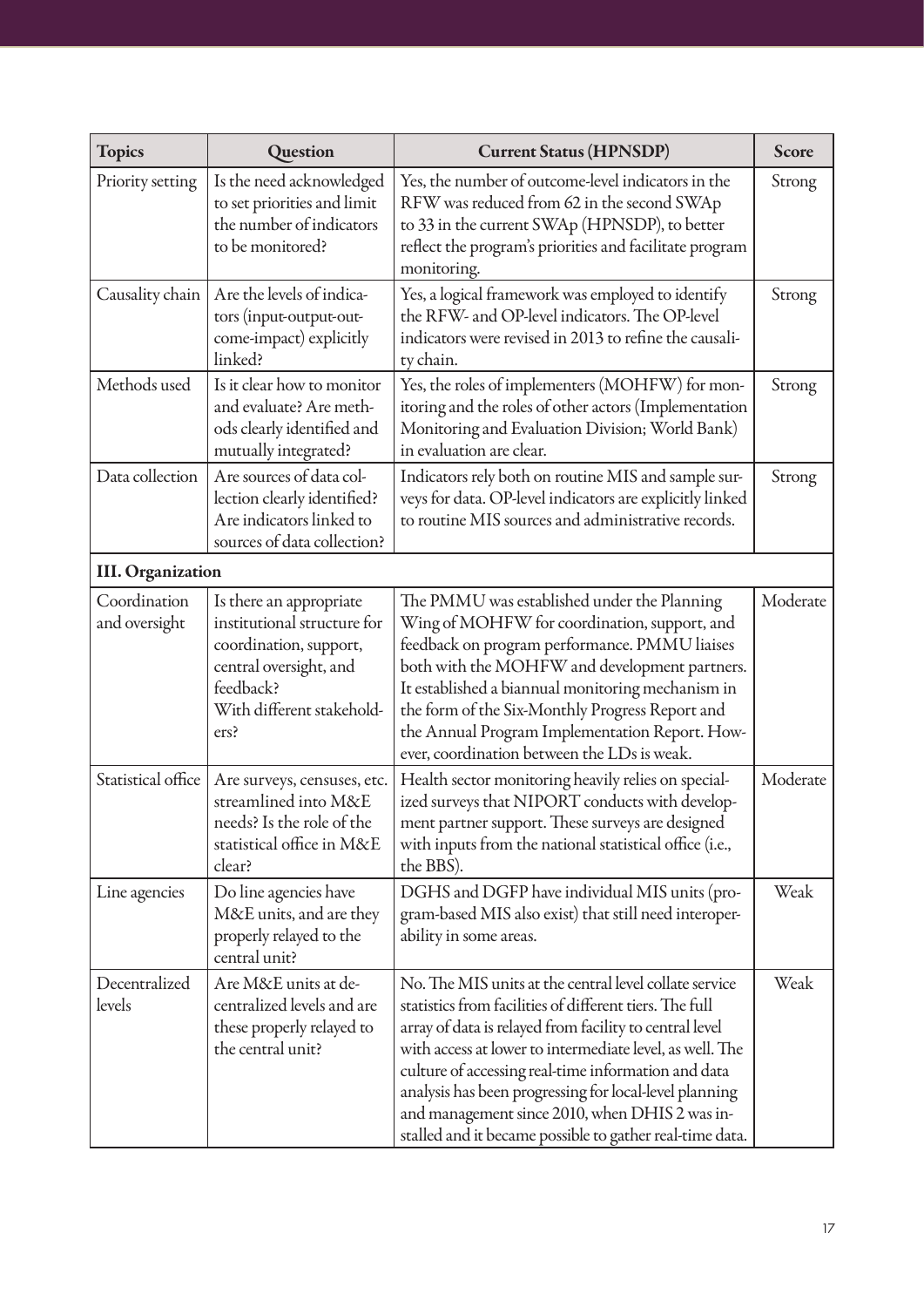| <b>Topics</b>                 | Question                                                                                                                                                     | <b>Current Status (HPNSDP)</b>                                                                                                                                                                                                                                                                                                                                                                                                                                          | <b>Score</b> |
|-------------------------------|--------------------------------------------------------------------------------------------------------------------------------------------------------------|-------------------------------------------------------------------------------------------------------------------------------------------------------------------------------------------------------------------------------------------------------------------------------------------------------------------------------------------------------------------------------------------------------------------------------------------------------------------------|--------------|
| Priority setting              | Is the need acknowledged<br>to set priorities and limit<br>the number of indicators<br>to be monitored?                                                      | Yes, the number of outcome-level indicators in the<br>RFW was reduced from 62 in the second SWAp<br>to 33 in the current SWAp (HPNSDP), to better<br>reflect the program's priorities and facilitate program<br>monitoring.                                                                                                                                                                                                                                             | Strong       |
| Causality chain               | Are the levels of indica-<br>tors (input-output-out-<br>come-impact) explicitly<br>linked?                                                                   | Yes, a logical framework was employed to identify<br>the RFW- and OP-level indicators. The OP-level<br>indicators were revised in 2013 to refine the causali-<br>ty chain.                                                                                                                                                                                                                                                                                              | Strong       |
| Methods used                  | Is it clear how to monitor<br>and evaluate? Are meth-<br>ods clearly identified and<br>mutually integrated?                                                  | Yes, the roles of implementers (MOHFW) for mon-<br>itoring and the roles of other actors (Implementation<br>Monitoring and Evaluation Division; World Bank)<br>in evaluation are clear.                                                                                                                                                                                                                                                                                 | Strong       |
| Data collection               | Are sources of data col-<br>lection clearly identified?<br>Are indicators linked to<br>sources of data collection?                                           | Indicators rely both on routine MIS and sample sur-<br>veys for data. OP-level indicators are explicitly linked<br>to routine MIS sources and administrative records.                                                                                                                                                                                                                                                                                                   | Strong       |
| <b>III. Organization</b>      |                                                                                                                                                              |                                                                                                                                                                                                                                                                                                                                                                                                                                                                         |              |
| Coordination<br>and oversight | Is there an appropriate<br>institutional structure for<br>coordination, support,<br>central oversight, and<br>feedback?<br>With different stakehold-<br>ers? | The PMMU was established under the Planning<br>Wing of MOHFW for coordination, support, and<br>feedback on program performance. PMMU liaises<br>both with the MOHFW and development partners.<br>It established a biannual monitoring mechanism in<br>the form of the Six-Monthly Progress Report and<br>the Annual Program Implementation Report. How-<br>ever, coordination between the LDs is weak.                                                                  | Moderate     |
| Statistical office            | Are surveys, censuses, etc.<br>streamlined into M&E<br>needs? Is the role of the<br>statistical office in M&E<br>clear?                                      | Health sector monitoring heavily relies on special-<br>ized surveys that NIPORT conducts with develop-<br>ment partner support. These surveys are designed<br>with inputs from the national statistical office (i.e.,<br>the BBS).                                                                                                                                                                                                                                      | Moderate     |
| Line agencies                 | Do line agencies have<br>M&E units, and are they<br>properly relayed to the<br>central unit?                                                                 | DGHS and DGFP have individual MIS units (pro-<br>gram-based MIS also exist) that still need interoper-<br>ability in some areas.                                                                                                                                                                                                                                                                                                                                        | Weak         |
| Decentralized<br>levels       | Are M&E units at de-<br>centralized levels and are<br>these properly relayed to<br>the central unit?                                                         | No. The MIS units at the central level collate service<br>statistics from facilities of different tiers. The full<br>array of data is relayed from facility to central level<br>with access at lower to intermediate level, as well. The<br>culture of accessing real-time information and data<br>analysis has been progressing for local-level planning<br>and management since 2010, when DHIS 2 was in-<br>stalled and it became possible to gather real-time data. | Weak         |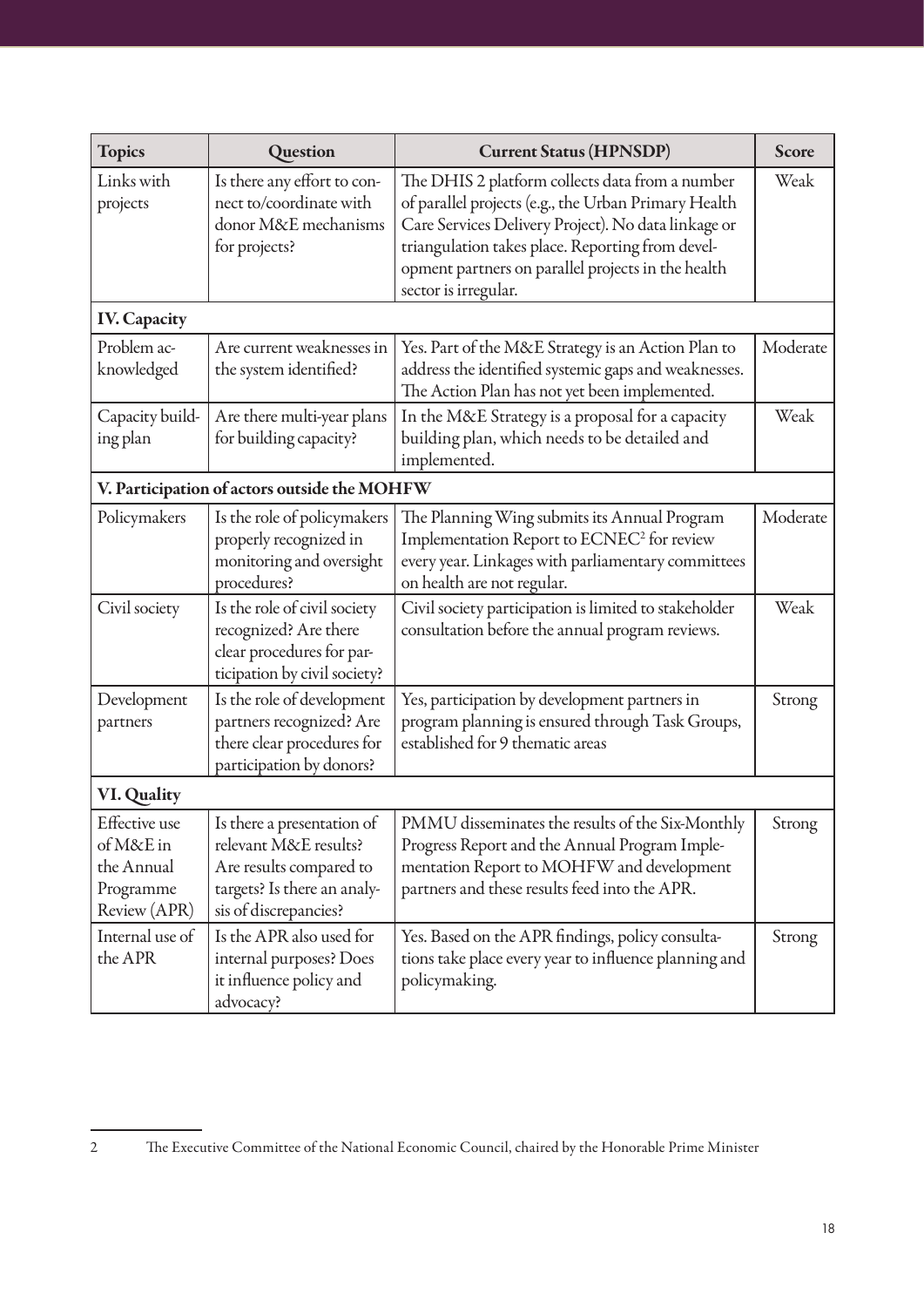| <b>Topics</b>                                                         | Question                                                                                                                               | <b>Current Status (HPNSDP)</b>                                                                                                                                                                                                                                                                   | <b>Score</b> |
|-----------------------------------------------------------------------|----------------------------------------------------------------------------------------------------------------------------------------|--------------------------------------------------------------------------------------------------------------------------------------------------------------------------------------------------------------------------------------------------------------------------------------------------|--------------|
| Links with<br>projects                                                | Is there any effort to con-<br>nect to/coordinate with<br>donor M&E mechanisms<br>for projects?                                        | The DHIS 2 platform collects data from a number<br>of parallel projects (e.g., the Urban Primary Health<br>Care Services Delivery Project). No data linkage or<br>triangulation takes place. Reporting from devel-<br>opment partners on parallel projects in the health<br>sector is irregular. | Weak         |
| <b>IV. Capacity</b>                                                   |                                                                                                                                        |                                                                                                                                                                                                                                                                                                  |              |
| Problem ac-<br>knowledged                                             | Are current weaknesses in<br>the system identified?                                                                                    | Yes. Part of the M&E Strategy is an Action Plan to<br>address the identified systemic gaps and weaknesses.<br>The Action Plan has not yet been implemented.                                                                                                                                      | Moderate     |
| Capacity build-<br>ing plan                                           | Are there multi-year plans<br>for building capacity?                                                                                   | In the M&E Strategy is a proposal for a capacity<br>building plan, which needs to be detailed and<br>implemented.                                                                                                                                                                                | Weak         |
|                                                                       | V. Participation of actors outside the MOHFW                                                                                           |                                                                                                                                                                                                                                                                                                  |              |
| Policymakers                                                          | Is the role of policymakers<br>properly recognized in<br>monitoring and oversight<br>procedures?                                       | The Planning Wing submits its Annual Program<br>Implementation Report to ECNEC <sup>2</sup> for review<br>every year. Linkages with parliamentary committees<br>on health are not regular.                                                                                                       | Moderate     |
| Civil society                                                         | Is the role of civil society<br>recognized? Are there<br>clear procedures for par-<br>ticipation by civil society?                     | Civil society participation is limited to stakeholder<br>consultation before the annual program reviews.                                                                                                                                                                                         | Weak         |
| Development<br>partners                                               | Is the role of development<br>partners recognized? Are<br>there clear procedures for<br>participation by donors?                       | Yes, participation by development partners in<br>program planning is ensured through Task Groups,<br>established for 9 thematic areas                                                                                                                                                            | Strong       |
| <b>VI. Quality</b>                                                    |                                                                                                                                        |                                                                                                                                                                                                                                                                                                  |              |
| Effective use<br>of M&E in<br>the Annual<br>Programme<br>Review (APR) | Is there a presentation of<br>relevant M&E results?<br>Are results compared to<br>targets? Is there an analy-<br>sis of discrepancies? | PMMU disseminates the results of the Six-Monthly<br>Progress Report and the Annual Program Imple-<br>mentation Report to MOHFW and development<br>partners and these results feed into the APR.                                                                                                  | Strong       |
| Internal use of<br>the APR                                            | Is the APR also used for<br>internal purposes? Does<br>it influence policy and<br>advocacy?                                            | Yes. Based on the APR findings, policy consulta-<br>tions take place every year to influence planning and<br>policymaking.                                                                                                                                                                       | Strong       |

<sup>2</sup> The Executive Committee of the National Economic Council, chaired by the Honorable Prime Minister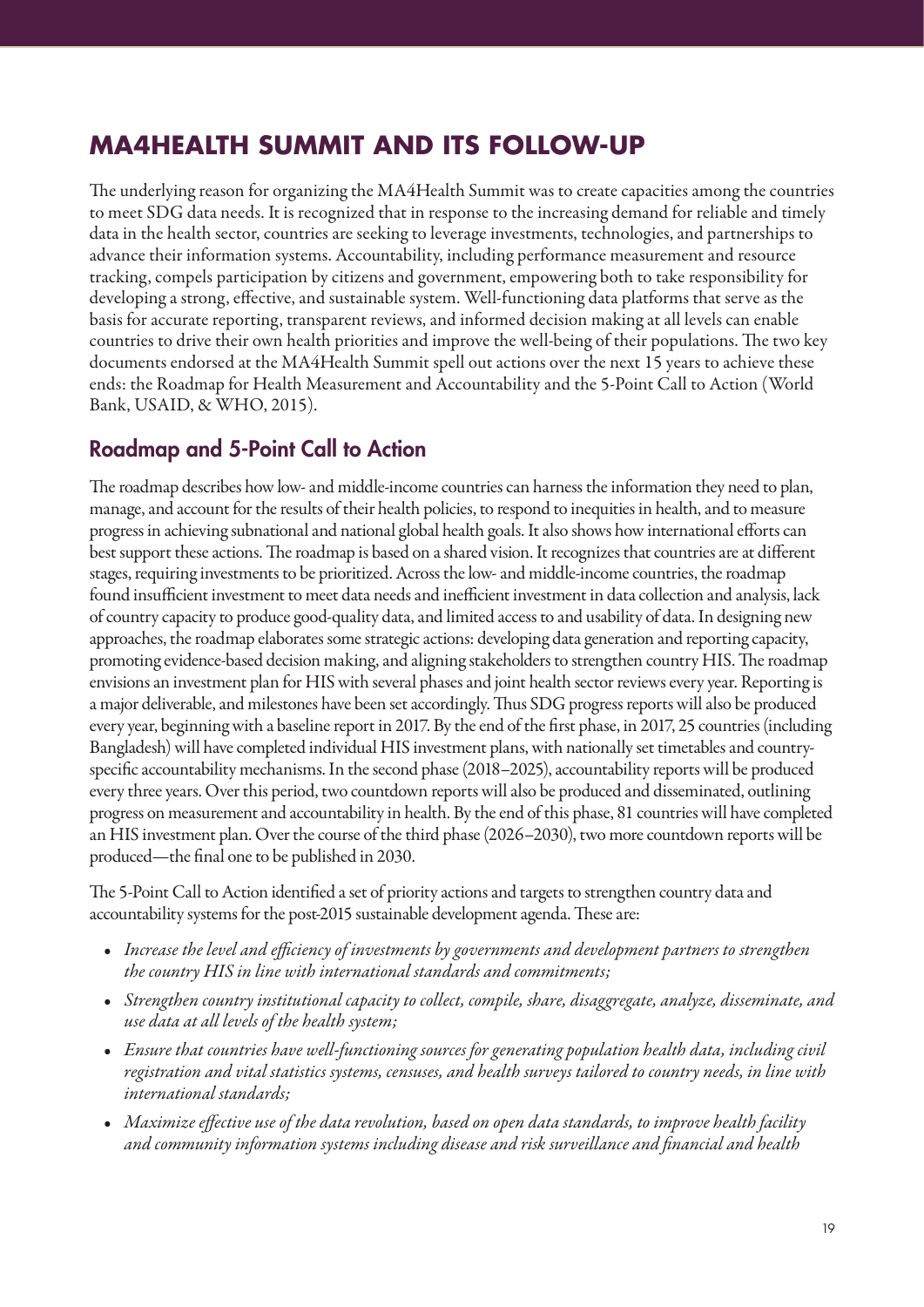# **MA4HEALTH SUMMIT AND ITS FOLLOW-UP**

The underlying reason for organizing the MA4Health Summit was to create capacities among the countries to meet SDG data needs. It is recognized that in response to the increasing demand for reliable and timely data in the health sector, countries are seeking to leverage investments, technologies, and partnerships to advance their information systems. Accountability, including performance measurement and resource tracking, compels participation by citizens and government, empowering both to take responsibility for developing a strong, effective, and sustainable system. Well-functioning data platforms that serve as the basis for accurate reporting, transparent reviews, and informed decision making at all levels can enable countries to drive their own health priorities and improve the well-being of their populations. The two key documents endorsed at the MA4Health Summit spell out actions over the next 15 years to achieve these ends: the Roadmap for Health Measurement and Accountability and the 5-Point Call to Action (World Bank, USAID, & WHO, 2015).

## Roadmap and 5-Point Call to Action

The roadmap describes how low- and middle-income countries can harness the information they need to plan, manage, and account for the results of their health policies, to respond to inequities in health, and to measure progress in achieving subnational and national global health goals. It also shows how international efforts can best support these actions. The roadmap is based on a shared vision. It recognizes that countries are at different stages, requiring investments to be prioritized. Across the low- and middle-income countries, the roadmap found insufficient investment to meet data needs and inefficient investment in data collection and analysis, lack of country capacity to produce good-quality data, and limited access to and usability of data. In designing new approaches, the roadmap elaborates some strategic actions: developing data generation and reporting capacity, promoting evidence-based decision making, and aligning stakeholders to strengthen country HIS. The roadmap envisions an investment plan for HIS with several phases and joint health sector reviews every year. Reporting is a major deliverable, and milestones have been set accordingly. Thus SDG progress reports will also be produced every year, beginning with a baseline report in 2017. By the end of the first phase, in 2017, 25 countries (including Bangladesh) will have completed individual HIS investment plans, with nationally set timetables and countryspecific accountability mechanisms. In the second phase (2018–2025), accountability reports will be produced every three years. Over this period, two countdown reports will also be produced and disseminated, outlining progress on measurement and accountability in health. By the end of this phase, 81 countries will have completed an HIS investment plan. Over the course of the third phase (2026–2030), two more countdown reports will be produced—the final one to be published in 2030.

The 5-Point Call to Action identified a set of priority actions and targets to strengthen country data and accountability systems for the post-2015 sustainable development agenda. These are:

- *• Increase the level and efficiency of investments by governments and development partners to strengthen the country HIS in line with international standards and commitments;*
- *• Strengthen country institutional capacity to collect, compile, share, disaggregate, analyze, disseminate, and use data at all levels of the health system;*
- *• Ensure that countries have well-functioning sources for generating population health data, including civil registration and vital statistics systems, censuses, and health surveys tailored to country needs, in line with international standards;*
- *• Maximize effective use of the data revolution, based on open data standards, to improve health facility and community information systems including disease and risk surveillance and financial and health*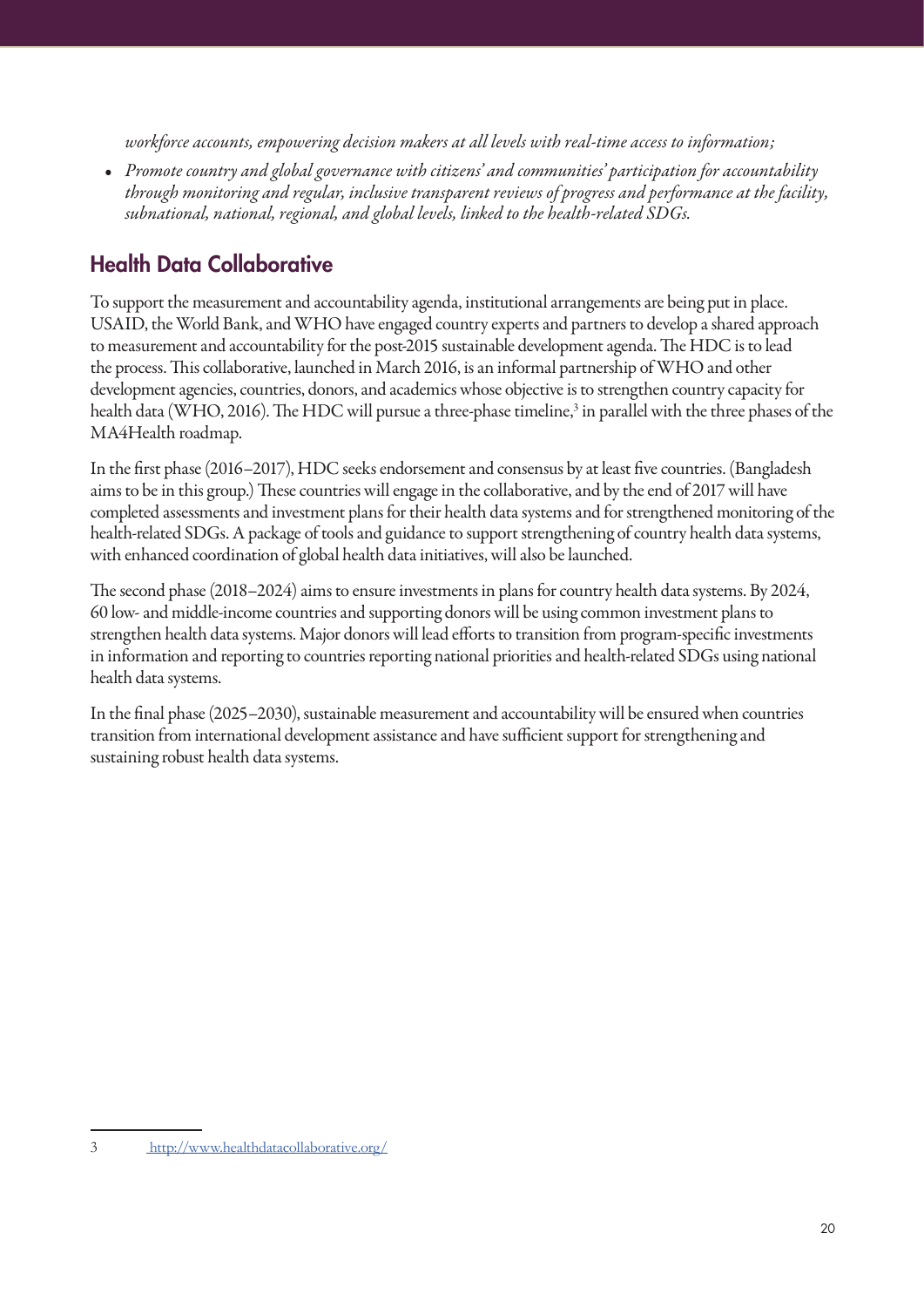*workforce accounts, empowering decision makers at all levels with real-time access to information;*

*• Promote country and global governance with citizens' and communities' participation for accountability through monitoring and regular, inclusive transparent reviews of progress and performance at the facility, subnational, national, regional, and global levels, linked to the health-related SDGs.*

# Health Data Collaborative

To support the measurement and accountability agenda, institutional arrangements are being put in place. USAID, the World Bank, and WHO have engaged country experts and partners to develop a shared approach to measurement and accountability for the post-2015 sustainable development agenda. The HDC is to lead the process. This collaborative, launched in March 2016, is an informal partnership of WHO and other development agencies, countries, donors, and academics whose objective is to strengthen country capacity for health data (WHO, 2016). The HDC will pursue a three-phase timeline,<sup>3</sup> in parallel with the three phases of the MA4Health roadmap.

In the first phase (2016–2017), HDC seeks endorsement and consensus by at least five countries. (Bangladesh aims to be in this group.) These countries will engage in the collaborative, and by the end of 2017 will have completed assessments and investment plans for their health data systems and for strengthened monitoring of the health-related SDGs. A package of tools and guidance to support strengthening of country health data systems, with enhanced coordination of global health data initiatives, will also be launched.

The second phase (2018–2024) aims to ensure investments in plans for country health data systems. By 2024, 60 low- and middle-income countries and supporting donors will be using common investment plans to strengthen health data systems. Major donors will lead efforts to transition from program-specific investments in information and reporting to countries reporting national priorities and health-related SDGs using national health data systems.

In the final phase (2025–2030), sustainable measurement and accountability will be ensured when countries transition from international development assistance and have sufficient support for strengthening and sustaining robust health data systems.

<sup>3</sup> http://www.healthdatacollaborative.org/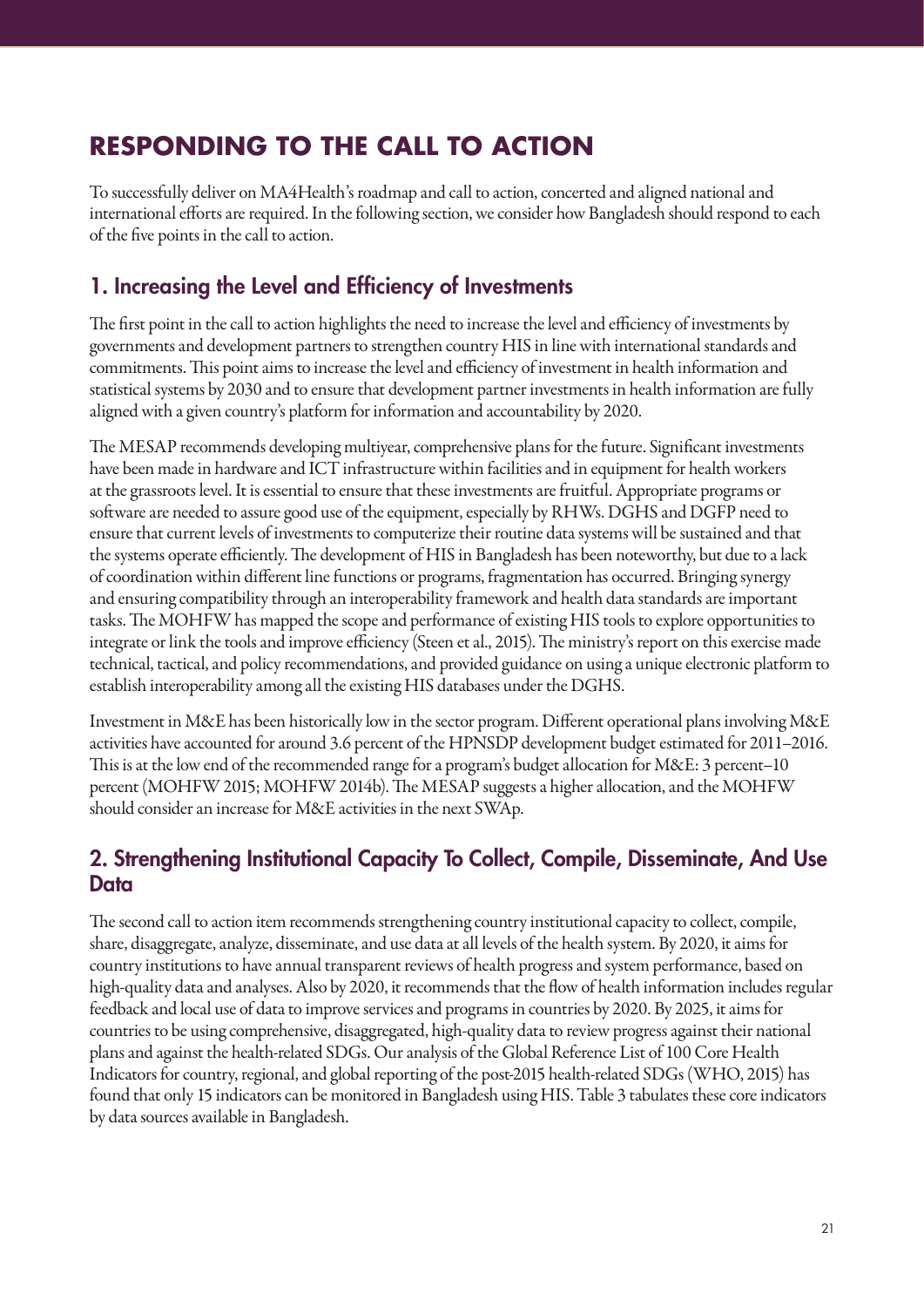# **RESPONDING TO THE CALL TO ACTION**

To successfully deliver on MA4Health's roadmap and call to action, concerted and aligned national and international efforts are required. In the following section, we consider how Bangladesh should respond to each of the five points in the call to action.

## 1. Increasing the Level and Efficiency of Investments

The first point in the call to action highlights the need to increase the level and efficiency of investments by governments and development partners to strengthen country HIS in line with international standards and commitments. This point aims to increase the level and efficiency of investment in health information and statistical systems by 2030 and to ensure that development partner investments in health information are fully aligned with a given country's platform for information and accountability by 2020.

The MESAP recommends developing multiyear, comprehensive plans for the future. Significant investments have been made in hardware and ICT infrastructure within facilities and in equipment for health workers at the grassroots level. It is essential to ensure that these investments are fruitful. Appropriate programs or software are needed to assure good use of the equipment, especially by RHWs. DGHS and DGFP need to ensure that current levels of investments to computerize their routine data systems will be sustained and that the systems operate efficiently. The development of HIS in Bangladesh has been noteworthy, but due to a lack of coordination within different line functions or programs, fragmentation has occurred. Bringing synergy and ensuring compatibility through an interoperability framework and health data standards are important tasks. The MOHFW has mapped the scope and performance of existing HIS tools to explore opportunities to integrate or link the tools and improve efficiency (Steen et al., 2015). The ministry's report on this exercise made technical, tactical, and policy recommendations, and provided guidance on using a unique electronic platform to establish interoperability among all the existing HIS databases under the DGHS.

Investment in M&E has been historically low in the sector program. Different operational plans involving M&E activities have accounted for around 3.6 percent of the HPNSDP development budget estimated for 2011–2016. This is at the low end of the recommended range for a program's budget allocation for M&E: 3 percent–10 percent (MOHFW 2015; MOHFW 2014b). The MESAP suggests a higher allocation, and the MOHFW should consider an increase for M&E activities in the next SWAp.

## 2. Strengthening Institutional Capacity To Collect, Compile, Disseminate, And Use **Data**

The second call to action item recommends strengthening country institutional capacity to collect, compile, share, disaggregate, analyze, disseminate, and use data at all levels of the health system. By 2020, it aims for country institutions to have annual transparent reviews of health progress and system performance, based on high-quality data and analyses. Also by 2020, it recommends that the flow of health information includes regular feedback and local use of data to improve services and programs in countries by 2020. By 2025, it aims for countries to be using comprehensive, disaggregated, high-quality data to review progress against their national plans and against the health-related SDGs. Our analysis of the Global Reference List of 100 Core Health Indicators for country, regional, and global reporting of the post-2015 health-related SDGs (WHO, 2015) has found that only 15 indicators can be monitored in Bangladesh using HIS. Table 3 tabulates these core indicators by data sources available in Bangladesh.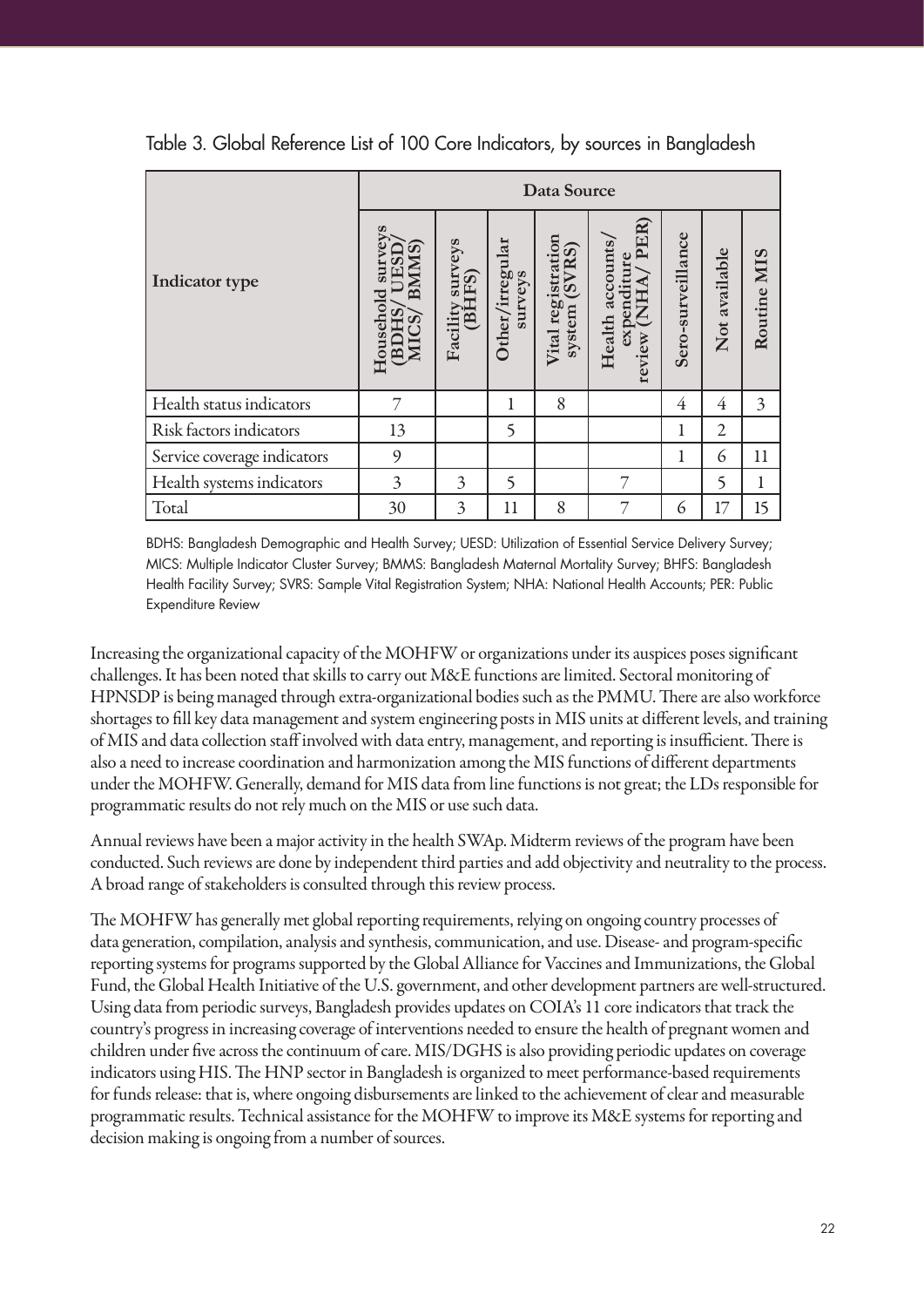|                             |                                                         |                                                     |                            | Data Source                               |                                                            |                   |                |                |
|-----------------------------|---------------------------------------------------------|-----------------------------------------------------|----------------------------|-------------------------------------------|------------------------------------------------------------|-------------------|----------------|----------------|
| Indicator type              | <b>BMMS</b><br>5UI<br>Household<br><b>BDHS</b><br>MICS, | surveys<br>FS)<br>Facility<br>$\mathbf{B}^{\sharp}$ | Other/irregular<br>surveys | registration<br>(SVRS)<br>system<br>Vital | PER)<br>Health accounts,<br>expenditure<br>(NHA)<br>review | Sero-surveillance | Not available  | Routine MIS    |
| Health status indicators    | 7                                                       |                                                     | 1                          | 8                                         |                                                            | 4                 | $\overline{4}$ | $\overline{3}$ |
| Risk factors indicators     | 13                                                      |                                                     | 5                          |                                           |                                                            | 1                 | $\overline{2}$ |                |
| Service coverage indicators | 9                                                       |                                                     |                            |                                           |                                                            | 1                 | 6              | 11             |
| Health systems indicators   | 3                                                       | 3                                                   | 5                          |                                           | 7                                                          |                   | 5              | 1              |
| Total                       | 30                                                      | 3                                                   | 11                         | 8                                         | 7                                                          | 6                 | 17             | 15             |

Table 3. Global Reference List of 100 Core Indicators, by sources in Bangladesh

BDHS: Bangladesh Demographic and Health Survey; UESD: Utilization of Essential Service Delivery Survey; MICS: Multiple Indicator Cluster Survey; BMMS: Bangladesh Maternal Mortality Survey; BHFS: Bangladesh Health Facility Survey; SVRS: Sample Vital Registration System; NHA: National Health Accounts; PER: Public Expenditure Review

Increasing the organizational capacity of the MOHFW or organizations under its auspices poses significant challenges. It has been noted that skills to carry out M&E functions are limited. Sectoral monitoring of HPNSDP is being managed through extra-organizational bodies such as the PMMU. There are also workforce shortages to fill key data management and system engineering posts in MIS units at different levels, and training of MIS and data collection staff involved with data entry, management, and reporting is insufficient. There is also a need to increase coordination and harmonization among the MIS functions of different departments under the MOHFW. Generally, demand for MIS data from line functions is not great; the LDs responsible for programmatic results do not rely much on the MIS or use such data.

Annual reviews have been a major activity in the health SWAp. Midterm reviews of the program have been conducted. Such reviews are done by independent third parties and add objectivity and neutrality to the process. A broad range of stakeholders is consulted through this review process.

The MOHFW has generally met global reporting requirements, relying on ongoing country processes of data generation, compilation, analysis and synthesis, communication, and use. Disease- and program-specific reporting systems for programs supported by the Global Alliance for Vaccines and Immunizations, the Global Fund, the Global Health Initiative of the U.S. government, and other development partners are well-structured. Using data from periodic surveys, Bangladesh provides updates on COIA's 11 core indicators that track the country's progress in increasing coverage of interventions needed to ensure the health of pregnant women and children under five across the continuum of care. MIS/DGHS is also providing periodic updates on coverage indicators using HIS. The HNP sector in Bangladesh is organized to meet performance-based requirements for funds release: that is, where ongoing disbursements are linked to the achievement of clear and measurable programmatic results. Technical assistance for the MOHFW to improve its M&E systems for reporting and decision making is ongoing from a number of sources.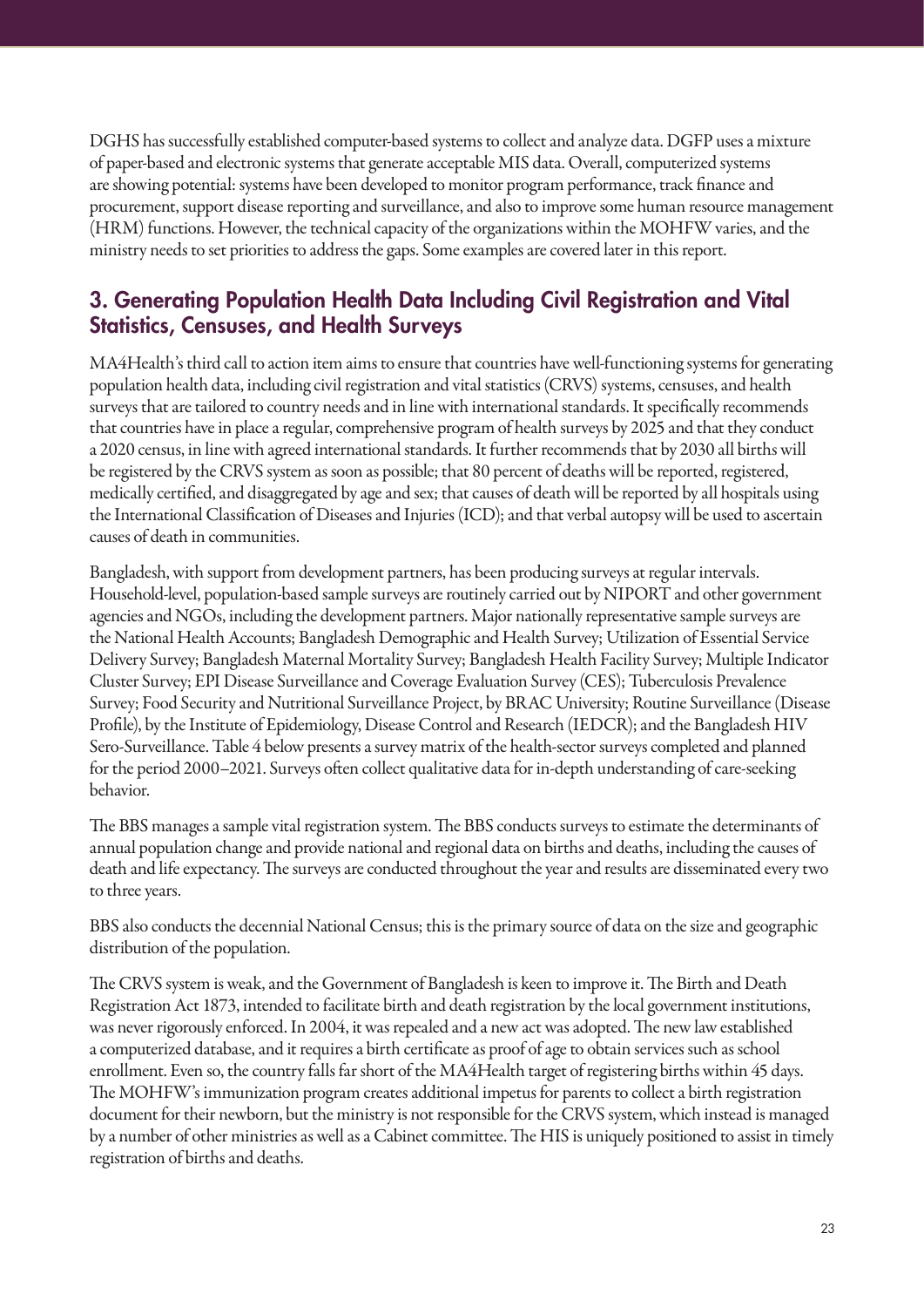DGHS has successfully established computer-based systems to collect and analyze data. DGFP uses a mixture of paper-based and electronic systems that generate acceptable MIS data. Overall, computerized systems are showing potential: systems have been developed to monitor program performance, track finance and procurement, support disease reporting and surveillance, and also to improve some human resource management (HRM) functions. However, the technical capacity of the organizations within the MOHFW varies, and the ministry needs to set priorities to address the gaps. Some examples are covered later in this report.

## 3. Generating Population Health Data Including Civil Registration and Vital Statistics, Censuses, and Health Surveys

MA4Health's third call to action item aims to ensure that countries have well-functioning systems for generating population health data, including civil registration and vital statistics (CRVS) systems, censuses, and health surveys that are tailored to country needs and in line with international standards. It specifically recommends that countries have in place a regular, comprehensive program of health surveys by 2025 and that they conduct a 2020 census, in line with agreed international standards. It further recommends that by 2030 all births will be registered by the CRVS system as soon as possible; that 80 percent of deaths will be reported, registered, medically certified, and disaggregated by age and sex; that causes of death will be reported by all hospitals using the International Classification of Diseases and Injuries (ICD); and that verbal autopsy will be used to ascertain causes of death in communities.

Bangladesh, with support from development partners, has been producing surveys at regular intervals. Household-level, population-based sample surveys are routinely carried out by NIPORT and other government agencies and NGOs, including the development partners. Major nationally representative sample surveys are the National Health Accounts; Bangladesh Demographic and Health Survey; Utilization of Essential Service Delivery Survey; Bangladesh Maternal Mortality Survey; Bangladesh Health Facility Survey; Multiple Indicator Cluster Survey; EPI Disease Surveillance and Coverage Evaluation Survey (CES); Tuberculosis Prevalence Survey; Food Security and Nutritional Surveillance Project, by BRAC University; Routine Surveillance (Disease Profile), by the Institute of Epidemiology, Disease Control and Research (IEDCR); and the Bangladesh HIV Sero-Surveillance. Table 4 below presents a survey matrix of the health-sector surveys completed and planned for the period 2000–2021. Surveys often collect qualitative data for in-depth understanding of care-seeking behavior.

The BBS manages a sample vital registration system. The BBS conducts surveys to estimate the determinants of annual population change and provide national and regional data on births and deaths, including the causes of death and life expectancy. The surveys are conducted throughout the year and results are disseminated every two to three years.

BBS also conducts the decennial National Census; this is the primary source of data on the size and geographic distribution of the population.

The CRVS system is weak, and the Government of Bangladesh is keen to improve it. The Birth and Death Registration Act 1873, intended to facilitate birth and death registration by the local government institutions, was never rigorously enforced. In 2004, it was repealed and a new act was adopted. The new law established a computerized database, and it requires a birth certificate as proof of age to obtain services such as school enrollment. Even so, the country falls far short of the MA4Health target of registering births within 45 days. The MOHFW's immunization program creates additional impetus for parents to collect a birth registration document for their newborn, but the ministry is not responsible for the CRVS system, which instead is managed by a number of other ministries as well as a Cabinet committee. The HIS is uniquely positioned to assist in timely registration of births and deaths.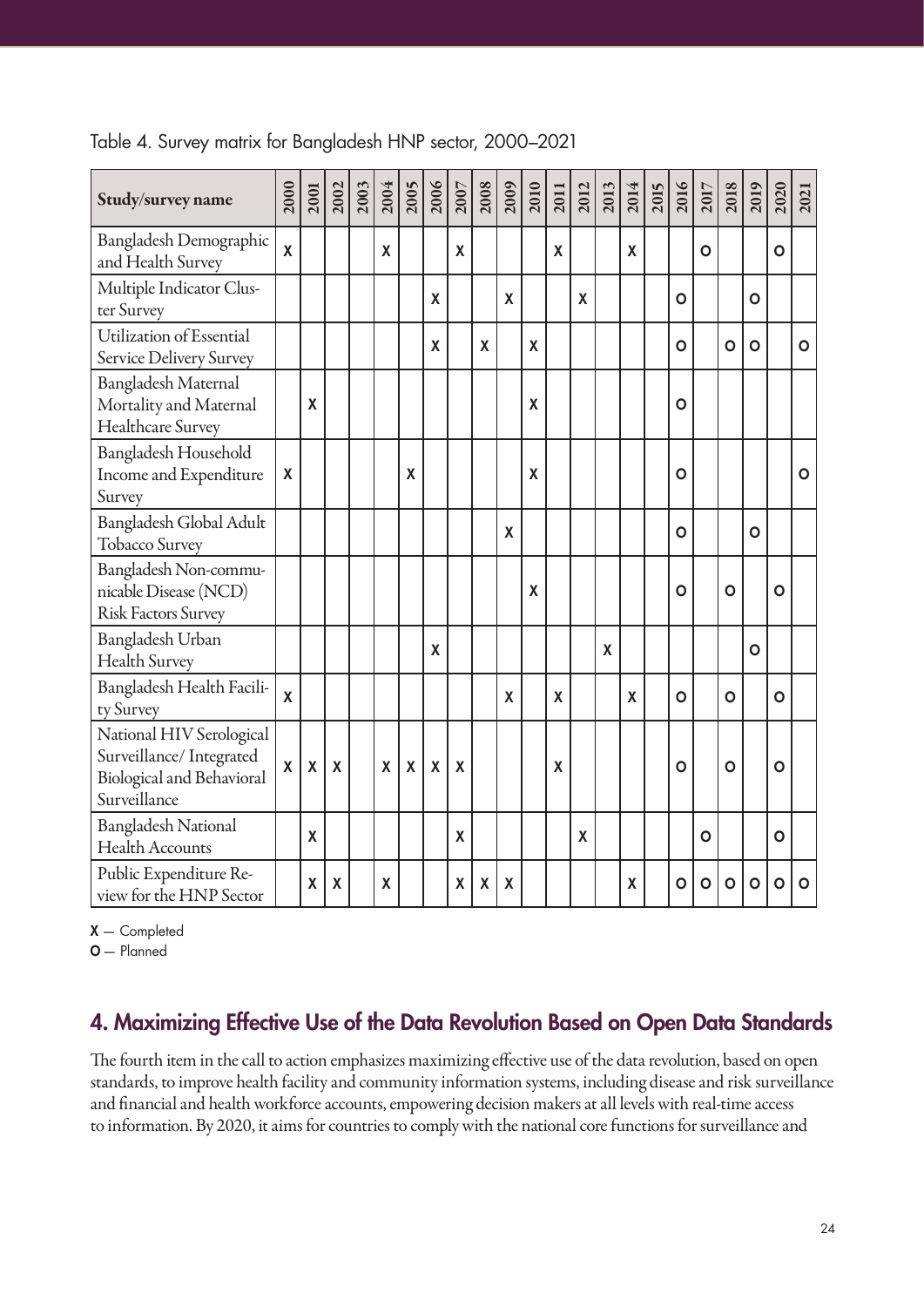| Study/survey name                                                                                | 2000         | 2001                      | 2002         |   | $\frac{2003}{2004}$ |                    | $\frac{2005}{2007}$ |                    | 2009               | 2010             | 2011 | 2012                      | 2013 | 2014 | <b>2015</b> | 2016           | 2017         | 2018         | 2019         | 2020         | 2021         |
|--------------------------------------------------------------------------------------------------|--------------|---------------------------|--------------|---|---------------------|--------------------|---------------------|--------------------|--------------------|------------------|------|---------------------------|------|------|-------------|----------------|--------------|--------------|--------------|--------------|--------------|
| Bangladesh Demographic<br>and Health Survey                                                      | $\mathsf{X}$ |                           |              | X |                     |                    | X                   |                    |                    |                  | X    |                           |      | X    |             |                | O            |              |              | O            |              |
| Multiple Indicator Clus-<br>ter Survey                                                           |              |                           |              |   |                     | $\mathsf{X}% _{0}$ |                     |                    | $\pmb{\mathsf{X}}$ |                  |      | $\boldsymbol{\mathsf{X}}$ |      |      |             | O              |              |              | Ο            |              |              |
| Utilization of Essential<br>Service Delivery Survey                                              |              |                           |              |   |                     | X                  |                     | X                  |                    | X                |      |                           |      |      |             | $\mathbf O$    |              | $\mathbf{o}$ | $\mathbf{o}$ |              | $\mathbf{o}$ |
| Bangladesh Maternal<br>Mortality and Maternal<br>Healthcare Survey                               |              | $\boldsymbol{\mathsf{X}}$ |              |   |                     |                    |                     |                    |                    | $\boldsymbol{X}$ |      |                           |      |      |             | $\overline{O}$ |              |              |              |              |              |
| Bangladesh Household<br>Income and Expenditure<br>Survey                                         |              |                           |              |   | X                   |                    |                     |                    |                    | X                |      |                           |      |      |             | O              |              |              |              |              | Ο            |
| Bangladesh Global Adult<br><b>Tobacco Survey</b>                                                 |              |                           |              |   |                     |                    |                     |                    | X                  |                  |      |                           |      |      |             | Ο              |              |              | Ο            |              |              |
| Bangladesh Non-commu-<br>nicable Disease (NCD)<br><b>Risk Factors Survey</b>                     |              |                           |              |   |                     |                    |                     |                    |                    | $\boldsymbol{X}$ |      |                           |      |      |             | Ο              |              | O            |              | Ο            |              |
| Bangladesh Urban<br>Health Survey                                                                |              |                           |              |   |                     | X                  |                     |                    |                    |                  |      |                           | X    |      |             |                |              |              | O            |              |              |
| Bangladesh Health Facili-<br>ty Survey                                                           | $\mathsf{X}$ |                           |              |   |                     |                    |                     |                    | $\mathbf x$        |                  | X    |                           |      | X    |             | $\mathbf O$    |              | O            |              | $\mathbf{o}$ |              |
| National HIV Serological<br>Surveillance/Integrated<br>Biological and Behavioral<br>Surveillance |              | $\mathsf{X}$              | $\mathsf{X}$ | X | X                   | $\mathsf{X}$       | $\boldsymbol{X}$    |                    |                    |                  | X    |                           |      |      |             | Ο              |              | Ο            |              | Ο            |              |
| <b>Bangladesh National</b><br><b>Health Accounts</b>                                             |              | X                         |              |   |                     |                    | X                   |                    |                    |                  |      | $\boldsymbol{\mathsf{X}}$ |      |      |             |                | $\mathbf O$  |              |              | $\mathbf 0$  |              |
| Public Expenditure Re-<br>view for the HNP Sector                                                |              | X                         | X            | X |                     |                    | $\pmb{\mathsf{X}}$  | $\pmb{\mathsf{X}}$ | X                  |                  |      |                           |      | X    |             | $\mathbf O$    | $\mathbf{o}$ | Ο            | $\circ$      | Ο            | O            |

#### Table 4. Survey matrix for Bangladesh HNP sector, 2000–2021

X — Completed

O— Planned

## 4. Maximizing Effective Use of the Data Revolution Based on Open Data Standards

The fourth item in the call to action emphasizes maximizing effective use of the data revolution, based on open standards, to improve health facility and community information systems, including disease and risk surveillance and financial and health workforce accounts, empowering decision makers at all levels with real-time access to information. By 2020, it aims for countries to comply with the national core functions for surveillance and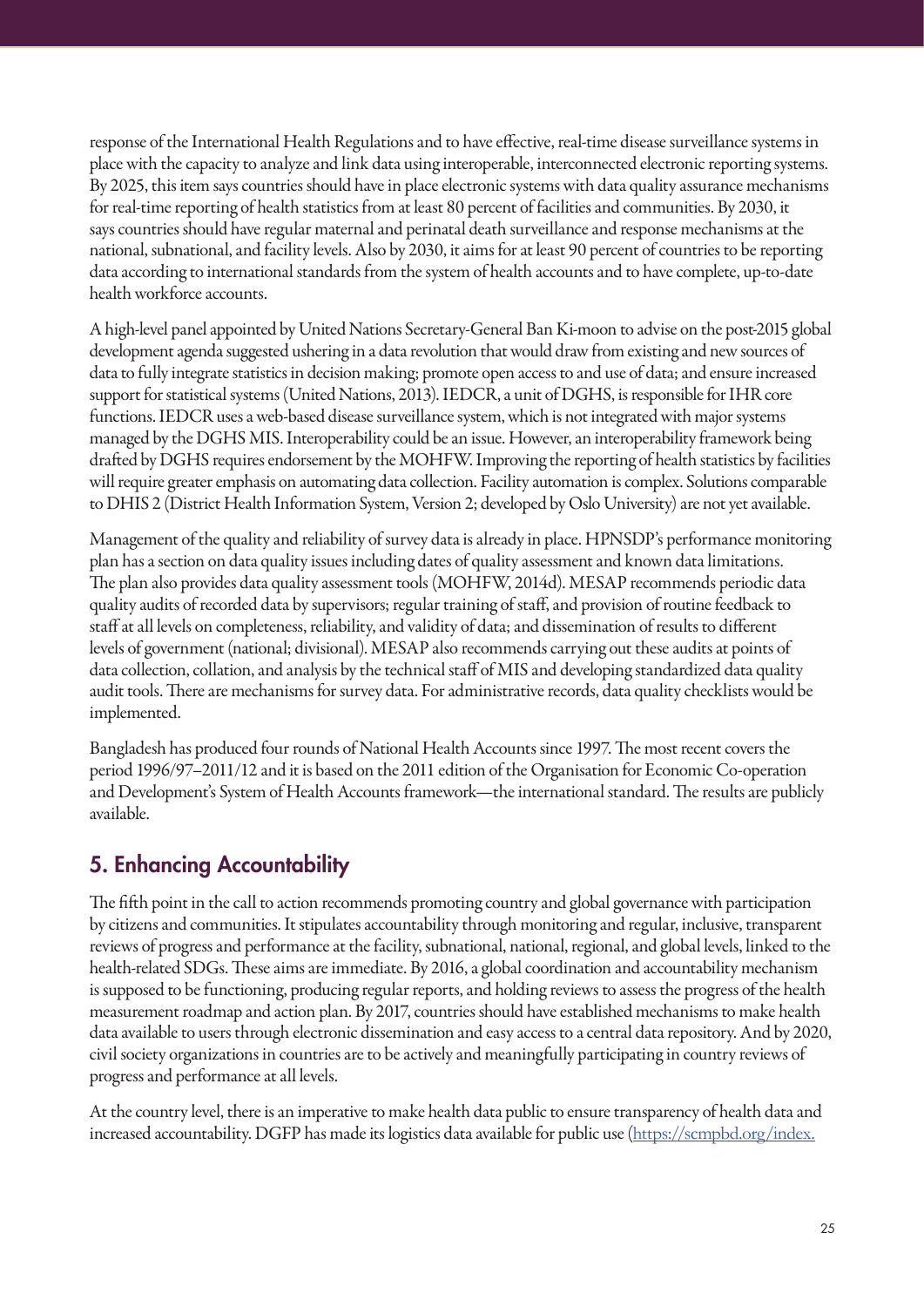response of the International Health Regulations and to have effective, real-time disease surveillance systems in place with the capacity to analyze and link data using interoperable, interconnected electronic reporting systems. By 2025, this item says countries should have in place electronic systems with data quality assurance mechanisms for real-time reporting of health statistics from at least 80 percent of facilities and communities. By 2030, it says countries should have regular maternal and perinatal death surveillance and response mechanisms at the national, subnational, and facility levels. Also by 2030, it aims for at least 90 percent of countries to be reporting data according to international standards from the system of health accounts and to have complete, up-to-date health workforce accounts.

A high-level panel appointed by United Nations Secretary-General Ban Ki-moon to advise on the post-2015 global development agenda suggested ushering in a data revolution that would draw from existing and new sources of data to fully integrate statistics in decision making; promote open access to and use of data; and ensure increased support for statistical systems (United Nations, 2013). IEDCR, a unit of DGHS, is responsible for IHR core functions. IEDCR uses a web-based disease surveillance system, which is not integrated with major systems managed by the DGHS MIS. Interoperability could be an issue. However, an interoperability framework being drafted by DGHS requires endorsement by the MOHFW. Improving the reporting of health statistics by facilities will require greater emphasis on automating data collection. Facility automation is complex. Solutions comparable to DHIS 2 (District Health Information System, Version 2; developed by Oslo University) are not yet available.

Management of the quality and reliability of survey data is already in place. HPNSDP's performance monitoring plan has a section on data quality issues including dates of quality assessment and known data limitations. The plan also provides data quality assessment tools (MOHFW, 2014d). MESAP recommends periodic data quality audits of recorded data by supervisors; regular training of staff, and provision of routine feedback to staff at all levels on completeness, reliability, and validity of data; and dissemination of results to different levels of government (national; divisional). MESAP also recommends carrying out these audits at points of data collection, collation, and analysis by the technical staff of MIS and developing standardized data quality audit tools. There are mechanisms for survey data. For administrative records, data quality checklists would be implemented.

Bangladesh has produced four rounds of National Health Accounts since 1997. The most recent covers the period 1996/97–2011/12 and it is based on the 2011 edition of the Organisation for Economic Co-operation and Development's System of Health Accounts framework—the international standard. The results are publicly available.

# 5. Enhancing Accountability

The fifth point in the call to action recommends promoting country and global governance with participation by citizens and communities. It stipulates accountability through monitoring and regular, inclusive, transparent reviews of progress and performance at the facility, subnational, national, regional, and global levels, linked to the health-related SDGs. These aims are immediate. By 2016, a global coordination and accountability mechanism is supposed to be functioning, producing regular reports, and holding reviews to assess the progress of the health measurement roadmap and action plan. By 2017, countries should have established mechanisms to make health data available to users through electronic dissemination and easy access to a central data repository. And by 2020, civil society organizations in countries are to be actively and meaningfully participating in country reviews of progress and performance at all levels.

At the country level, there is an imperative to make health data public to ensure transparency of health data and increased accountability. DGFP has made its logistics data available for public use (https://scmpbd.org/index.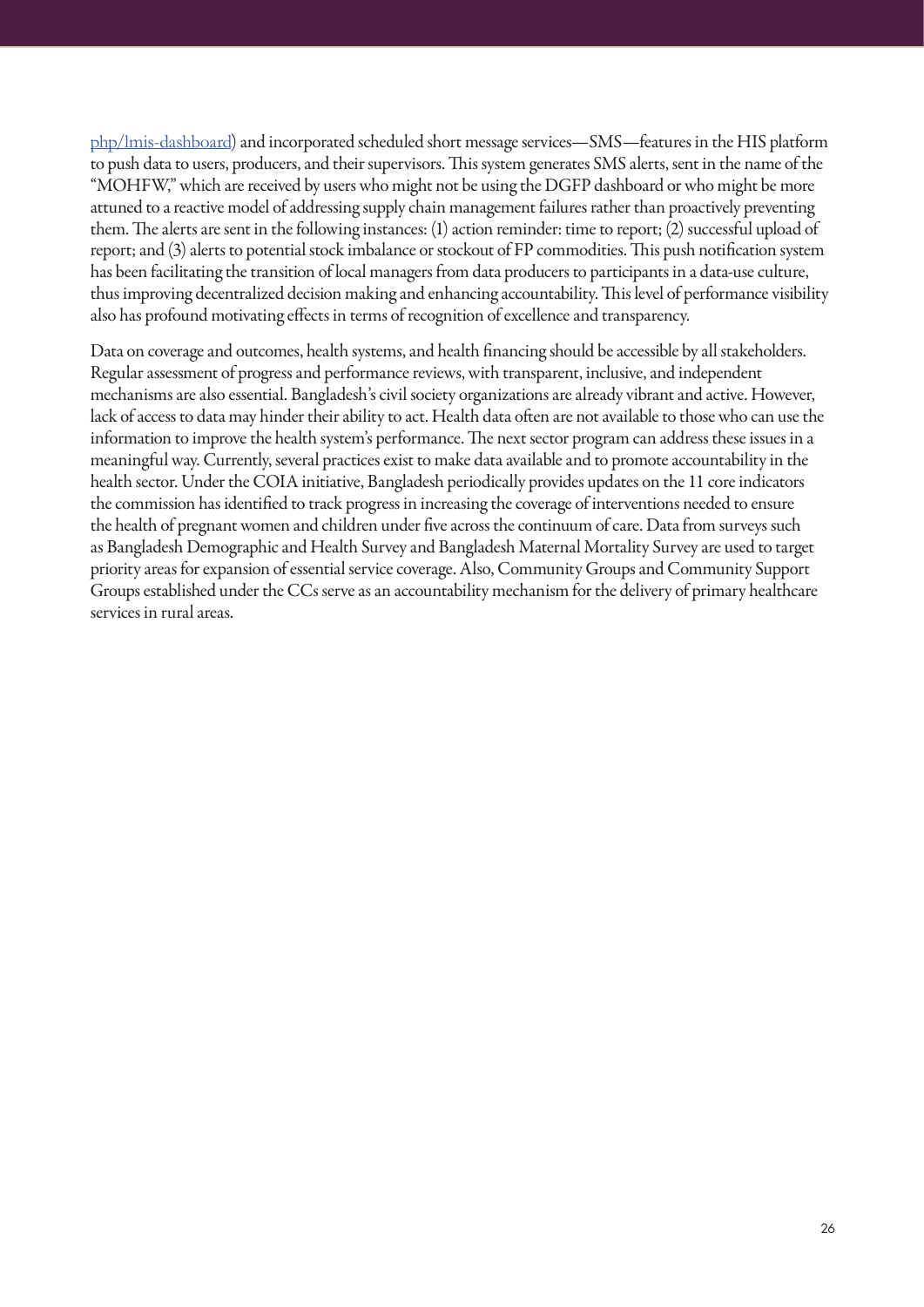php/lmis-dashboard) and incorporated scheduled short message services—SMS—features in the HIS platform to push data to users, producers, and their supervisors. This system generates SMS alerts, sent in the name of the "MOHFW," which are received by users who might not be using the DGFP dashboard or who might be more attuned to a reactive model of addressing supply chain management failures rather than proactively preventing them. The alerts are sent in the following instances: (1) action reminder: time to report; (2) successful upload of report; and (3) alerts to potential stock imbalance or stockout of FP commodities. This push notification system has been facilitating the transition of local managers from data producers to participants in a data-use culture, thus improving decentralized decision making and enhancing accountability. This level of performance visibility also has profound motivating effects in terms of recognition of excellence and transparency.

Data on coverage and outcomes, health systems, and health financing should be accessible by all stakeholders. Regular assessment of progress and performance reviews, with transparent, inclusive, and independent mechanisms are also essential. Bangladesh's civil society organizations are already vibrant and active. However, lack of access to data may hinder their ability to act. Health data often are not available to those who can use the information to improve the health system's performance. The next sector program can address these issues in a meaningful way. Currently, several practices exist to make data available and to promote accountability in the health sector. Under the COIA initiative, Bangladesh periodically provides updates on the 11 core indicators the commission has identified to track progress in increasing the coverage of interventions needed to ensure the health of pregnant women and children under five across the continuum of care. Data from surveys such as Bangladesh Demographic and Health Survey and Bangladesh Maternal Mortality Survey are used to target priority areas for expansion of essential service coverage. Also, Community Groups and Community Support Groups established under the CCs serve as an accountability mechanism for the delivery of primary healthcare services in rural areas.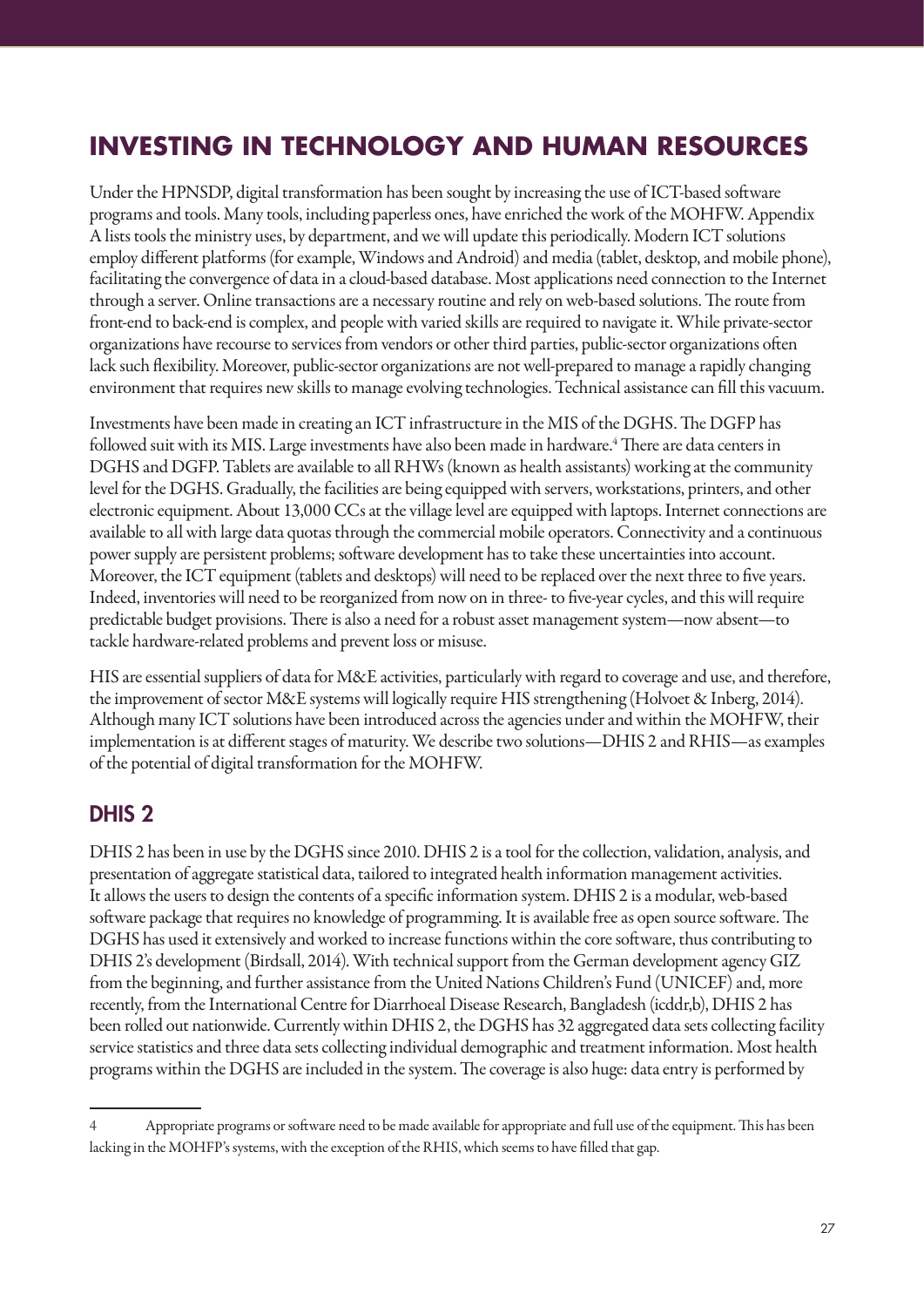# **INVESTING IN TECHNOLOGY AND HUMAN RESOURCES**

Under the HPNSDP, digital transformation has been sought by increasing the use of ICT-based software programs and tools. Many tools, including paperless ones, have enriched the work of the MOHFW. Appendix A lists tools the ministry uses, by department, and we will update this periodically. Modern ICT solutions employ different platforms (for example, Windows and Android) and media (tablet, desktop, and mobile phone), facilitating the convergence of data in a cloud-based database. Most applications need connection to the Internet through a server. Online transactions are a necessary routine and rely on web-based solutions. The route from front-end to back-end is complex, and people with varied skills are required to navigate it. While private-sector organizations have recourse to services from vendors or other third parties, public-sector organizations often lack such flexibility. Moreover, public-sector organizations are not well-prepared to manage a rapidly changing environment that requires new skills to manage evolving technologies. Technical assistance can fill this vacuum.

Investments have been made in creating an ICT infrastructure in the MIS of the DGHS. The DGFP has followed suit with its MIS. Large investments have also been made in hardware.<sup>4</sup> There are data centers in DGHS and DGFP. Tablets are available to all RHWs (known as health assistants) working at the community level for the DGHS. Gradually, the facilities are being equipped with servers, workstations, printers, and other electronic equipment. About 13,000 CCs at the village level are equipped with laptops. Internet connections are available to all with large data quotas through the commercial mobile operators. Connectivity and a continuous power supply are persistent problems; software development has to take these uncertainties into account. Moreover, the ICT equipment (tablets and desktops) will need to be replaced over the next three to five years. Indeed, inventories will need to be reorganized from now on in three- to five-year cycles, and this will require predictable budget provisions. There is also a need for a robust asset management system—now absent—to tackle hardware-related problems and prevent loss or misuse.

HIS are essential suppliers of data for M&E activities, particularly with regard to coverage and use, and therefore, the improvement of sector M&E systems will logically require HIS strengthening (Holvoet & Inberg, 2014). Although many ICT solutions have been introduced across the agencies under and within the MOHFW, their implementation is at different stages of maturity. We describe two solutions—DHIS 2 and RHIS—as examples of the potential of digital transformation for the MOHFW.

## DHIS 2

DHIS 2 has been in use by the DGHS since 2010. DHIS 2 is a tool for the collection, validation, analysis, and presentation of aggregate statistical data, tailored to integrated health information management activities. It allows the users to design the contents of a specific information system. DHIS 2 is a modular, web-based software package that requires no knowledge of programming. It is available free as open source software. The DGHS has used it extensively and worked to increase functions within the core software, thus contributing to DHIS 2's development (Birdsall, 2014). With technical support from the German development agency GIZ from the beginning, and further assistance from the United Nations Children's Fund (UNICEF) and, more recently, from the International Centre for Diarrhoeal Disease Research, Bangladesh (icddr,b), DHIS 2 has been rolled out nationwide. Currently within DHIS 2, the DGHS has 32 aggregated data sets collecting facility service statistics and three data sets collecting individual demographic and treatment information. Most health programs within the DGHS are included in the system. The coverage is also huge: data entry is performed by

<sup>4</sup> Appropriate programs or software need to be made available for appropriate and full use of the equipment. This has been lacking in the MOHFP's systems, with the exception of the RHIS, which seems to have filled that gap.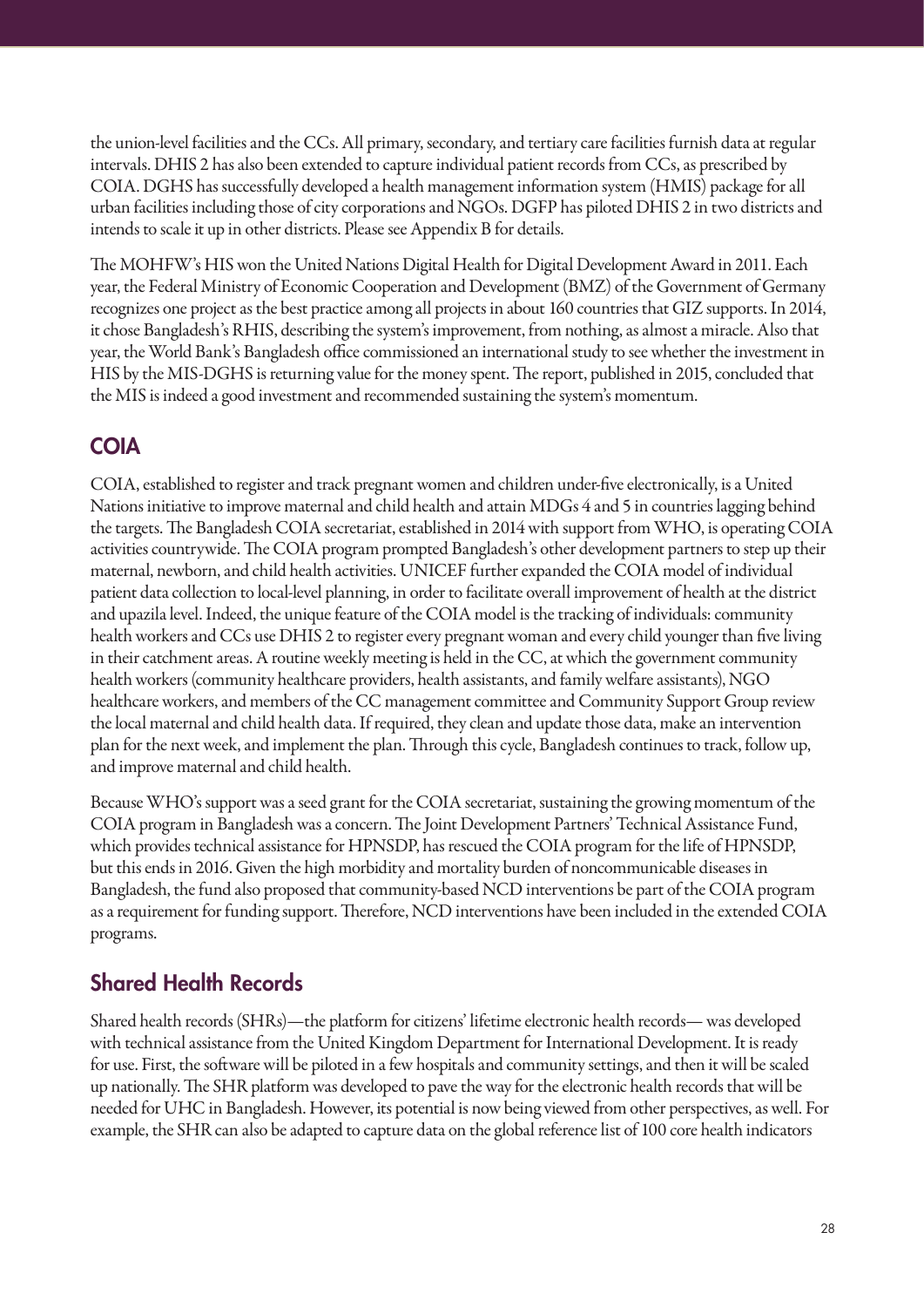the union-level facilities and the CCs. All primary, secondary, and tertiary care facilities furnish data at regular intervals. DHIS 2 has also been extended to capture individual patient records from CCs, as prescribed by COIA. DGHS has successfully developed a health management information system (HMIS) package for all urban facilities including those of city corporations and NGOs. DGFP has piloted DHIS 2 in two districts and intends to scale it up in other districts. Please see Appendix B for details.

The MOHFW's HIS won the United Nations Digital Health for Digital Development Award in 2011. Each year, the Federal Ministry of Economic Cooperation and Development (BMZ) of the Government of Germany recognizes one project as the best practice among all projects in about 160 countries that GIZ supports. In 2014, it chose Bangladesh's RHIS, describing the system's improvement, from nothing, as almost a miracle. Also that year, the World Bank's Bangladesh office commissioned an international study to see whether the investment in HIS by the MIS-DGHS is returning value for the money spent. The report, published in 2015, concluded that the MIS is indeed a good investment and recommended sustaining the system's momentum.

## COIA

COIA, established to register and track pregnant women and children under-five electronically, is a United Nations initiative to improve maternal and child health and attain MDGs 4 and 5 in countries lagging behind the targets. The Bangladesh COIA secretariat, established in 2014 with support from WHO, is operating COIA activities countrywide. The COIA program prompted Bangladesh's other development partners to step up their maternal, newborn, and child health activities. UNICEF further expanded the COIA model of individual patient data collection to local-level planning, in order to facilitate overall improvement of health at the district and upazila level. Indeed, the unique feature of the COIA model is the tracking of individuals: community health workers and CCs use DHIS 2 to register every pregnant woman and every child younger than five living in their catchment areas. A routine weekly meeting is held in the CC, at which the government community health workers (community healthcare providers, health assistants, and family welfare assistants), NGO healthcare workers, and members of the CC management committee and Community Support Group review the local maternal and child health data. If required, they clean and update those data, make an intervention plan for the next week, and implement the plan. Through this cycle, Bangladesh continues to track, follow up, and improve maternal and child health.

Because WHO's support was a seed grant for the COIA secretariat, sustaining the growing momentum of the COIA program in Bangladesh was a concern. The Joint Development Partners' Technical Assistance Fund, which provides technical assistance for HPNSDP, has rescued the COIA program for the life of HPNSDP, but this ends in 2016. Given the high morbidity and mortality burden of noncommunicable diseases in Bangladesh, the fund also proposed that community-based NCD interventions be part of the COIA program as a requirement for funding support. Therefore, NCD interventions have been included in the extended COIA programs.

# Shared Health Records

Shared health records (SHRs)—the platform for citizens' lifetime electronic health records— was developed with technical assistance from the United Kingdom Department for International Development. It is ready for use. First, the software will be piloted in a few hospitals and community settings, and then it will be scaled up nationally. The SHR platform was developed to pave the way for the electronic health records that will be needed for UHC in Bangladesh. However, its potential is now being viewed from other perspectives, as well. For example, the SHR can also be adapted to capture data on the global reference list of 100 core health indicators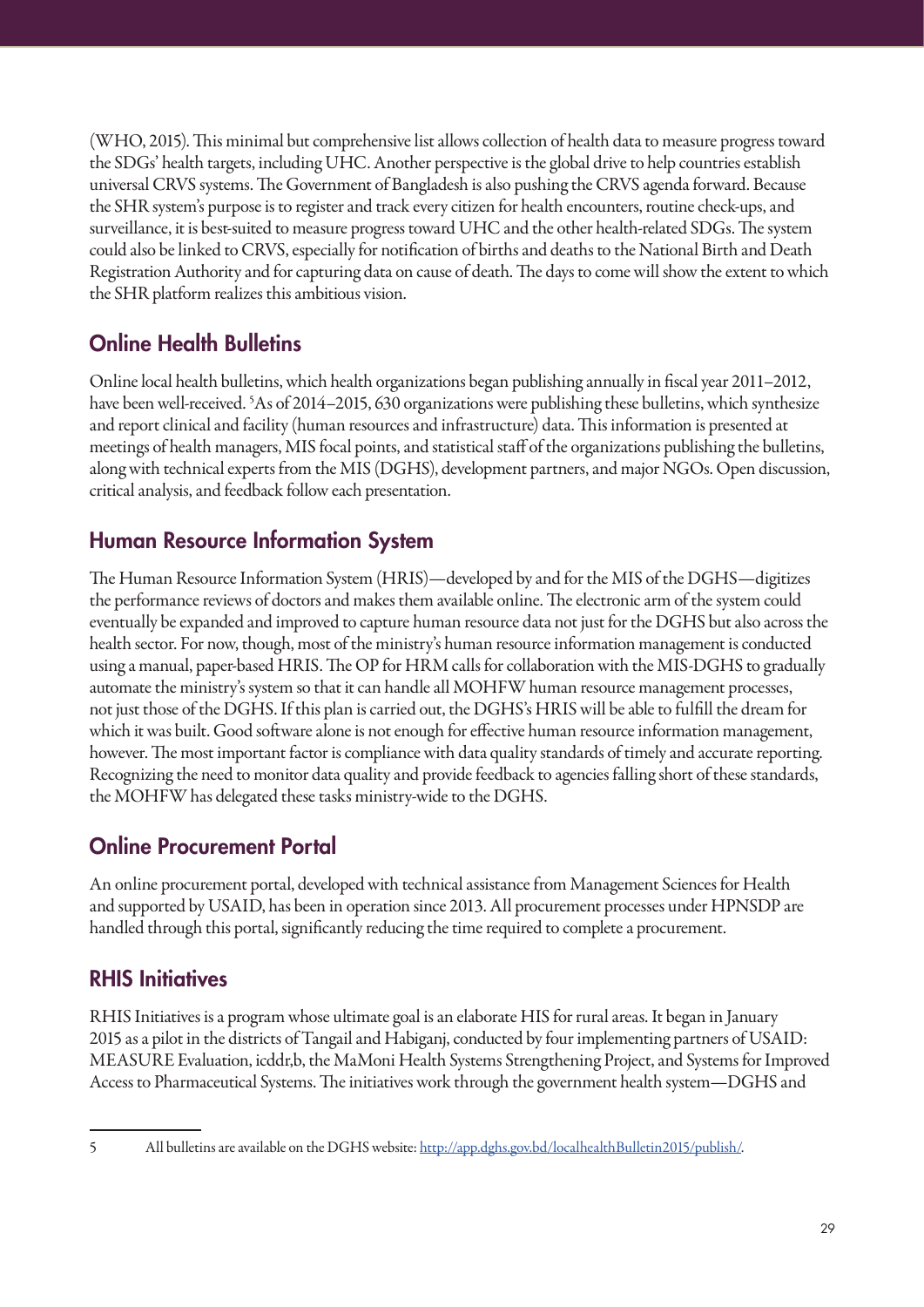(WHO, 2015). This minimal but comprehensive list allows collection of health data to measure progress toward the SDGs' health targets, including UHC. Another perspective is the global drive to help countries establish universal CRVS systems. The Government of Bangladesh is also pushing the CRVS agenda forward. Because the SHR system's purpose is to register and track every citizen for health encounters, routine check-ups, and surveillance, it is best-suited to measure progress toward UHC and the other health-related SDGs. The system could also be linked to CRVS, especially for notification of births and deaths to the National Birth and Death Registration Authority and for capturing data on cause of death. The days to come will show the extent to which the SHR platform realizes this ambitious vision.

# Online Health Bulletins

Online local health bulletins, which health organizations began publishing annually in fiscal year 2011–2012, have been well-received. 5 As of 2014–2015, 630 organizations were publishing these bulletins, which synthesize and report clinical and facility (human resources and infrastructure) data. This information is presented at meetings of health managers, MIS focal points, and statistical staff of the organizations publishing the bulletins, along with technical experts from the MIS (DGHS), development partners, and major NGOs. Open discussion, critical analysis, and feedback follow each presentation.

# Human Resource Information System

The Human Resource Information System (HRIS)—developed by and for the MIS of the DGHS—digitizes the performance reviews of doctors and makes them available online. The electronic arm of the system could eventually be expanded and improved to capture human resource data not just for the DGHS but also across the health sector. For now, though, most of the ministry's human resource information management is conducted using a manual, paper-based HRIS. The OP for HRM calls for collaboration with the MIS-DGHS to gradually automate the ministry's system so that it can handle all MOHFW human resource management processes, not just those of the DGHS. If this plan is carried out, the DGHS's HRIS will be able to fulfill the dream for which it was built. Good software alone is not enough for effective human resource information management, however. The most important factor is compliance with data quality standards of timely and accurate reporting. Recognizing the need to monitor data quality and provide feedback to agencies falling short of these standards, the MOHFW has delegated these tasks ministry-wide to the DGHS.

# Online Procurement Portal

An online procurement portal, developed with technical assistance from Management Sciences for Health and supported by USAID, has been in operation since 2013. All procurement processes under HPNSDP are handled through this portal, significantly reducing the time required to complete a procurement.

# RHIS Initiatives

RHIS Initiatives is a program whose ultimate goal is an elaborate HIS for rural areas. It began in January 2015 as a pilot in the districts of Tangail and Habiganj, conducted by four implementing partners of USAID: MEASURE Evaluation, icddr,b, the MaMoni Health Systems Strengthening Project, and Systems for Improved Access to Pharmaceutical Systems. The initiatives work through the government health system—DGHS and

<sup>5</sup> All bulletins are available on the DGHS website: http://app.dghs.gov.bd/localhealthBulletin2015/publish/.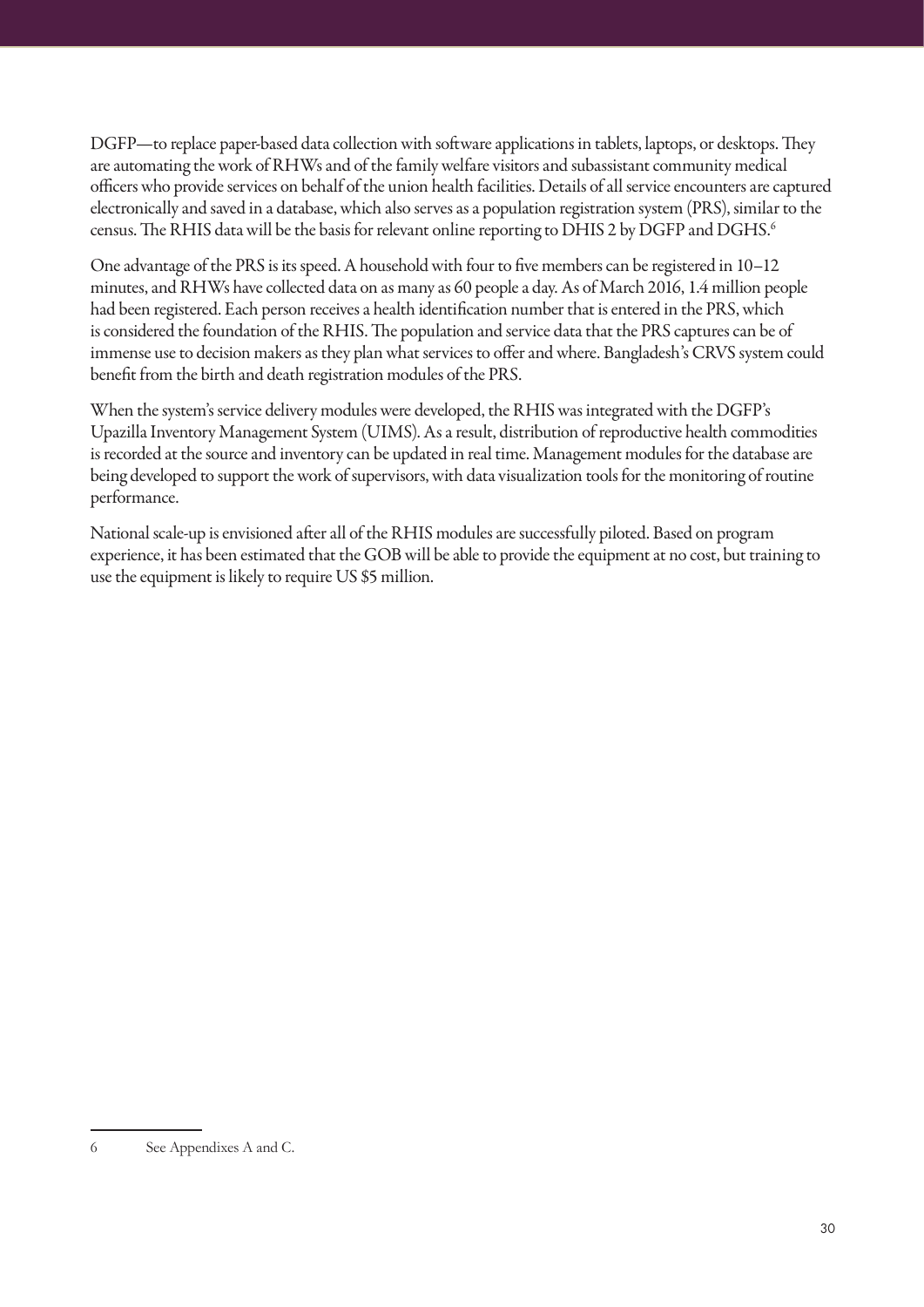DGFP—to replace paper-based data collection with software applications in tablets, laptops, or desktops. They are automating the work of RHWs and of the family welfare visitors and subassistant community medical officers who provide services on behalf of the union health facilities. Details of all service encounters are captured electronically and saved in a database, which also serves as a population registration system (PRS), similar to the census. The RHIS data will be the basis for relevant online reporting to DHIS 2 by DGFP and DGHS.<sup>6</sup>

One advantage of the PRS is its speed. A household with four to five members can be registered in 10–12 minutes, and RHWs have collected data on as many as 60 people a day. As of March 2016, 1.4 million people had been registered. Each person receives a health identification number that is entered in the PRS, which is considered the foundation of the RHIS. The population and service data that the PRS captures can be of immense use to decision makers as they plan what services to offer and where. Bangladesh's CRVS system could benefit from the birth and death registration modules of the PRS.

When the system's service delivery modules were developed, the RHIS was integrated with the DGFP's Upazilla Inventory Management System (UIMS). As a result, distribution of reproductive health commodities is recorded at the source and inventory can be updated in real time. Management modules for the database are being developed to support the work of supervisors, with data visualization tools for the monitoring of routine performance.

National scale-up is envisioned after all of the RHIS modules are successfully piloted. Based on program experience, it has been estimated that the GOB will be able to provide the equipment at no cost, but training to use the equipment is likely to require US \$5 million.

<sup>6</sup> See Appendixes A and C.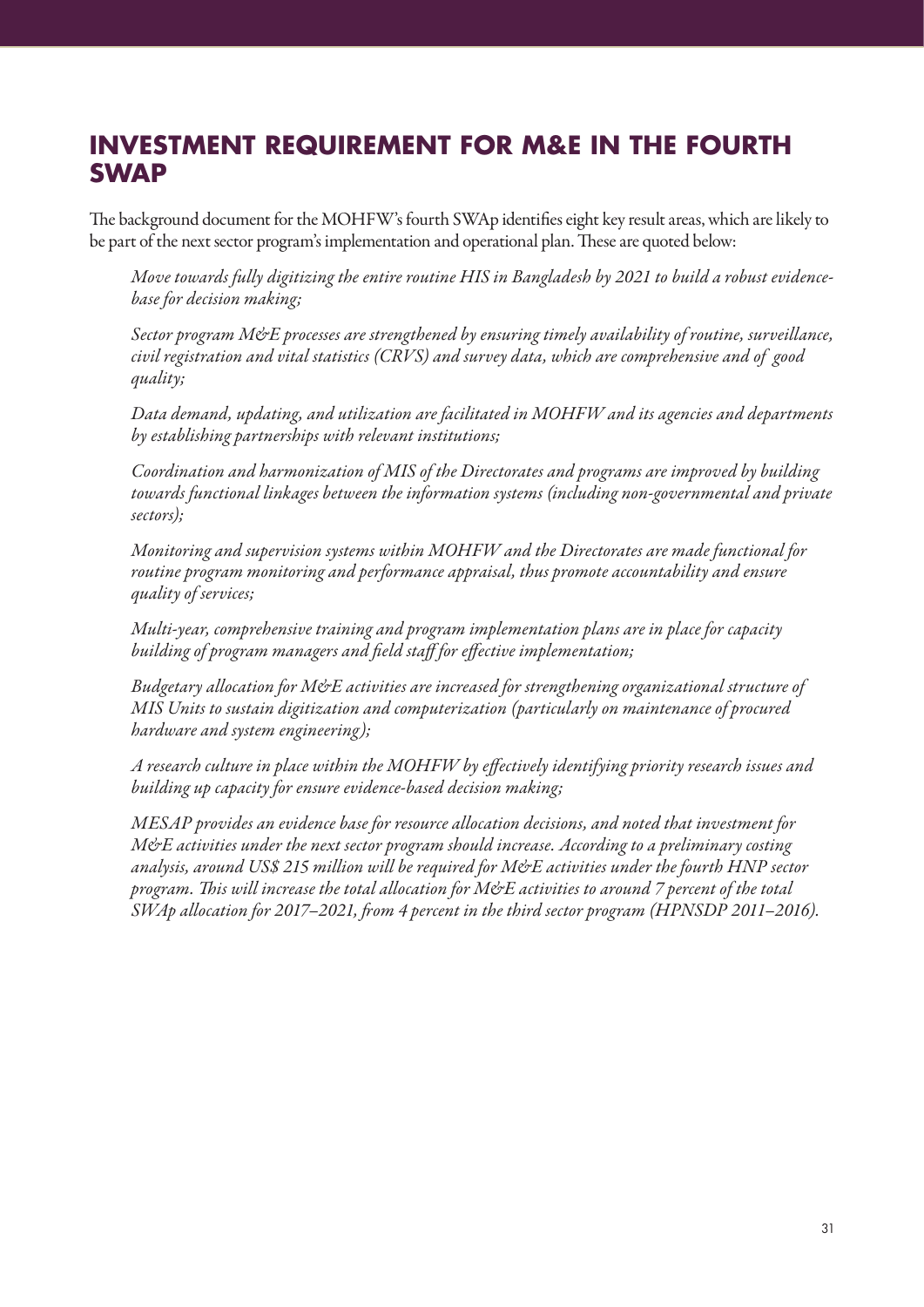# **INVESTMENT REQUIREMENT FOR M&E IN THE FOURTH SWAP**

The background document for the MOHFW's fourth SWAp identifies eight key result areas, which are likely to be part of the next sector program's implementation and operational plan. These are quoted below:

*Move towards fully digitizing the entire routine HIS in Bangladesh by 2021 to build a robust evidencebase for decision making;*

*Sector program M&E processes are strengthened by ensuring timely availability of routine, surveillance, civil registration and vital statistics (CRVS) and survey data, which are comprehensive and of good quality;*

*Data demand, updating, and utilization are facilitated in MOHFW and its agencies and departments by establishing partnerships with relevant institutions;*

*Coordination and harmonization of MIS of the Directorates and programs are improved by building towards functional linkages between the information systems (including non-governmental and private sectors);*

*Monitoring and supervision systems within MOHFW and the Directorates are made functional for routine program monitoring and performance appraisal, thus promote accountability and ensure quality of services;*

*Multi-year, comprehensive training and program implementation plans are in place for capacity building of program managers and field staff for effective implementation;*

*Budgetary allocation for M&E activities are increased for strengthening organizational structure of MIS Units to sustain digitization and computerization (particularly on maintenance of procured hardware and system engineering);*

*A research culture in place within the MOHFW by effectively identifying priority research issues and building up capacity for ensure evidence-based decision making;*

*MESAP provides an evidence base for resource allocation decisions, and noted that investment for M&E activities under the next sector program should increase. According to a preliminary costing analysis, around US\$ 215 million will be required for M&E activities under the fourth HNP sector program. This will increase the total allocation for M&E activities to around 7 percent of the total SWAp allocation for 2017–2021, from 4 percent in the third sector program (HPNSDP 2011–2016).*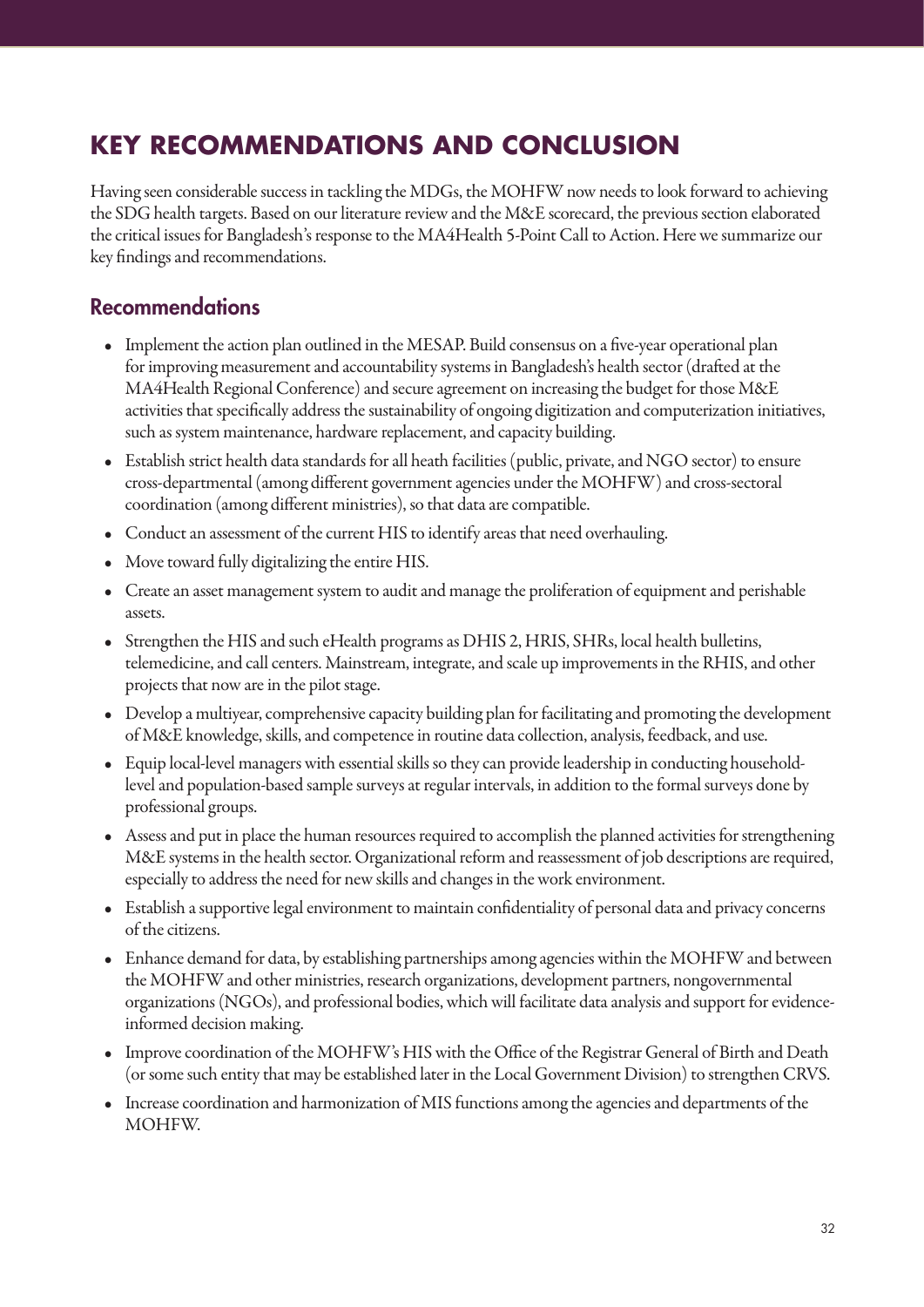# **KEY RECOMMENDATIONS AND CONCLUSION**

Having seen considerable success in tackling the MDGs, the MOHFW now needs to look forward to achieving the SDG health targets. Based on our literature review and the M&E scorecard, the previous section elaborated the critical issues for Bangladesh's response to the MA4Health 5-Point Call to Action. Here we summarize our key findings and recommendations.

## Recommendations

- Implement the action plan outlined in the MESAP. Build consensus on a five-year operational plan for improving measurement and accountability systems in Bangladesh's health sector (drafted at the MA4Health Regional Conference) and secure agreement on increasing the budget for those M&E activities that specifically address the sustainability of ongoing digitization and computerization initiatives, such as system maintenance, hardware replacement, and capacity building.
- Establish strict health data standards for all heath facilities (public, private, and NGO sector) to ensure cross-departmental (among different government agencies under the MOHFW) and cross-sectoral coordination (among different ministries), so that data are compatible.
- Conduct an assessment of the current HIS to identify areas that need overhauling.
- Move toward fully digitalizing the entire HIS.
- Create an asset management system to audit and manage the proliferation of equipment and perishable assets.
- Strengthen the HIS and such eHealth programs as DHIS 2, HRIS, SHRs, local health bulletins, telemedicine, and call centers. Mainstream, integrate, and scale up improvements in the RHIS, and other projects that now are in the pilot stage.
- Develop a multiyear, comprehensive capacity building plan for facilitating and promoting the development of M&E knowledge, skills, and competence in routine data collection, analysis, feedback, and use.
- Equip local-level managers with essential skills so they can provide leadership in conducting householdlevel and population-based sample surveys at regular intervals, in addition to the formal surveys done by professional groups.
- Assess and put in place the human resources required to accomplish the planned activities for strengthening M&E systems in the health sector. Organizational reform and reassessment of job descriptions are required, especially to address the need for new skills and changes in the work environment.
- Establish a supportive legal environment to maintain confidentiality of personal data and privacy concerns of the citizens.
- Enhance demand for data, by establishing partnerships among agencies within the MOHFW and between the MOHFW and other ministries, research organizations, development partners, nongovernmental organizations (NGOs), and professional bodies, which will facilitate data analysis and support for evidenceinformed decision making.
- Improve coordination of the MOHFW's HIS with the Office of the Registrar General of Birth and Death (or some such entity that may be established later in the Local Government Division) to strengthen CRVS.
- Increase coordination and harmonization of MIS functions among the agencies and departments of the MOHFW.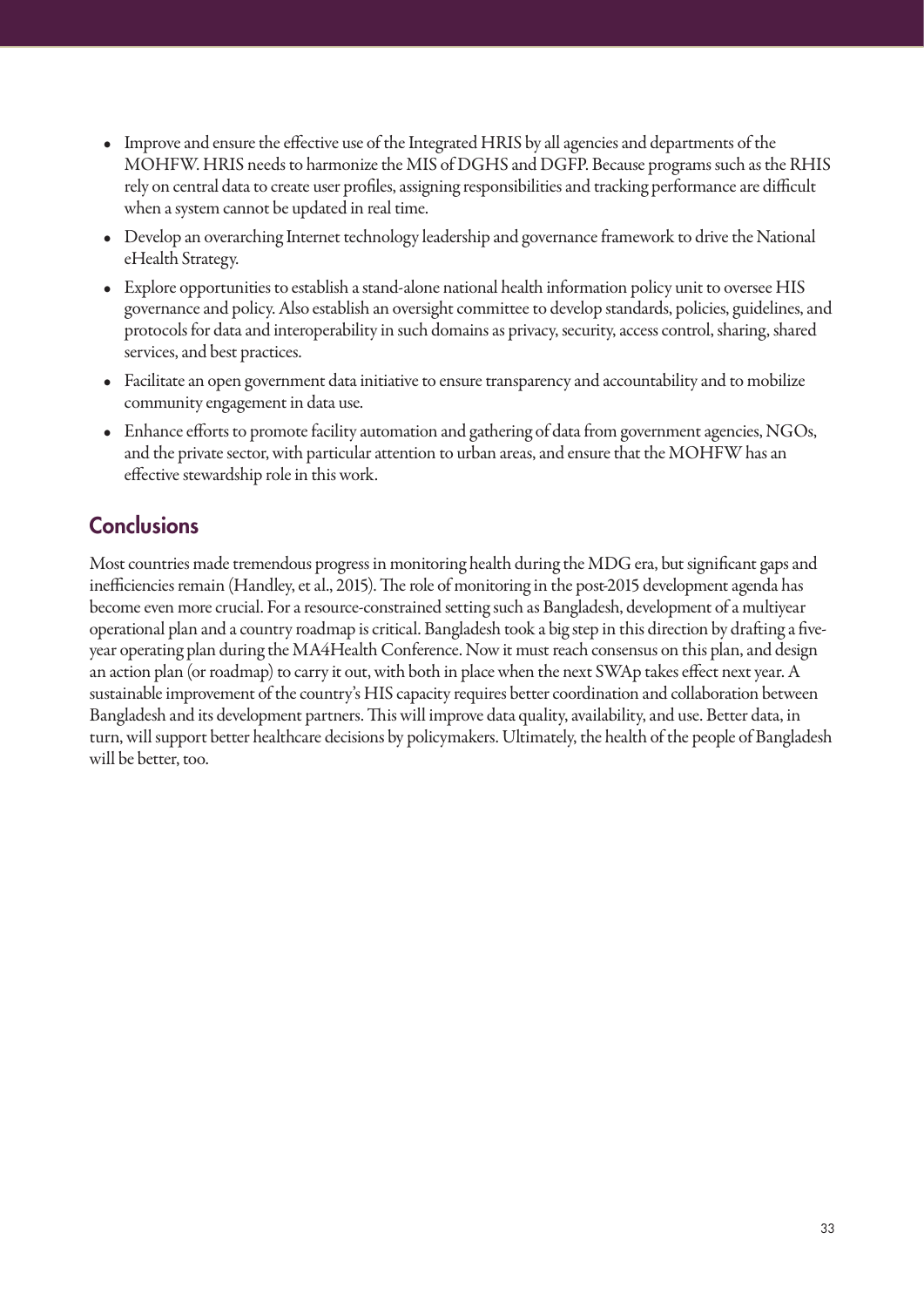- Improve and ensure the effective use of the Integrated HRIS by all agencies and departments of the MOHFW. HRIS needs to harmonize the MIS of DGHS and DGFP. Because programs such as the RHIS rely on central data to create user profiles, assigning responsibilities and tracking performance are difficult when a system cannot be updated in real time.
- Develop an overarching Internet technology leadership and governance framework to drive the National eHealth Strategy.
- Explore opportunities to establish a stand-alone national health information policy unit to oversee HIS governance and policy. Also establish an oversight committee to develop standards, policies, guidelines, and protocols for data and interoperability in such domains as privacy, security, access control, sharing, shared services, and best practices.
- Facilitate an open government data initiative to ensure transparency and accountability and to mobilize community engagement in data use.
- Enhance efforts to promote facility automation and gathering of data from government agencies, NGOs, and the private sector, with particular attention to urban areas, and ensure that the MOHFW has an effective stewardship role in this work.

# **Conclusions**

Most countries made tremendous progress in monitoring health during the MDG era, but significant gaps and inefficiencies remain (Handley, et al., 2015). The role of monitoring in the post-2015 development agenda has become even more crucial. For a resource-constrained setting such as Bangladesh, development of a multiyear operational plan and a country roadmap is critical. Bangladesh took a big step in this direction by drafting a fiveyear operating plan during the MA4Health Conference. Now it must reach consensus on this plan, and design an action plan (or roadmap) to carry it out, with both in place when the next SWAp takes effect next year. A sustainable improvement of the country's HIS capacity requires better coordination and collaboration between Bangladesh and its development partners. This will improve data quality, availability, and use. Better data, in turn, will support better healthcare decisions by policymakers. Ultimately, the health of the people of Bangladesh will be better, too.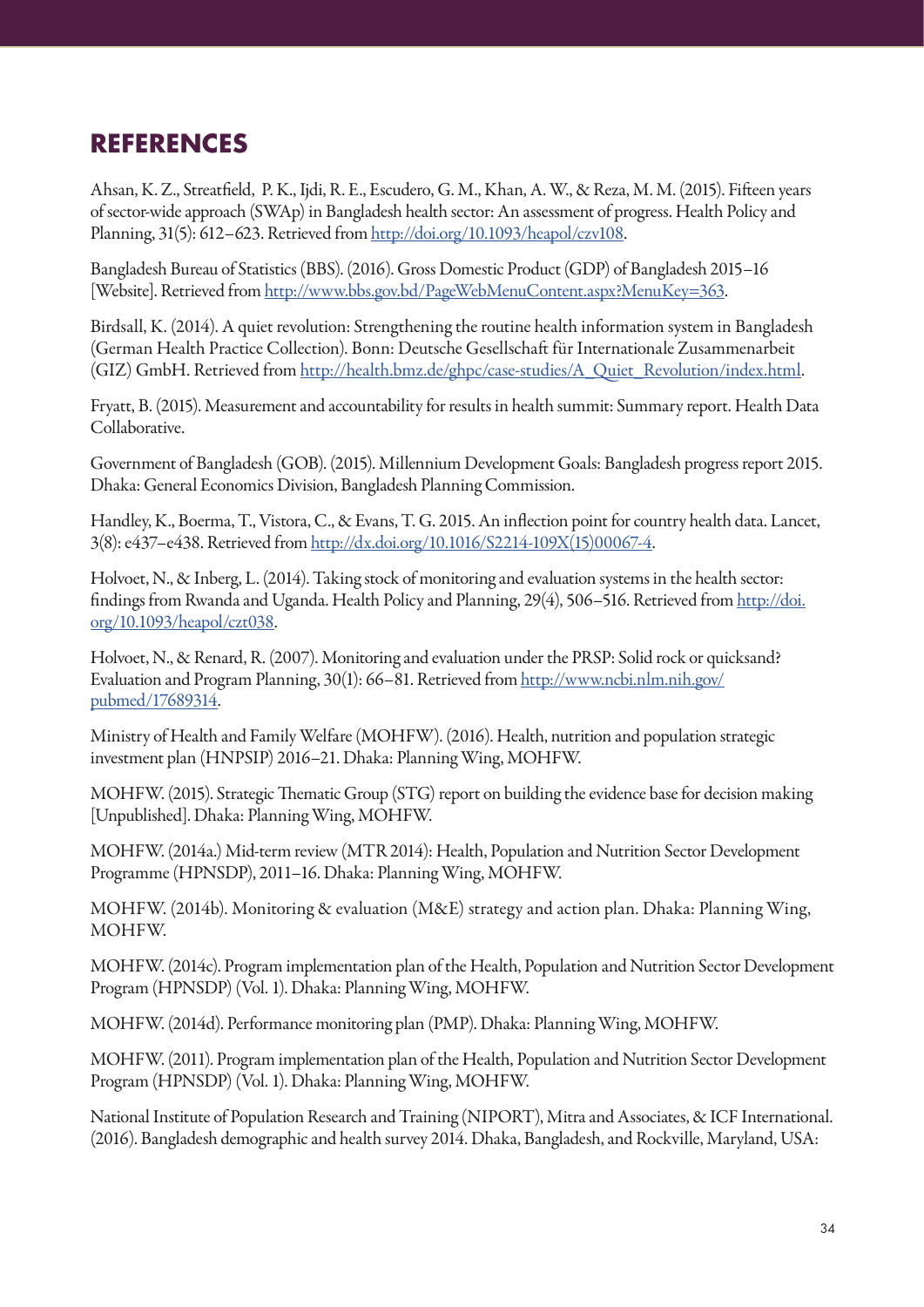# **REFERENCES**

Ahsan, K. Z., Streatfield, P. K., Ijdi, R. E., Escudero, G. M., Khan, A. W., & Reza, M. M. (2015). Fifteen years of sector-wide approach (SWAp) in Bangladesh health sector: An assessment of progress. Health Policy and Planning, 31(5): 612–623. Retrieved from http://doi.org/10.1093/heapol/czv108.

Bangladesh Bureau of Statistics (BBS). (2016). Gross Domestic Product (GDP) of Bangladesh 2015–16 [Website]. Retrieved from http://www.bbs.gov.bd/PageWebMenuContent.aspx?MenuKey=363.

Birdsall, K. (2014). A quiet revolution: Strengthening the routine health information system in Bangladesh (German Health Practice Collection). Bonn: Deutsche Gesellschaft für Internationale Zusammenarbeit (GIZ) GmbH. Retrieved from http://health.bmz.de/ghpc/case-studies/A\_Quiet\_Revolution/index.html.

Fryatt, B. (2015). Measurement and accountability for results in health summit: Summary report. Health Data Collaborative.

Government of Bangladesh (GOB). (2015). Millennium Development Goals: Bangladesh progress report 2015. Dhaka: General Economics Division, Bangladesh Planning Commission.

Handley, K., Boerma, T., Vistora, C., & Evans, T. G. 2015. An inflection point for country health data. Lancet, 3(8): e437–e438. Retrieved from http://dx.doi.org/10.1016/S2214-109X(15)00067-4.

Holvoet, N., & Inberg, L. (2014). Taking stock of monitoring and evaluation systems in the health sector: findings from Rwanda and Uganda. Health Policy and Planning, 29(4), 506–516. Retrieved from http://doi. org/10.1093/heapol/czt038.

Holvoet, N., & Renard, R. (2007). Monitoring and evaluation under the PRSP: Solid rock or quicksand? Evaluation and Program Planning, 30(1): 66–81. Retrieved from http://www.ncbi.nlm.nih.gov/ pubmed/17689314.

Ministry of Health and Family Welfare (MOHFW). (2016). Health, nutrition and population strategic investment plan (HNPSIP) 2016–21. Dhaka: Planning Wing, MOHFW.

MOHFW. (2015). Strategic Thematic Group (STG) report on building the evidence base for decision making [Unpublished]. Dhaka: Planning Wing, MOHFW.

MOHFW. (2014a.) Mid-term review (MTR 2014): Health, Population and Nutrition Sector Development Programme (HPNSDP), 2011–16. Dhaka: Planning Wing, MOHFW.

MOHFW. (2014b). Monitoring & evaluation (M&E) strategy and action plan. Dhaka: Planning Wing, MOHFW.

MOHFW. (2014c). Program implementation plan of the Health, Population and Nutrition Sector Development Program (HPNSDP) (Vol. 1). Dhaka: Planning Wing, MOHFW.

MOHFW. (2014d). Performance monitoring plan (PMP). Dhaka: Planning Wing, MOHFW.

MOHFW. (2011). Program implementation plan of the Health, Population and Nutrition Sector Development Program (HPNSDP) (Vol. 1). Dhaka: Planning Wing, MOHFW.

National Institute of Population Research and Training (NIPORT), Mitra and Associates, & ICF International. (2016). Bangladesh demographic and health survey 2014. Dhaka, Bangladesh, and Rockville, Maryland, USA: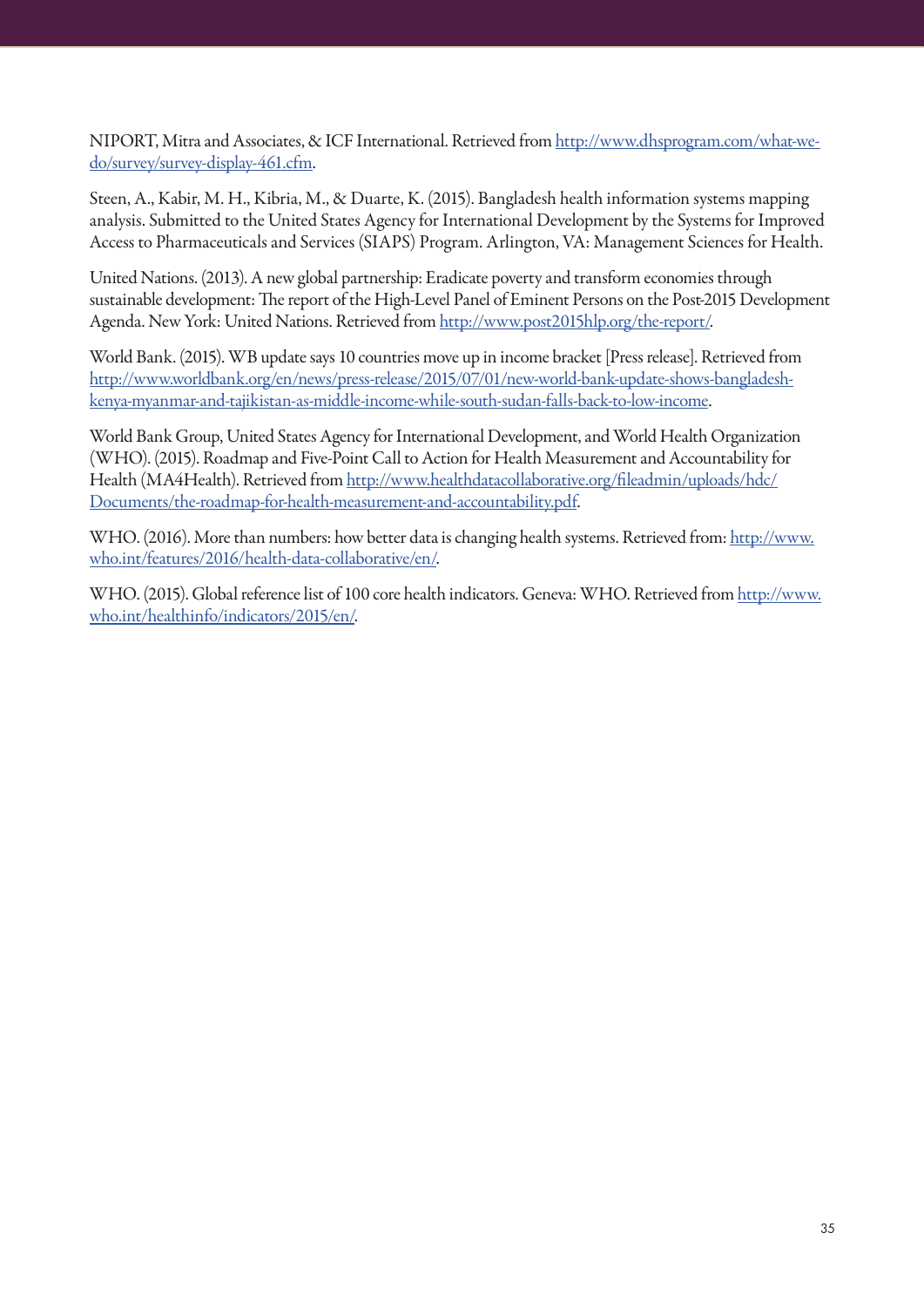NIPORT, Mitra and Associates, & ICF International. Retrieved from http://www.dhsprogram.com/what-wedo/survey/survey-display-461.cfm.

Steen, A., Kabir, M. H., Kibria, M., & Duarte, K. (2015). Bangladesh health information systems mapping analysis. Submitted to the United States Agency for International Development by the Systems for Improved Access to Pharmaceuticals and Services (SIAPS) Program. Arlington, VA: Management Sciences for Health.

United Nations. (2013). A new global partnership: Eradicate poverty and transform economies through sustainable development: The report of the High-Level Panel of Eminent Persons on the Post-2015 Development Agenda. New York: United Nations. Retrieved from http://www.post2015hlp.org/the-report/.

World Bank. (2015). WB update says 10 countries move up in income bracket [Press release]. Retrieved from http://www.worldbank.org/en/news/press-release/2015/07/01/new-world-bank-update-shows-bangladeshkenya-myanmar-and-tajikistan-as-middle-income-while-south-sudan-falls-back-to-low-income.

World Bank Group, United States Agency for International Development, and World Health Organization (WHO). (2015). Roadmap and Five-Point Call to Action for Health Measurement and Accountability for Health (MA4Health). Retrieved from http://www.healthdatacollaborative.org/fileadmin/uploads/hdc/ Documents/the-roadmap-for-health-measurement-and-accountability.pdf.

WHO. (2016). More than numbers: how better data is changing health systems. Retrieved from: http://www. who.int/features/2016/health-data-collaborative/en/.

WHO. (2015). Global reference list of 100 core health indicators. Geneva: WHO. Retrieved from http://www. who.int/healthinfo/indicators/2015/en/.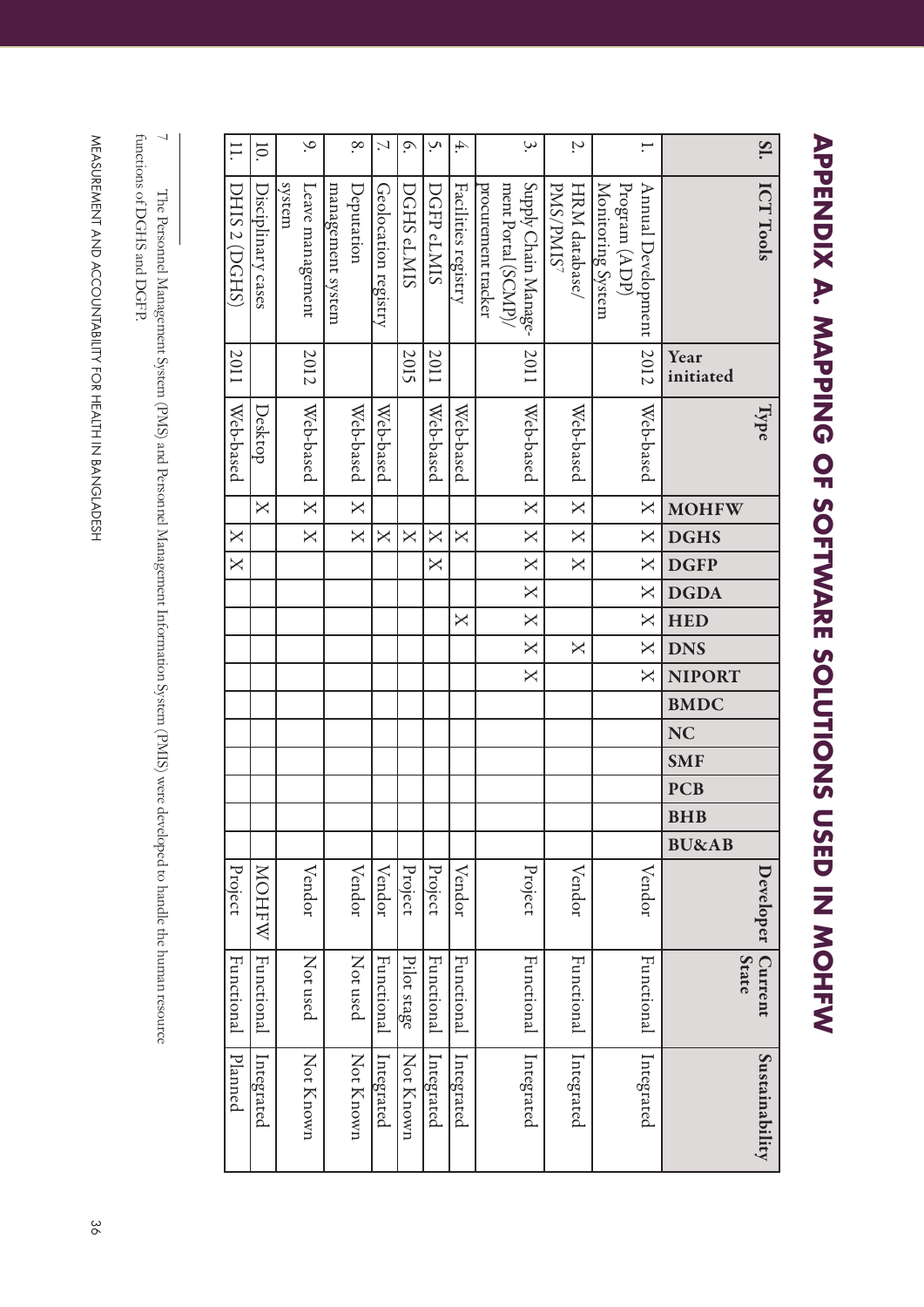**APPENDIX A. MAPPING OF SOFTWARE SOLUTIONS USED IN MOHFW APPENDIX A. MAPPING OF SOFTWARE SOLUTIONS USED IN MOHFW7**

| $\overline{11}$         | $\overline{10}$         |        | $\sim$                  |                   | $\infty$                | $\mathcal{L}$           | $\mathcal{O}.$          | Š.                      | 4.                      |                     | $\dot{\mathcal{S}}$                         |           | $\ddot{ }$              |                                    | Ξ.                      |                  | SI.                            |
|-------------------------|-------------------------|--------|-------------------------|-------------------|-------------------------|-------------------------|-------------------------|-------------------------|-------------------------|---------------------|---------------------------------------------|-----------|-------------------------|------------------------------------|-------------------------|------------------|--------------------------------|
|                         |                         |        |                         |                   |                         |                         |                         |                         |                         |                     |                                             |           |                         |                                    |                         |                  |                                |
| DHIS 2 (DGHS)           | Disciplinary cases      | system | Leave management        | management system | Deputation              | Geolocation registry    | DGHS eLMIS              | DGFP <sub>eLMIS</sub>   | Facilities registry     | procurement tracker | Supply Chain Manage-<br>ment Portal (SCMP)/ | PMS/PMIS7 | HRM database/           | Monitoring System<br>Program (ADP) | Annual Development      |                  | ICT Tools                      |
|                         |                         |        |                         |                   |                         |                         |                         |                         |                         |                     |                                             |           |                         |                                    |                         |                  |                                |
|                         |                         |        |                         |                   |                         |                         |                         |                         |                         |                     |                                             |           |                         |                                    |                         |                  |                                |
|                         |                         |        |                         |                   |                         |                         |                         |                         |                         |                     |                                             |           |                         |                                    |                         |                  |                                |
|                         |                         |        |                         |                   |                         |                         |                         |                         |                         |                     |                                             |           |                         |                                    |                         |                  |                                |
| 2011                    |                         |        | 2012                    |                   |                         |                         | 2015                    | 2011                    |                         |                     | 2011                                        |           |                         |                                    | 2012                    | Year             |                                |
|                         |                         |        |                         |                   |                         |                         |                         |                         |                         |                     |                                             |           |                         |                                    |                         | initiated        |                                |
|                         |                         |        |                         |                   |                         |                         |                         |                         |                         |                     |                                             |           |                         |                                    |                         |                  | Type                           |
| Web-based               | Desktop                 |        | Web-based               |                   | Web-based               | Web-based               |                         | Web-based               | Web-based               |                     | Web-based                                   |           | Web-based               |                                    | Web-based               |                  |                                |
|                         |                         |        |                         |                   |                         |                         |                         |                         |                         |                     |                                             |           |                         |                                    |                         |                  |                                |
|                         | $\overline{\mathsf{X}}$ |        | $\overline{\mathbf{X}}$ |                   | $\overline{\mathsf{X}}$ |                         |                         |                         |                         |                     | $\overline{\mathsf{x}}$                     |           | $\times$                |                                    | $\mathsf{X}$            | <b>MOHFW</b>     |                                |
| $\overline{\mathsf{X}}$ |                         |        | $\overline{\mathsf{X}}$ |                   | $\overline{\mathsf{X}}$ | $\overline{\mathsf{X}}$ | $\overline{\mathsf{X}}$ | $\overline{\mathsf{X}}$ | $\overline{\mathsf{X}}$ |                     | $\mathsf{X}$                                |           | $\mathsf{X}$            |                                    | $\mathsf{X}$            | <b>DGHS</b>      |                                |
| $\overline{\mathsf{X}}$ |                         |        |                         |                   |                         |                         |                         | $\overline{\mathsf{X}}$ |                         |                     | $\overline{\mathbf{X}}$                     |           | $\overline{X}$          |                                    | $\mathsf{X}$            | <b>DGFP</b>      |                                |
|                         |                         |        |                         |                   |                         |                         |                         |                         |                         |                     | $\overline{\text{X}}$                       |           |                         |                                    | $\mathsf{X}$            | <b>DGDA</b>      |                                |
|                         |                         |        |                         |                   |                         |                         |                         |                         | $\overline{\mathsf{X}}$ |                     | $\overline{\text{X}}$                       |           |                         |                                    | $\overline{\mathsf{X}}$ | <b>HED</b>       |                                |
|                         |                         |        |                         |                   |                         |                         |                         |                         |                         |                     | $\overline{X}$                              |           | $\overline{\mathsf{X}}$ |                                    | $\overline{\mathsf{X}}$ | <b>DNS</b>       |                                |
|                         |                         |        |                         |                   |                         |                         |                         |                         |                         |                     | $\overline{\mathsf{X}}$                     |           |                         |                                    | $\overline{\mathsf{X}}$ | <b>NIPORT</b>    |                                |
|                         |                         |        |                         |                   |                         |                         |                         |                         |                         |                     |                                             |           |                         |                                    |                         | <b>BMDC</b>      |                                |
|                         |                         |        |                         |                   |                         |                         |                         |                         |                         |                     |                                             |           |                         |                                    |                         | <b>NC</b>        |                                |
|                         |                         |        |                         |                   |                         |                         |                         |                         |                         |                     |                                             |           |                         |                                    |                         | <b>SMF</b>       |                                |
|                         |                         |        |                         |                   |                         |                         |                         |                         |                         |                     |                                             |           |                         |                                    |                         | <b>PCB</b>       |                                |
|                         |                         |        |                         |                   |                         |                         |                         |                         |                         |                     |                                             |           |                         |                                    |                         | <b>BHB</b>       |                                |
|                         |                         |        |                         |                   |                         |                         |                         |                         |                         |                     |                                             |           |                         |                                    |                         | <b>BU&amp;AB</b> |                                |
| Project                 | <b>MAHON</b>            |        | Vendor                  |                   | Vendor                  | Vendor                  | Project                 | Project                 | Vendor                  |                     | Project                                     |           | Vendor                  |                                    | Vendor                  |                  | Developer                      |
|                         |                         |        |                         |                   |                         |                         |                         |                         |                         |                     |                                             |           |                         |                                    |                         |                  |                                |
|                         |                         |        |                         |                   |                         |                         |                         |                         |                         |                     |                                             |           |                         |                                    |                         |                  |                                |
| Functional              | Functional              |        | Not used                |                   | Not used                | Functional              |                         | Functional              | Functional              |                     | Functional                                  |           | Functional              |                                    | Functional              |                  | <b>Current</b><br><b>State</b> |
|                         |                         |        |                         |                   |                         |                         | Pilot stage             |                         |                         |                     |                                             |           |                         |                                    |                         |                  |                                |
|                         |                         |        |                         |                   |                         |                         |                         |                         |                         |                     |                                             |           |                         |                                    |                         |                  |                                |
|                         |                         |        |                         |                   |                         |                         |                         |                         |                         |                     |                                             |           |                         |                                    |                         |                  |                                |
| Planned                 | Integrated              |        |                         |                   |                         | Integrated              |                         | Integrated              | Integrated              |                     | Integrated                                  |           | Integrated              |                                    | Integrated              |                  |                                |
|                         |                         |        | Not Known               |                   | Not Known               |                         | Not Known               |                         |                         |                     |                                             |           |                         |                                    |                         |                  |                                |
|                         |                         |        |                         |                   |                         |                         |                         |                         |                         |                     |                                             |           |                         |                                    |                         |                  | Sustainability                 |
|                         |                         |        |                         |                   |                         |                         |                         |                         |                         |                     |                                             |           |                         |                                    |                         |                  |                                |

functions of DGHS and DGFP.  $\overline{\phantom{0}}$ functions of DGHS and DGFP.The Personnel Management System (PMS) and Personnel Management Information System (PMIS) were developed to handle the human resource The Personnel Management System (PMS) and Personnel Management Information System (PMIS) were developed to handle the human resource

MEASURENENT AND ACCOUNTABILITY FOR HEALTH IN BANGLADESH 36 MEASUREMENT AND ACCOUNTABILITY FOR HEALTH IN BANGLADESH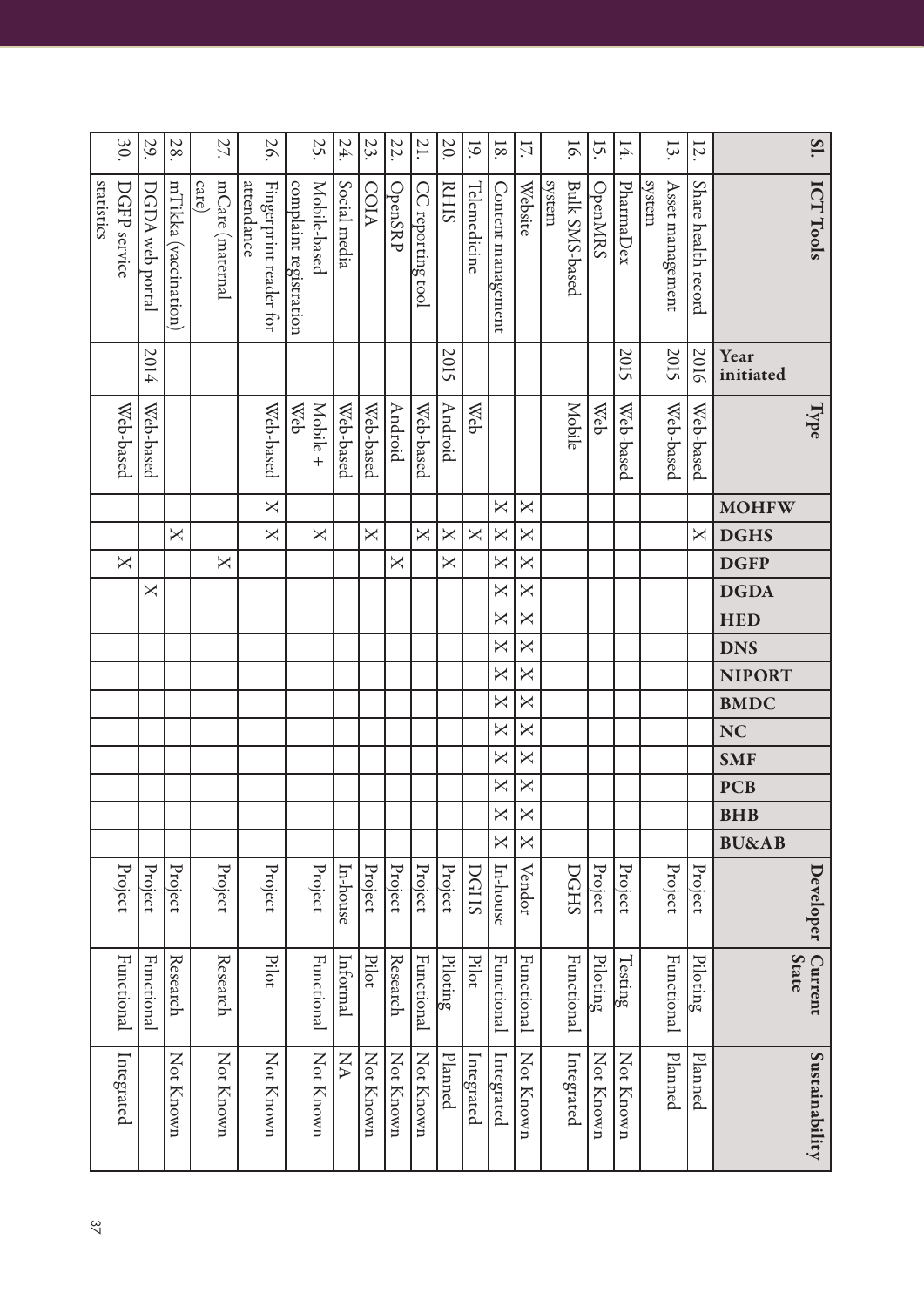|            | 30 <sup>o</sup>         | 29.             | 28.                  | 27.                      | 56                                   |                        | 25.          | 24.          | 23.          | 22.                     | 21.                     | 20.                     | 19.                     | $\overline{8}$          | 17.                                                                                     |        | $\overline{16}$       | 15.            | 14        | 13.                        | 12.                     | SI.                     |
|------------|-------------------------|-----------------|----------------------|--------------------------|--------------------------------------|------------------------|--------------|--------------|--------------|-------------------------|-------------------------|-------------------------|-------------------------|-------------------------|-----------------------------------------------------------------------------------------|--------|-----------------------|----------------|-----------|----------------------------|-------------------------|-------------------------|
| statistics | DGFP service            | DGDA web portal | mTikka (vaccination) | mCare (maternal<br>care) | attendance<br>Fingerprint reader for | complaint registration | Mobile-based | Social media | COIA         | OpenSRP                 | CC reporting tool       | <b>RHIS</b>             | <b>Telemedicine</b>     | Content management      | Website                                                                                 | system | <b>Bulk SMS-based</b> | <b>OpenMRS</b> | PharmaDex | system<br>Asset management | Share health record     | <b>ICT Tools</b>        |
|            |                         | 2014            |                      |                          |                                      |                        |              |              |              |                         |                         | 2015                    |                         |                         |                                                                                         |        |                       |                | 2015      | 2015                       | 2016                    | Year<br>initiated       |
|            | Web-based               | Web-based       |                      |                          | Web-based                            | <b>Web</b>             | Mobile +     | Web-based    | Web-based    | Android                 | Web-based               | Android                 | Web                     |                         |                                                                                         |        | <b>Mobile</b>         | <b>Web</b>     | Web-based | Web-based                  | Web-based               | Type                    |
|            |                         |                 |                      |                          | $\overline{\mathsf{X}}$              |                        |              |              |              |                         |                         |                         |                         | $\mathsf{X}$            | $\times$                                                                                |        |                       |                |           |                            |                         | <b>MOHFW</b>            |
|            |                         |                 | $\mathsf{X}$         |                          | $\overline{\mathsf{X}}$              |                        | $\mathsf{X}$ |              | $\mathsf{X}$ |                         | $\overline{\mathsf{X}}$ | $\times$                | $\overline{\mathsf{X}}$ | $\overline{\mathsf{X}}$ | $\times$                                                                                |        |                       |                |           |                            | $\overline{\mathsf{X}}$ | <b>DGHS</b>             |
|            | $\overline{\mathsf{X}}$ |                 |                      | $\mathsf{X}$             |                                      |                        |              |              |              | $\overline{\mathsf{X}}$ |                         | $\overline{\mathsf{X}}$ |                         | $\mathsf{X}$            | $\mathsf{X}% _{1}\left( \mathsf{Y}\right) \equiv\mathsf{X}_{1}\left( \mathsf{Y}\right)$ |        |                       |                |           |                            |                         | <b>DGFP</b>             |
|            |                         | $\mathsf{X}$    |                      |                          |                                      |                        |              |              |              |                         |                         |                         |                         | $\overline{\mathsf{X}}$ | $\mathsf{X}% _{1}\left( \mathsf{Y}\right) \equiv\mathsf{X}_{1}\left( \mathsf{Y}\right)$ |        |                       |                |           |                            |                         | <b>DGDA</b>             |
|            |                         |                 |                      |                          |                                      |                        |              |              |              |                         |                         |                         |                         | $\overline{\mathsf{X}}$ | $\overline{\mathsf{X}}$                                                                 |        |                       |                |           |                            |                         | <b>HED</b>              |
|            |                         |                 |                      |                          |                                      |                        |              |              |              |                         |                         |                         |                         | $\overline{\mathsf{X}}$ | $\overline{\mathsf{X}}$                                                                 |        |                       |                |           |                            |                         | <b>DNS</b>              |
|            |                         |                 |                      |                          |                                      |                        |              |              |              |                         |                         |                         |                         | $\overline{\mathsf{X}}$ | $\overline{\mathsf{X}}$                                                                 |        |                       |                |           |                            |                         | <b>NIPORT</b>           |
|            |                         |                 |                      |                          |                                      |                        |              |              |              |                         |                         |                         |                         | $\overline{\mathsf{X}}$ | $\mathsf{X}$                                                                            |        |                       |                |           |                            |                         | <b>BMDC</b>             |
|            |                         |                 |                      |                          |                                      |                        |              |              |              |                         |                         |                         |                         | $\overline{\mathsf{X}}$ | $\overline{\mathsf{X}}$                                                                 |        |                       |                |           |                            |                         | <b>NC</b>               |
|            |                         |                 |                      |                          |                                      |                        |              |              |              |                         |                         |                         |                         | $\mathsf{X}$            | $\mathsf{X}% _{1}\left( \mathsf{Y}\right) \equiv\mathsf{X}_{1}\left( \mathsf{Y}\right)$ |        |                       |                |           |                            |                         | <b>SMF</b>              |
|            |                         |                 |                      |                          |                                      |                        |              |              |              |                         |                         |                         |                         | $\overline{\mathsf{X}}$ | $\mathsf{X}% _{1}\left( \mathsf{Y}\right) \equiv\mathsf{X}_{1}\left( \mathsf{Y}\right)$ |        |                       |                |           |                            |                         | <b>PCB</b>              |
|            |                         |                 |                      |                          |                                      |                        |              |              |              |                         |                         |                         |                         | $\times$                | $\times$                                                                                |        |                       |                |           |                            |                         | <b>BHB</b>              |
|            |                         |                 |                      |                          |                                      |                        |              |              |              |                         |                         |                         |                         | X                       | X                                                                                       |        |                       |                |           |                            |                         | <b>BU&amp;AB</b>        |
|            | Project                 | Project         | Project              | Project                  | Project                              |                        | Project      | In-house     | Project      | Project                 | Project                 | Project                 | DGHS                    | In-house                | Vendor                                                                                  |        | DGHS                  | Project        | Project   | Project                    | Project                 | Developer               |
|            | <b>Functional</b>       | Functional      | Research             | Research                 | Pilot                                |                        | Functional   | Informal     | Pilot        | Research                | Functional              | Piloting                | Pilot                   | Functional              | Functional                                                                              |        | Functional            | Piloting       | Testing   | <b>Functional</b>          | Piloting                | Current<br><b>State</b> |
|            | Integrated              |                 | Not Known            | Not Known                | Not Known                            |                        | Not Known    | NA           | Not Known    | Not Known               | Not Known               | Planned                 | Integrated              | Integrated              | Not Known                                                                               |        | Integrated            | Not Known      | Not Known | Planned                    | Planned                 | Sustainability          |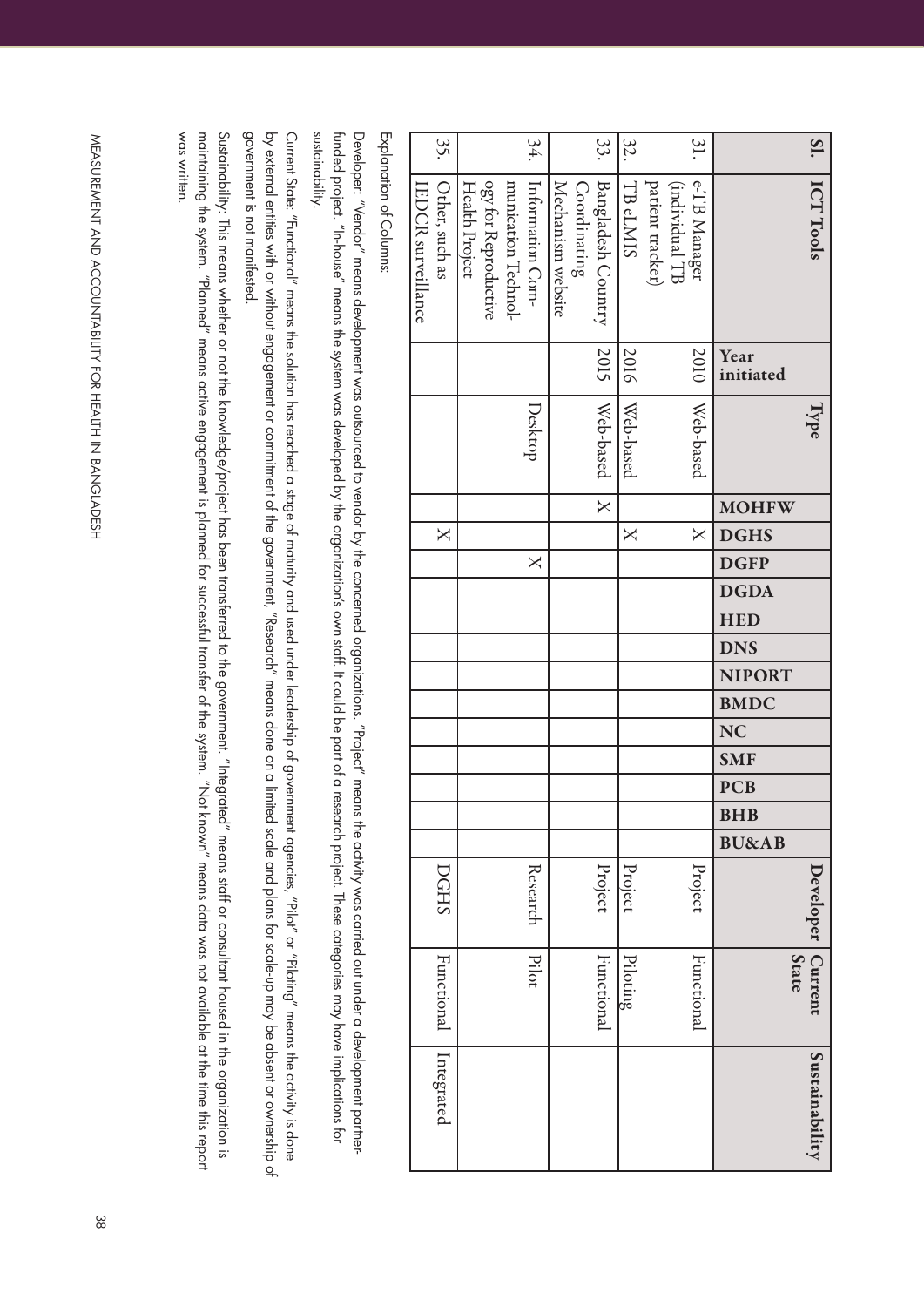| SI.             | ICT Tools                                                                                                                                                                                                                                                                                                                                                 |                   | lype <sup></sup> |                         |                         |                                                                                         |             |            |            |               |             |           |            |            |            |                  | Developer | <b>State</b><br><b>Current</b> | Sustainability |
|-----------------|-----------------------------------------------------------------------------------------------------------------------------------------------------------------------------------------------------------------------------------------------------------------------------------------------------------------------------------------------------------|-------------------|------------------|-------------------------|-------------------------|-----------------------------------------------------------------------------------------|-------------|------------|------------|---------------|-------------|-----------|------------|------------|------------|------------------|-----------|--------------------------------|----------------|
|                 |                                                                                                                                                                                                                                                                                                                                                           | Year<br>initiated |                  | <b>MOHFW</b>            | <b>DGHS</b>             | <b>DGFP</b>                                                                             | <b>DGDA</b> | <b>HED</b> | <b>DNS</b> | <b>NIPORT</b> | <b>BMDC</b> | <b>NC</b> | <b>SMF</b> | <b>PCB</b> | <b>BHB</b> | <b>BU&amp;AB</b> |           |                                |                |
| 31.             | e-TB Manager<br>(individual TB                                                                                                                                                                                                                                                                                                                            | 2010              | Web-based        |                         | $\overline{\mathsf{X}}$ |                                                                                         |             |            |            |               |             |           |            |            |            |                  | Project   | Functional                     |                |
|                 | patient tracker)                                                                                                                                                                                                                                                                                                                                          |                   |                  |                         |                         |                                                                                         |             |            |            |               |             |           |            |            |            |                  |           |                                |                |
| 32.             | TB <sub>eLMIS</sub>                                                                                                                                                                                                                                                                                                                                       | 2016              | Web-based        |                         | $\mathsf{X}$            |                                                                                         |             |            |            |               |             |           |            |            |            |                  | Project   | Piloting                       |                |
| 33.             | <b>Bangladesh Country</b>                                                                                                                                                                                                                                                                                                                                 | 2015              | Web-based        | $\overline{\mathsf{X}}$ |                         |                                                                                         |             |            |            |               |             |           |            |            |            |                  | Project   | Functional                     |                |
|                 | Coordinating                                                                                                                                                                                                                                                                                                                                              |                   |                  |                         |                         |                                                                                         |             |            |            |               |             |           |            |            |            |                  |           |                                |                |
|                 | Mechanism website                                                                                                                                                                                                                                                                                                                                         |                   |                  |                         |                         |                                                                                         |             |            |            |               |             |           |            |            |            |                  |           |                                |                |
| 34.             | Information Com-                                                                                                                                                                                                                                                                                                                                          |                   | Desktop          |                         |                         | $\mathsf{X}% _{1}\left( \mathsf{Y}\right) \equiv\mathsf{X}_{1}\left( \mathsf{Y}\right)$ |             |            |            |               |             |           |            |            |            |                  | Research  | Pilot                          |                |
|                 | munication Technol-                                                                                                                                                                                                                                                                                                                                       |                   |                  |                         |                         |                                                                                         |             |            |            |               |             |           |            |            |            |                  |           |                                |                |
|                 | ogy for Reproductive                                                                                                                                                                                                                                                                                                                                      |                   |                  |                         |                         |                                                                                         |             |            |            |               |             |           |            |            |            |                  |           |                                |                |
|                 | Health Project                                                                                                                                                                                                                                                                                                                                            |                   |                  |                         |                         |                                                                                         |             |            |            |               |             |           |            |            |            |                  |           |                                |                |
| 35.             | Other, such as                                                                                                                                                                                                                                                                                                                                            |                   |                  |                         | $\mathsf{X}$            |                                                                                         |             |            |            |               |             |           |            |            |            |                  | DGHS      | Functional                     | Integrated     |
|                 | <b>EDCR</b> surveillance                                                                                                                                                                                                                                                                                                                                  |                   |                  |                         |                         |                                                                                         |             |            |            |               |             |           |            |            |            |                  |           |                                |                |
|                 | Explanation of Columns:                                                                                                                                                                                                                                                                                                                                   |                   |                  |                         |                         |                                                                                         |             |            |            |               |             |           |            |            |            |                  |           |                                |                |
| sustainability. | funded project. "In-house" means the system was developed by the organization's own staff. It could be part of a research project. These categories may have implications for<br>Developer: "Vendor" means development was outsourced to vendor by the concerned organizations. "Project" means the activity was carried out under a development partner- |                   |                  |                         |                         |                                                                                         |             |            |            |               |             |           |            |            |            |                  |           |                                |                |
|                 |                                                                                                                                                                                                                                                                                                                                                           |                   |                  |                         |                         |                                                                                         |             |            |            |               |             |           |            |            |            |                  |           |                                |                |
|                 |                                                                                                                                                                                                                                                                                                                                                           |                   |                  |                         |                         |                                                                                         |             |            |            |               |             |           |            |            |            |                  |           |                                |                |

government is not manifested. by external entities with or without engagement or commitment of the government, "Research" means done on a limited scale and plans for scale-up may be absent or ownership of government is not manifested. by external entities with or without endance or all and be and the government, "Research", "Research", "Research or a limitied act le day be and plans for scale-up the and plans for scale-up may be and be and be and be and

was written. maining the system. "Planned" means active engagement is planned for successful transfer of the system. "Not known" means data was not available at the time this report Sustaindbility: This means whether or not knowledge/project has been transferred to the government. "Integrated" means staff or consultant housed in the organization is was written. Sustainability: This means whether or not the knowledge/project has been transferred to the government. "Integrated" means staff or consultant housed in the organization is maintaining the system. "Planned" means a cative engagement is planned for successful transfer of the system. "Not known" means data was not available at the time time this report

MEASURENENT AND ACCOUNTABILITY FOR HEALTH IN BANGLADESH 38 MEASUREMENT AND ACCOUNTABILITY FOR HEALTH IN BANGLADESH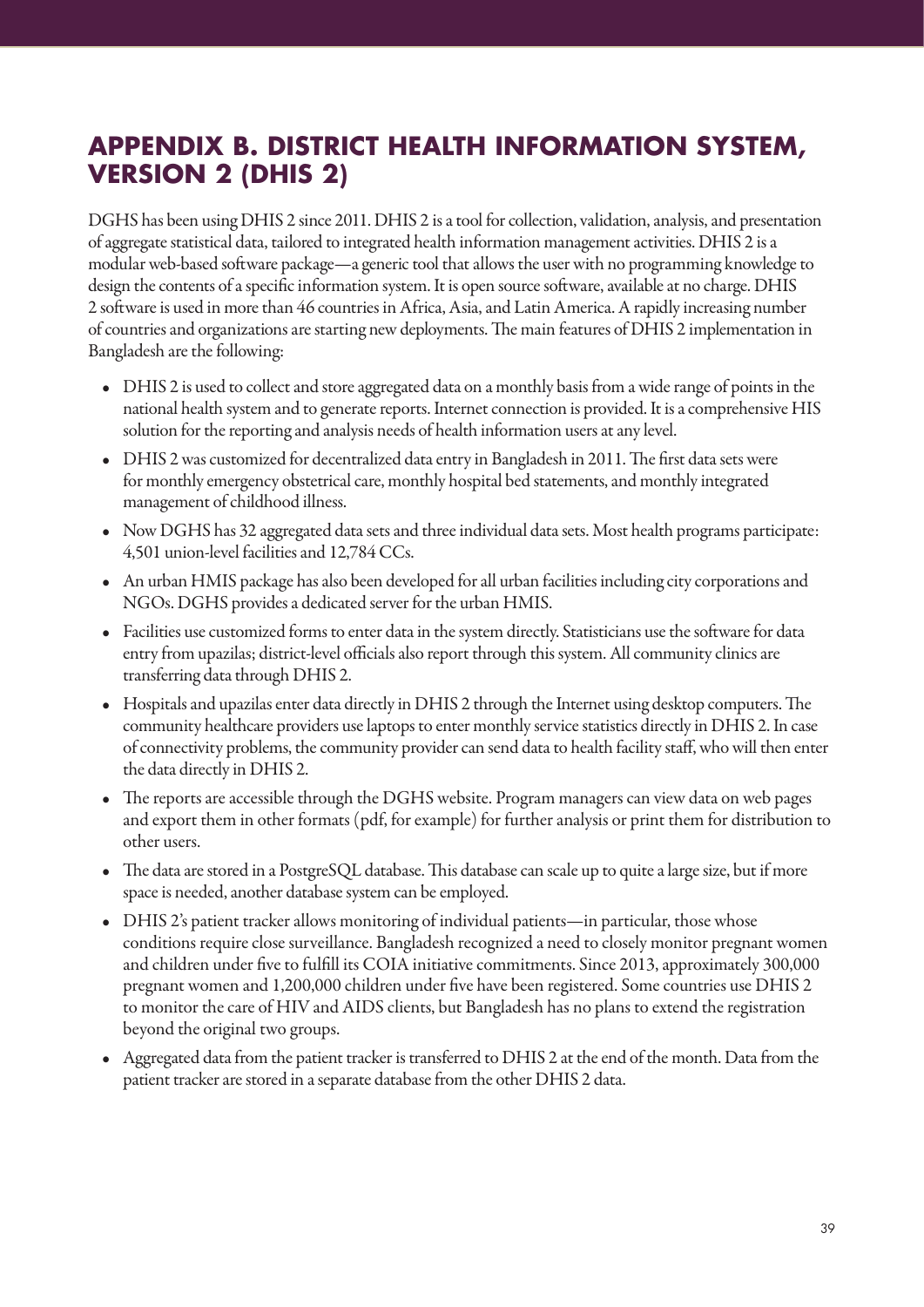# **APPENDIX B. DISTRICT HEALTH INFORMATION SYSTEM, VERSION 2 (DHIS 2)**

DGHS has been using DHIS 2 since 2011. DHIS 2 is a tool for collection, validation, analysis, and presentation of aggregate statistical data, tailored to integrated health information management activities. DHIS 2 is a modular web-based software package—a generic tool that allows the user with no programming knowledge to design the contents of a specific information system. It is open source software, available at no charge. DHIS 2 software is used in more than 46 countries in Africa, Asia, and Latin America. A rapidly increasing number of countries and organizations are starting new deployments. The main features of DHIS 2 implementation in Bangladesh are the following:

- DHIS 2 is used to collect and store aggregated data on a monthly basis from a wide range of points in the national health system and to generate reports. Internet connection is provided. It is a comprehensive HIS solution for the reporting and analysis needs of health information users at any level.
- DHIS 2 was customized for decentralized data entry in Bangladesh in 2011. The first data sets were for monthly emergency obstetrical care, monthly hospital bed statements, and monthly integrated management of childhood illness.
- Now DGHS has 32 aggregated data sets and three individual data sets. Most health programs participate: 4,501 union-level facilities and 12,784 CCs.
- An urban HMIS package has also been developed for all urban facilities including city corporations and NGOs. DGHS provides a dedicated server for the urban HMIS.
- Facilities use customized forms to enter data in the system directly. Statisticians use the software for data entry from upazilas; district-level officials also report through this system. All community clinics are transferring data through DHIS 2.
- Hospitals and upazilas enter data directly in DHIS 2 through the Internet using desktop computers. The community healthcare providers use laptops to enter monthly service statistics directly in DHIS 2. In case of connectivity problems, the community provider can send data to health facility staff, who will then enter the data directly in DHIS 2.
- The reports are accessible through the DGHS website. Program managers can view data on web pages and export them in other formats (pdf, for example) for further analysis or print them for distribution to other users.
- The data are stored in a PostgreSQL database. This database can scale up to quite a large size, but if more space is needed, another database system can be employed.
- DHIS 2's patient tracker allows monitoring of individual patients—in particular, those whose conditions require close surveillance. Bangladesh recognized a need to closely monitor pregnant women and children under five to fulfill its COIA initiative commitments. Since 2013, approximately 300,000 pregnant women and 1,200,000 children under five have been registered. Some countries use DHIS 2 to monitor the care of HIV and AIDS clients, but Bangladesh has no plans to extend the registration beyond the original two groups.
- Aggregated data from the patient tracker is transferred to DHIS 2 at the end of the month. Data from the patient tracker are stored in a separate database from the other DHIS 2 data.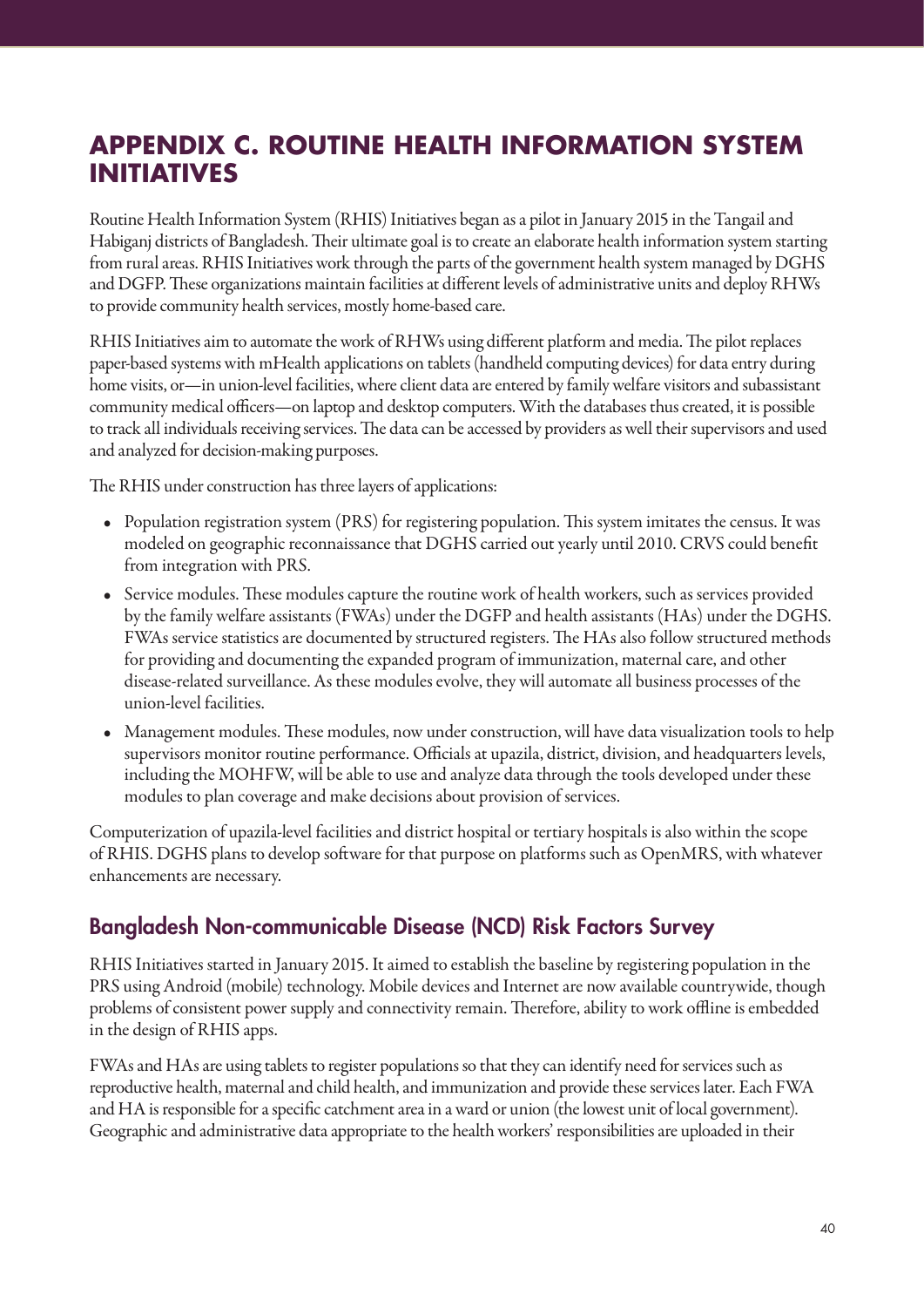# **APPENDIX C. ROUTINE HEALTH INFORMATION SYSTEM INITIATIVES**

Routine Health Information System (RHIS) Initiatives began as a pilot in January 2015 in the Tangail and Habiganj districts of Bangladesh. Their ultimate goal is to create an elaborate health information system starting from rural areas. RHIS Initiatives work through the parts of the government health system managed by DGHS and DGFP. These organizations maintain facilities at different levels of administrative units and deploy RHWs to provide community health services, mostly home-based care.

RHIS Initiatives aim to automate the work of RHWs using different platform and media. The pilot replaces paper-based systems with mHealth applications on tablets (handheld computing devices) for data entry during home visits, or—in union-level facilities, where client data are entered by family welfare visitors and subassistant community medical officers—on laptop and desktop computers. With the databases thus created, it is possible to track all individuals receiving services. The data can be accessed by providers as well their supervisors and used and analyzed for decision-making purposes.

The RHIS under construction has three layers of applications:

- Population registration system (PRS) for registering population. This system imitates the census. It was modeled on geographic reconnaissance that DGHS carried out yearly until 2010. CRVS could benefit from integration with PRS.
- Service modules. These modules capture the routine work of health workers, such as services provided by the family welfare assistants (FWAs) under the DGFP and health assistants (HAs) under the DGHS. FWAs service statistics are documented by structured registers. The HAs also follow structured methods for providing and documenting the expanded program of immunization, maternal care, and other disease-related surveillance. As these modules evolve, they will automate all business processes of the union-level facilities.
- Management modules. These modules, now under construction, will have data visualization tools to help supervisors monitor routine performance. Officials at upazila, district, division, and headquarters levels, including the MOHFW, will be able to use and analyze data through the tools developed under these modules to plan coverage and make decisions about provision of services.

Computerization of upazila-level facilities and district hospital or tertiary hospitals is also within the scope of RHIS. DGHS plans to develop software for that purpose on platforms such as OpenMRS, with whatever enhancements are necessary.

## Bangladesh Non-communicable Disease (NCD) Risk Factors Survey

RHIS Initiatives started in January 2015. It aimed to establish the baseline by registering population in the PRS using Android (mobile) technology. Mobile devices and Internet are now available countrywide, though problems of consistent power supply and connectivity remain. Therefore, ability to work offline is embedded in the design of RHIS apps.

FWAs and HAs are using tablets to register populations so that they can identify need for services such as reproductive health, maternal and child health, and immunization and provide these services later. Each FWA and HA is responsible for a specific catchment area in a ward or union (the lowest unit of local government). Geographic and administrative data appropriate to the health workers' responsibilities are uploaded in their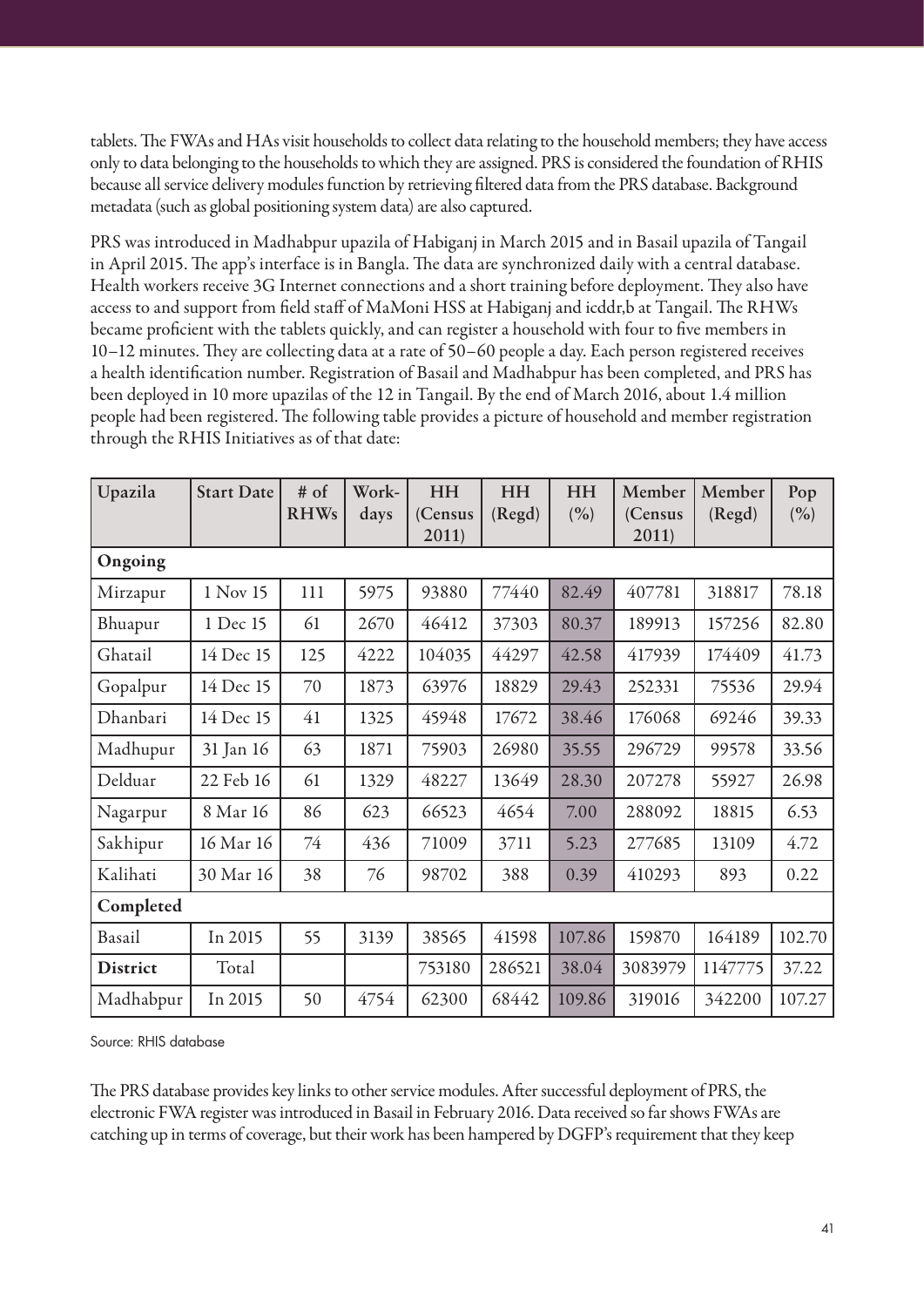tablets. The FWAs and HAs visit households to collect data relating to the household members; they have access only to data belonging to the households to which they are assigned. PRS is considered the foundation of RHIS because all service delivery modules function by retrieving filtered data from the PRS database. Background metadata (such as global positioning system data) are also captured.

PRS was introduced in Madhabpur upazila of Habiganj in March 2015 and in Basail upazila of Tangail in April 2015. The app's interface is in Bangla. The data are synchronized daily with a central database. Health workers receive 3G Internet connections and a short training before deployment. They also have access to and support from field staff of MaMoni HSS at Habiganj and icddr,b at Tangail. The RHWs became proficient with the tablets quickly, and can register a household with four to five members in 10–12 minutes. They are collecting data at a rate of 50–60 people a day. Each person registered receives a health identification number. Registration of Basail and Madhabpur has been completed, and PRS has been deployed in 10 more upazilas of the 12 in Tangail. By the end of March 2016, about 1.4 million people had been registered. The following table provides a picture of household and member registration through the RHIS Initiatives as of that date:

| Upazila         | <b>Start Date</b> | $#$ of<br><b>RHWs</b> | Work-<br>days | <b>HH</b><br>(Census<br>2011) | <b>HH</b><br>(Regd) | HH<br>(%) | Member<br>(Census<br>2011) | Member<br>(Regd) | Pop<br>(%) |
|-----------------|-------------------|-----------------------|---------------|-------------------------------|---------------------|-----------|----------------------------|------------------|------------|
| Ongoing         |                   |                       |               |                               |                     |           |                            |                  |            |
| Mirzapur        | 1 Nov 15          | 111                   | 5975          | 93880                         | 77440               | 82.49     | 407781                     | 318817           | 78.18      |
| Bhuapur         | 1 Dec 15          | 61                    | 2670          | 46412                         | 37303               | 80.37     | 189913                     | 157256           | 82.80      |
| Ghatail         | 14 Dec 15         | 125                   | 4222          | 104035                        | 44297               | 42.58     | 417939                     | 174409           | 41.73      |
| Gopalpur        | 14 Dec 15         | 70                    | 1873          | 63976                         | 18829               | 29.43     | 252331                     | 75536            | 29.94      |
| Dhanbari        | 14 Dec 15         | 41                    | 1325          | 45948                         | 17672               | 38.46     | 176068                     | 69246            | 39.33      |
| Madhupur        | 31 Jan 16         | 63                    | 1871          | 75903                         | 26980               | 35.55     | 296729                     | 99578            | 33.56      |
| Delduar         | 22 Feb 16         | 61                    | 1329          | 48227                         | 13649               | 28.30     | 207278                     | 55927            | 26.98      |
| Nagarpur        | 8 Mar 16          | 86                    | 623           | 66523                         | 4654                | 7.00      | 288092                     | 18815            | 6.53       |
| Sakhipur        | 16 Mar 16         | 74                    | 436           | 71009                         | 3711                | 5.23      | 277685                     | 13109            | 4.72       |
| Kalihati        | 30 Mar 16         | 38                    | 76            | 98702                         | 388                 | 0.39      | 410293                     | 893              | 0.22       |
| Completed       |                   |                       |               |                               |                     |           |                            |                  |            |
| Basail          | In 2015           | 55                    | 3139          | 38565                         | 41598               | 107.86    | 159870                     | 164189           | 102.70     |
| <b>District</b> | Total             |                       |               | 753180                        | 286521              | 38.04     | 3083979                    | 1147775          | 37.22      |
| Madhabpur       | In 2015           | 50                    | 4754          | 62300                         | 68442               | 109.86    | 319016                     | 342200           | 107.27     |

Source: RHIS database

The PRS database provides key links to other service modules. After successful deployment of PRS, the electronic FWA register was introduced in Basail in February 2016. Data received so far shows FWAs are catching up in terms of coverage, but their work has been hampered by DGFP's requirement that they keep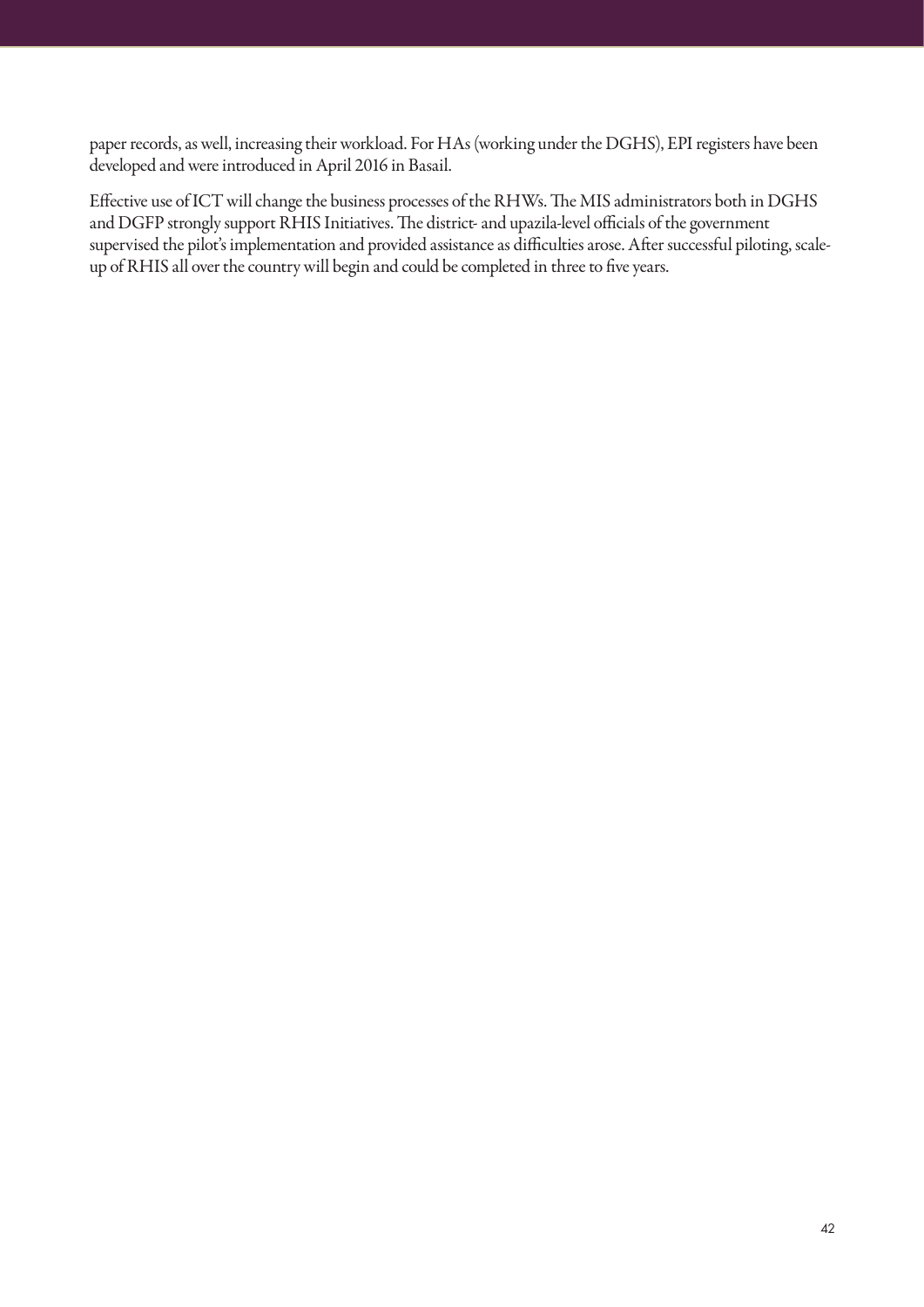paper records, as well, increasing their workload. For HAs (working under the DGHS), EPI registers have been developed and were introduced in April 2016 in Basail.

Effective use of ICT will change the business processes of the RHWs. The MIS administrators both in DGHS and DGFP strongly support RHIS Initiatives. The district- and upazila-level officials of the government supervised the pilot's implementation and provided assistance as difficulties arose. After successful piloting, scaleup of RHIS all over the country will begin and could be completed in three to five years.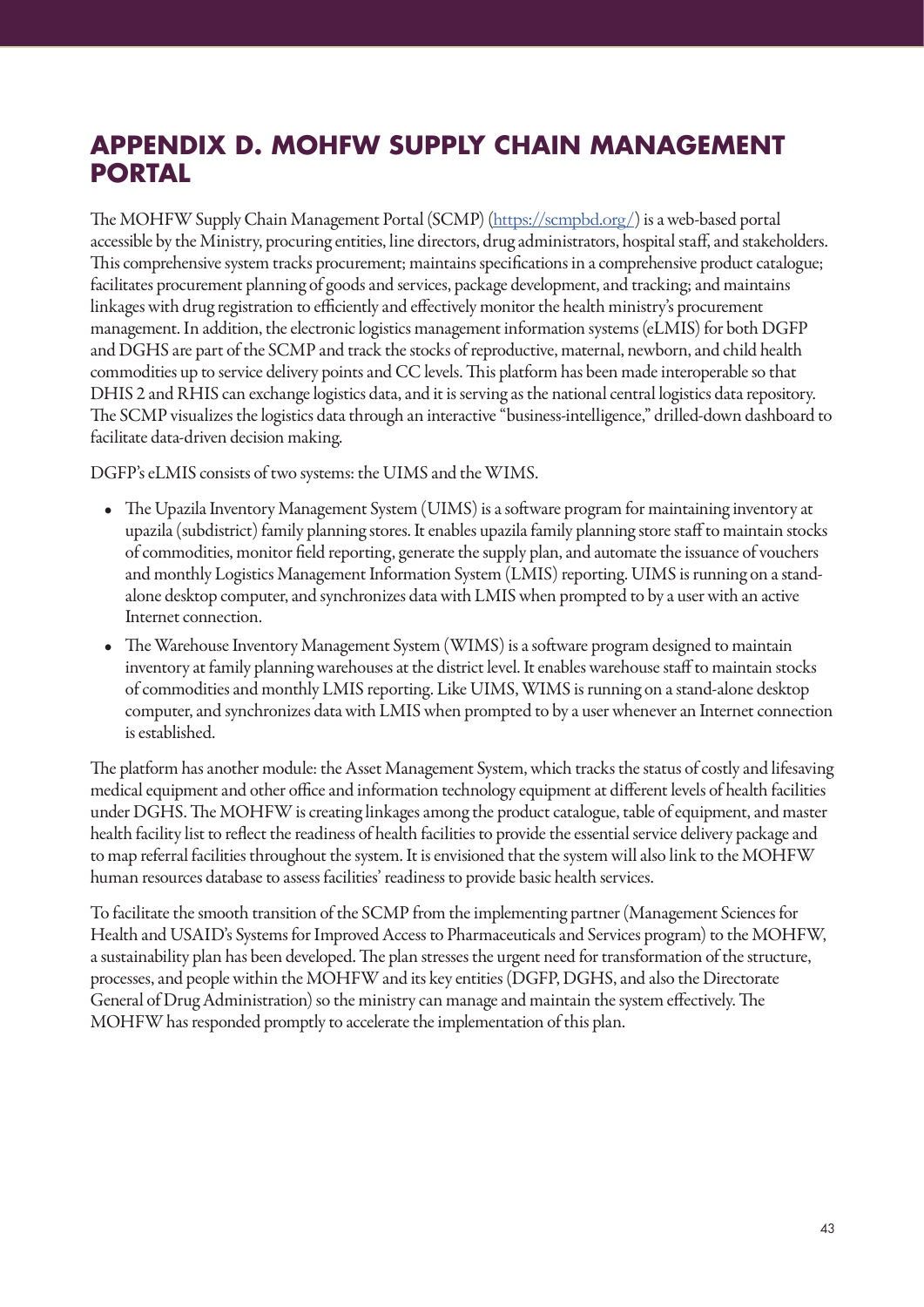# **APPENDIX D. MOHFW SUPPLY CHAIN MANAGEMENT PORTAL**

The MOHFW Supply Chain Management Portal (SCMP) (https://scmpbd.org/) is a web-based portal accessible by the Ministry, procuring entities, line directors, drug administrators, hospital staff, and stakeholders. This comprehensive system tracks procurement; maintains specifications in a comprehensive product catalogue; facilitates procurement planning of goods and services, package development, and tracking; and maintains linkages with drug registration to efficiently and effectively monitor the health ministry's procurement management. In addition, the electronic logistics management information systems (eLMIS) for both DGFP and DGHS are part of the SCMP and track the stocks of reproductive, maternal, newborn, and child health commodities up to service delivery points and CC levels. This platform has been made interoperable so that DHIS 2 and RHIS can exchange logistics data, and it is serving as the national central logistics data repository. The SCMP visualizes the logistics data through an interactive "business-intelligence," drilled-down dashboard to facilitate data-driven decision making.

DGFP's eLMIS consists of two systems: the UIMS and the WIMS.

- The Upazila Inventory Management System (UIMS) is a software program for maintaining inventory at upazila (subdistrict) family planning stores. It enables upazila family planning store staff to maintain stocks of commodities, monitor field reporting, generate the supply plan, and automate the issuance of vouchers and monthly Logistics Management Information System (LMIS) reporting. UIMS is running on a standalone desktop computer, and synchronizes data with LMIS when prompted to by a user with an active Internet connection.
- The Warehouse Inventory Management System (WIMS) is a software program designed to maintain inventory at family planning warehouses at the district level. It enables warehouse staff to maintain stocks of commodities and monthly LMIS reporting. Like UIMS, WIMS is running on a stand-alone desktop computer, and synchronizes data with LMIS when prompted to by a user whenever an Internet connection is established.

The platform has another module: the Asset Management System, which tracks the status of costly and lifesaving medical equipment and other office and information technology equipment at different levels of health facilities under DGHS. The MOHFW is creating linkages among the product catalogue, table of equipment, and master health facility list to reflect the readiness of health facilities to provide the essential service delivery package and to map referral facilities throughout the system. It is envisioned that the system will also link to the MOHFW human resources database to assess facilities' readiness to provide basic health services.

To facilitate the smooth transition of the SCMP from the implementing partner (Management Sciences for Health and USAID's Systems for Improved Access to Pharmaceuticals and Services program) to the MOHFW, a sustainability plan has been developed. The plan stresses the urgent need for transformation of the structure, processes, and people within the MOHFW and its key entities (DGFP, DGHS, and also the Directorate General of Drug Administration) so the ministry can manage and maintain the system effectively. The MOHFW has responded promptly to accelerate the implementation of this plan.